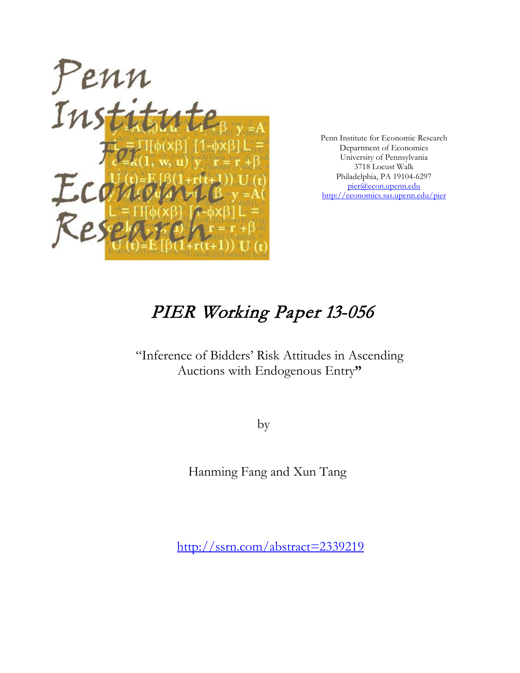

Penn Institute for Economic Research Department of Economics University of Pennsylvania 3718 Locust Walk Philadelphia, PA 19104-6297 [pier@econ.upenn.edu](mailto:pier@econ.upenn.edu) <http://economics.sas.upenn.edu/pier>

# PIER Working Paper 13-056

## "Inference of Bidders' Risk Attitudes in Ascending Auctions with Endogenous Entry**"**

by

Hanming Fang and Xun Tang

[http://ssrn.com/abstract=2](http://ssrn.com/abstract_id=)339219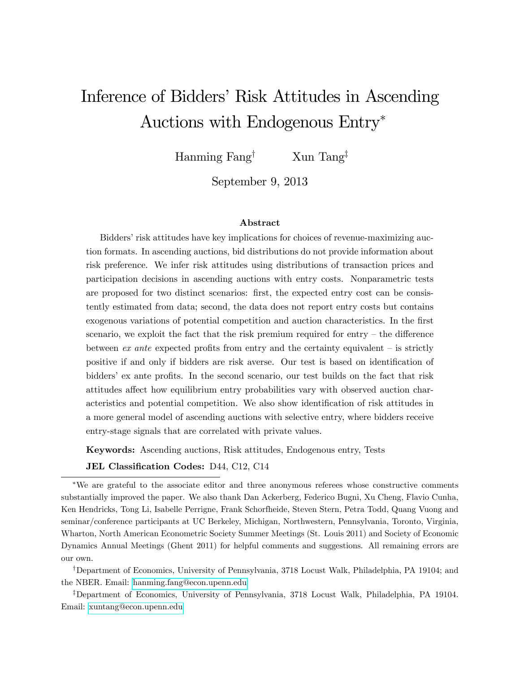# Inference of Bidders' Risk Attitudes in Ascending Auctions with Endogenous Entry

Hanming Fang<sup>†</sup> Xun Tang<sup>‡</sup>

September 9, 2013

#### Abstract

Bidders' risk attitudes have key implications for choices of revenue-maximizing auction formats. In ascending auctions, bid distributions do not provide information about risk preference. We infer risk attitudes using distributions of transaction prices and participation decisions in ascending auctions with entry costs. Nonparametric tests are proposed for two distinct scenarios: first, the expected entry cost can be consistently estimated from data; second, the data does not report entry costs but contains exogenous variations of potential competition and auction characteristics. In the first scenario, we exploit the fact that the risk premium required for entry  $-$  the difference between  $ex$  ante expected profits from entry and the certainty equivalent  $-$  is strictly positive if and only if bidders are risk averse. Our test is based on identification of bidders' ex ante profits. In the second scenario, our test builds on the fact that risk attitudes affect how equilibrium entry probabilities vary with observed auction characteristics and potential competition. We also show identification of risk attitudes in a more general model of ascending auctions with selective entry, where bidders receive entry-stage signals that are correlated with private values.

Keywords: Ascending auctions, Risk attitudes, Endogenous entry, Tests

JEL Classification Codes: D44, C12, C14

We are grateful to the associate editor and three anonymous referees whose constructive comments substantially improved the paper. We also thank Dan Ackerberg, Federico Bugni, Xu Cheng, Flavio Cunha, Ken Hendricks, Tong Li, Isabelle Perrigne, Frank Schorfheide, Steven Stern, Petra Todd, Quang Vuong and seminar/conference participants at UC Berkeley, Michigan, Northwestern, Pennsylvania, Toronto, Virginia, Wharton, North American Econometric Society Summer Meetings (St. Louis 2011) and Society of Economic Dynamics Annual Meetings (Ghent 2011) for helpful comments and suggestions. All remaining errors are our own.

<sup>†</sup>Department of Economics, University of Pennsylvania, 3718 Locust Walk, Philadelphia, PA 19104; and the NBER. Email: [hanming.fang@econ.upenn.edu](mailto:hanming.fang@econ.upenn.edu)

<sup>‡</sup>Department of Economics, University of Pennsylvania, 3718 Locust Walk, Philadelphia, PA 19104. Email: [xuntang@econ.upenn.edu](mailto:xuntang@econ.upenn.edu)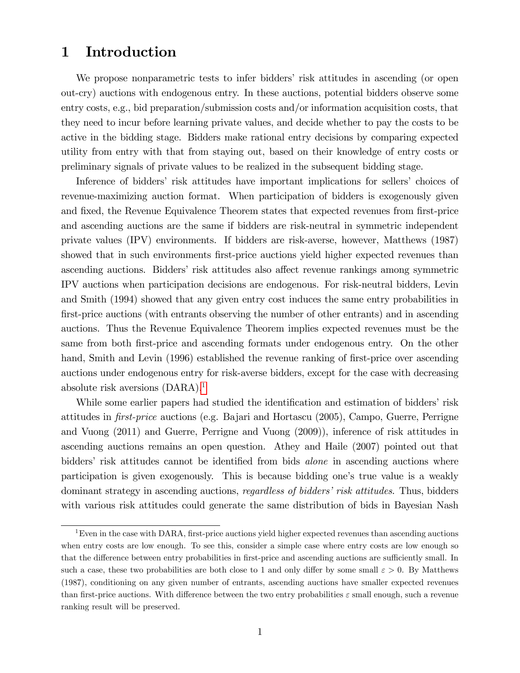## 1 Introduction

We propose nonparametric tests to infer bidders' risk attitudes in ascending (or open out-cry) auctions with endogenous entry. In these auctions, potential bidders observe some entry costs, e.g., bid preparation/submission costs and/or information acquisition costs, that they need to incur before learning private values, and decide whether to pay the costs to be active in the bidding stage. Bidders make rational entry decisions by comparing expected utility from entry with that from staying out, based on their knowledge of entry costs or preliminary signals of private values to be realized in the subsequent bidding stage.

Inference of bidders' risk attitudes have important implications for sellers' choices of revenue-maximizing auction format. When participation of bidders is exogenously given and fixed, the Revenue Equivalence Theorem states that expected revenues from first-price and ascending auctions are the same if bidders are risk-neutral in symmetric independent private values (IPV) environments. If bidders are risk-averse, however, Matthews (1987) showed that in such environments first-price auctions yield higher expected revenues than ascending auctions. Bidders' risk attitudes also affect revenue rankings among symmetric IPV auctions when participation decisions are endogenous. For risk-neutral bidders, Levin and Smith (1994) showed that any given entry cost induces the same entry probabilities in first-price auctions (with entrants observing the number of other entrants) and in ascending auctions. Thus the Revenue Equivalence Theorem implies expected revenues must be the same from both first-price and ascending formats under endogenous entry. On the other hand, Smith and Levin (1996) established the revenue ranking of first-price over ascending auctions under endogenous entry for risk-averse bidders, except for the case with decreasing absolute risk aversions (DARA).[1](#page-2-0)

While some earlier papers had studied the identification and estimation of bidders' risk attitudes in *first-price* auctions (e.g. Bajari and Hortascu (2005), Campo, Guerre, Perrigne and Vuong (2011) and Guerre, Perrigne and Vuong (2009)), inference of risk attitudes in ascending auctions remains an open question. Athey and Haile (2007) pointed out that bidders' risk attitudes cannot be identified from bids *alone* in ascending auctions where participation is given exogenously. This is because bidding one's true value is a weakly dominant strategy in ascending auctions, *regardless of bidders' risk attitudes*. Thus, bidders with various risk attitudes could generate the same distribution of bids in Bayesian Nash

<span id="page-2-0"></span><sup>&</sup>lt;sup>1</sup>Even in the case with DARA, first-price auctions yield higher expected revenues than ascending auctions when entry costs are low enough. To see this, consider a simple case where entry costs are low enough so that the difference between entry probabilities in first-price and ascending auctions are sufficiently small. In such a case, these two probabilities are both close to 1 and only differ by some small  $\varepsilon > 0$ . By Matthews (1987), conditioning on any given number of entrants, ascending auctions have smaller expected revenues than first-price auctions. With difference between the two entry probabilities  $\varepsilon$  small enough, such a revenue ranking result will be preserved.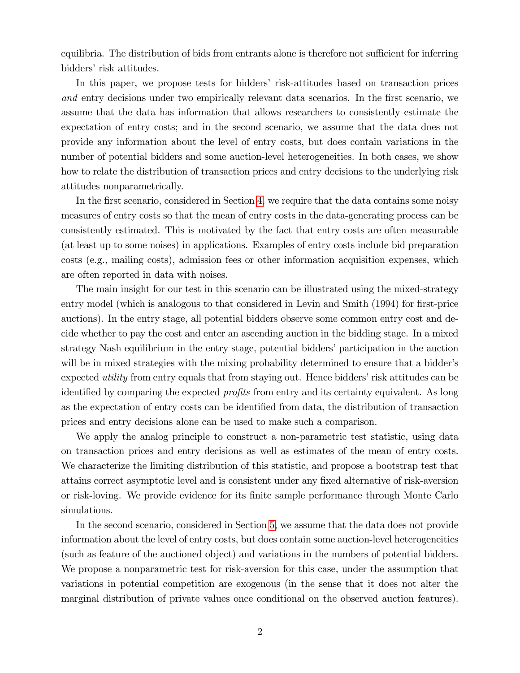equilibria. The distribution of bids from entrants alone is therefore not sufficient for inferring bidders' risk attitudes.

In this paper, we propose tests for bidders' risk-attitudes based on transaction prices and entry decisions under two empirically relevant data scenarios. In the first scenario, we assume that the data has information that allows researchers to consistently estimate the expectation of entry costs; and in the second scenario, we assume that the data does not provide any information about the level of entry costs, but does contain variations in the number of potential bidders and some auction-level heterogeneities. In both cases, we show how to relate the distribution of transaction prices and entry decisions to the underlying risk attitudes nonparametrically.

In the first scenario, considered in Section [4,](#page-8-0) we require that the data contains some noisy measures of entry costs so that the mean of entry costs in the data-generating process can be consistently estimated. This is motivated by the fact that entry costs are often measurable (at least up to some noises) in applications. Examples of entry costs include bid preparation costs (e.g., mailing costs), admission fees or other information acquisition expenses, which are often reported in data with noises.

The main insight for our test in this scenario can be illustrated using the mixed-strategy entry model (which is analogous to that considered in Levin and Smith (1994) for first-price auctions). In the entry stage, all potential bidders observe some common entry cost and decide whether to pay the cost and enter an ascending auction in the bidding stage. In a mixed strategy Nash equilibrium in the entry stage, potential bidders' participation in the auction will be in mixed strategies with the mixing probability determined to ensure that a bidder's expected *utility* from entry equals that from staying out. Hence bidders' risk attitudes can be identified by comparing the expected *profits* from entry and its certainty equivalent. As long as the expectation of entry costs can be identified from data, the distribution of transaction prices and entry decisions alone can be used to make such a comparison.

We apply the analog principle to construct a non-parametric test statistic, using data on transaction prices and entry decisions as well as estimates of the mean of entry costs. We characterize the limiting distribution of this statistic, and propose a bootstrap test that attains correct asymptotic level and is consistent under any Öxed alternative of risk-aversion or risk-loving. We provide evidence for its Önite sample performance through Monte Carlo simulations.

In the second scenario, considered in Section [5,](#page-22-0) we assume that the data does not provide information about the level of entry costs, but does contain some auction-level heterogeneities (such as feature of the auctioned object) and variations in the numbers of potential bidders. We propose a nonparametric test for risk-aversion for this case, under the assumption that variations in potential competition are exogenous (in the sense that it does not alter the marginal distribution of private values once conditional on the observed auction features).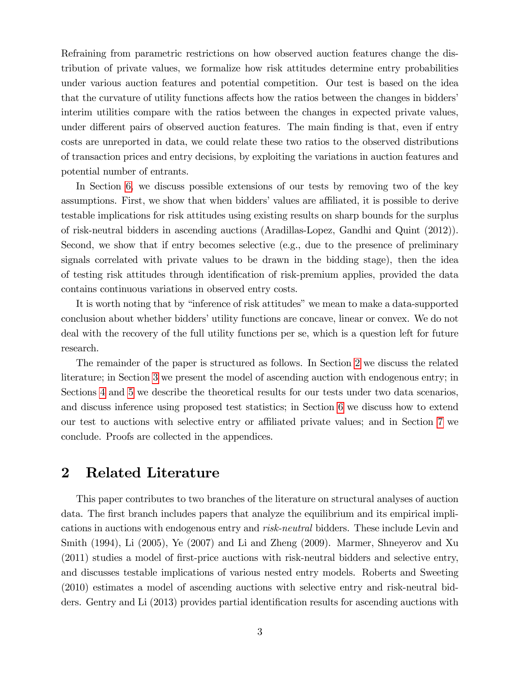Refraining from parametric restrictions on how observed auction features change the distribution of private values, we formalize how risk attitudes determine entry probabilities under various auction features and potential competition. Our test is based on the idea that the curvature of utility functions affects how the ratios between the changes in bidders' interim utilities compare with the ratios between the changes in expected private values, under different pairs of observed auction features. The main finding is that, even if entry costs are unreported in data, we could relate these two ratios to the observed distributions of transaction prices and entry decisions, by exploiting the variations in auction features and potential number of entrants.

In Section [6,](#page-32-0) we discuss possible extensions of our tests by removing two of the key assumptions. First, we show that when bidders' values are affiliated, it is possible to derive testable implications for risk attitudes using existing results on sharp bounds for the surplus of risk-neutral bidders in ascending auctions (Aradillas-Lopez, Gandhi and Quint (2012)). Second, we show that if entry becomes selective (e.g., due to the presence of preliminary signals correlated with private values to be drawn in the bidding stage), then the idea of testing risk attitudes through identification of risk-premium applies, provided the data contains continuous variations in observed entry costs.

It is worth noting that by "inference of risk attitudes" we mean to make a data-supported conclusion about whether bidders' utility functions are concave, linear or convex. We do not deal with the recovery of the full utility functions per se, which is a question left for future research.

The remainder of the paper is structured as follows. In Section [2](#page-4-0) we discuss the related literature; in Section [3](#page-6-0) we present the model of ascending auction with endogenous entry; in Sections [4](#page-8-0) and [5](#page-22-0) we describe the theoretical results for our tests under two data scenarios, and discuss inference using proposed test statistics; in Section [6](#page-32-0) we discuss how to extend our test to auctions with selective entry or affiliated private values; and in Section [7](#page-37-0) we conclude. Proofs are collected in the appendices.

## <span id="page-4-0"></span>2 Related Literature

This paper contributes to two branches of the literature on structural analyses of auction data. The first branch includes papers that analyze the equilibrium and its empirical implications in auctions with endogenous entry and risk-neutral bidders. These include Levin and Smith (1994), Li (2005), Ye (2007) and Li and Zheng (2009). Marmer, Shneyerov and Xu  $(2011)$  studies a model of first-price auctions with risk-neutral bidders and selective entry, and discusses testable implications of various nested entry models. Roberts and Sweeting (2010) estimates a model of ascending auctions with selective entry and risk-neutral bidders. Gentry and Li (2013) provides partial identification results for ascending auctions with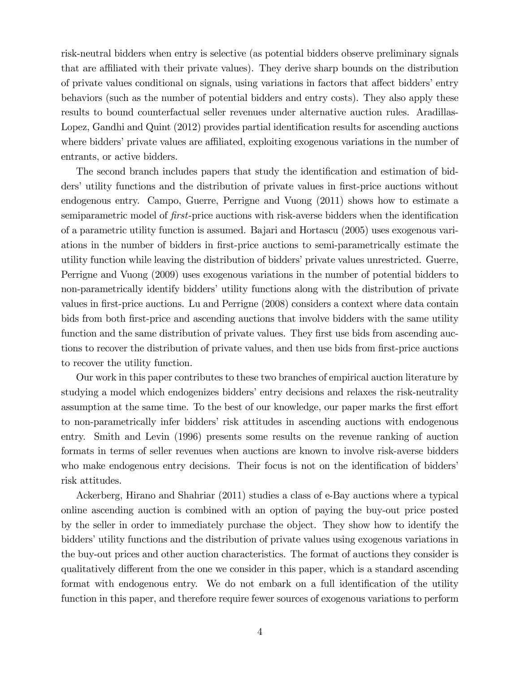risk-neutral bidders when entry is selective (as potential bidders observe preliminary signals that are affiliated with their private values). They derive sharp bounds on the distribution of private values conditional on signals, using variations in factors that affect bidders' entry behaviors (such as the number of potential bidders and entry costs). They also apply these results to bound counterfactual seller revenues under alternative auction rules. Aradillas-Lopez, Gandhi and Quint (2012) provides partial identification results for ascending auctions where bidders' private values are affiliated, exploiting exogenous variations in the number of entrants, or active bidders.

The second branch includes papers that study the identification and estimation of bidders' utility functions and the distribution of private values in first-price auctions without endogenous entry. Campo, Guerre, Perrigne and Vuong (2011) shows how to estimate a semiparametric model of first-price auctions with risk-averse bidders when the identification of a parametric utility function is assumed. Bajari and Hortascu (2005) uses exogenous variations in the number of bidders in first-price auctions to semi-parametrically estimate the utility function while leaving the distribution of bidders' private values unrestricted. Guerre, Perrigne and Vuong (2009) uses exogenous variations in the number of potential bidders to non-parametrically identify bidders' utility functions along with the distribution of private values in Örst-price auctions. Lu and Perrigne (2008) considers a context where data contain bids from both first-price and ascending auctions that involve bidders with the same utility function and the same distribution of private values. They first use bids from ascending auctions to recover the distribution of private values, and then use bids from first-price auctions to recover the utility function.

Our work in this paper contributes to these two branches of empirical auction literature by studying a model which endogenizes bidders' entry decisions and relaxes the risk-neutrality assumption at the same time. To the best of our knowledge, our paper marks the first effort to non-parametrically infer biddersí risk attitudes in ascending auctions with endogenous entry. Smith and Levin (1996) presents some results on the revenue ranking of auction formats in terms of seller revenues when auctions are known to involve risk-averse bidders who make endogenous entry decisions. Their focus is not on the identification of bidders' risk attitudes.

Ackerberg, Hirano and Shahriar (2011) studies a class of e-Bay auctions where a typical online ascending auction is combined with an option of paying the buy-out price posted by the seller in order to immediately purchase the object. They show how to identify the bidders' utility functions and the distribution of private values using exogenous variations in the buy-out prices and other auction characteristics. The format of auctions they consider is qualitatively different from the one we consider in this paper, which is a standard ascending format with endogenous entry. We do not embark on a full identification of the utility function in this paper, and therefore require fewer sources of exogenous variations to perform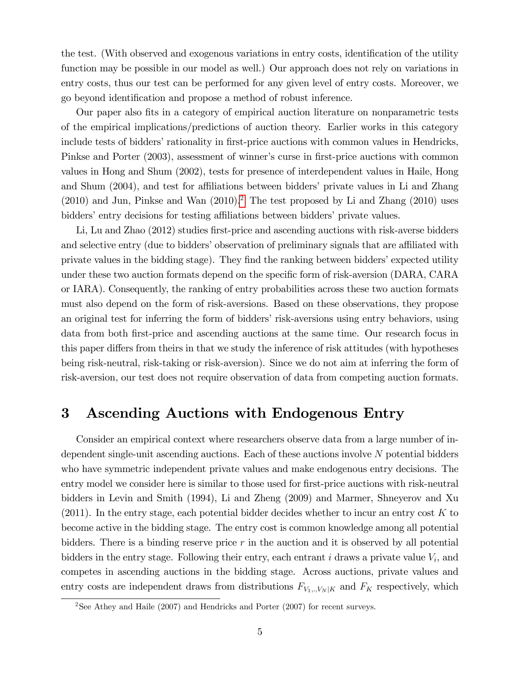the test. (With observed and exogenous variations in entry costs, identification of the utility function may be possible in our model as well.) Our approach does not rely on variations in entry costs, thus our test can be performed for any given level of entry costs. Moreover, we go beyond identification and propose a method of robust inference.

Our paper also Öts in a category of empirical auction literature on nonparametric tests of the empirical implications/predictions of auction theory. Earlier works in this category include tests of bidders' rationality in first-price auctions with common values in Hendricks, Pinkse and Porter (2003), assessment of winner's curse in first-price auctions with common values in Hong and Shum (2002), tests for presence of interdependent values in Haile, Hong and Shum (2004), and test for affiliations between bidders' private values in Li and Zhang  $(2010)$  $(2010)$  $(2010)$  and Jun, Pinkse and Wan  $(2010).<sup>2</sup>$  The test proposed by Li and Zhang  $(2010)$  uses bidders' entry decisions for testing affiliations between bidders' private values.

Li, Lu and Zhao (2012) studies first-price and ascending auctions with risk-averse bidders and selective entry (due to bidders' observation of preliminary signals that are affiliated with private values in the bidding stage). They find the ranking between bidders' expected utility under these two auction formats depend on the specific form of risk-aversion (DARA, CARA) or IARA). Consequently, the ranking of entry probabilities across these two auction formats must also depend on the form of risk-aversions. Based on these observations, they propose an original test for inferring the form of bidders' risk-aversions using entry behaviors, using data from both first-price and ascending auctions at the same time. Our research focus in this paper differs from theirs in that we study the inference of risk attitudes (with hypotheses being risk-neutral, risk-taking or risk-aversion). Since we do not aim at inferring the form of risk-aversion, our test does not require observation of data from competing auction formats.

## <span id="page-6-0"></span>3 Ascending Auctions with Endogenous Entry

Consider an empirical context where researchers observe data from a large number of independent single-unit ascending auctions. Each of these auctions involve N potential bidders who have symmetric independent private values and make endogenous entry decisions. The entry model we consider here is similar to those used for first-price auctions with risk-neutral bidders in Levin and Smith (1994), Li and Zheng (2009) and Marmer, Shneyerov and Xu  $(2011)$ . In the entry stage, each potential bidder decides whether to incur an entry cost K to become active in the bidding stage. The entry cost is common knowledge among all potential bidders. There is a binding reserve price  $r$  in the auction and it is observed by all potential bidders in the entry stage. Following their entry, each entrant  $i$  draws a private value  $V_i$ , and competes in ascending auctions in the bidding stage. Across auctions, private values and entry costs are independent draws from distributions  $F_{V_1, \ldots, V_N|K}$  and  $F_K$  respectively, which

<span id="page-6-1"></span> $2$ See Athey and Haile (2007) and Hendricks and Porter (2007) for recent surveys.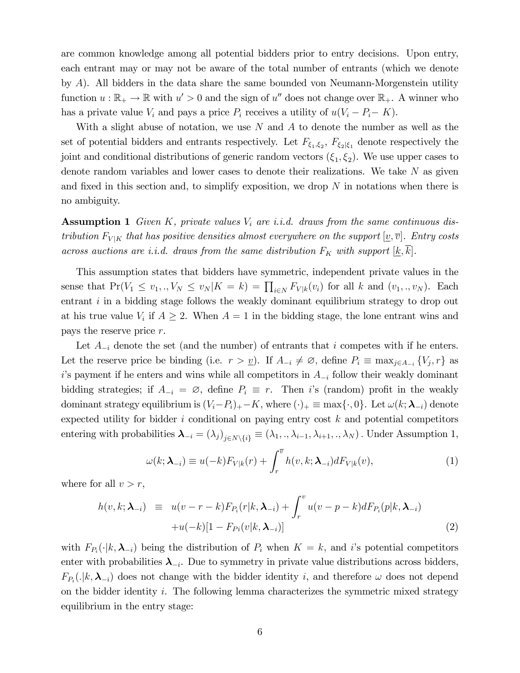are common knowledge among all potential bidders prior to entry decisions. Upon entry, each entrant may or may not be aware of the total number of entrants (which we denote by A). All bidders in the data share the same bounded von Neumann-Morgenstein utility function  $u : \mathbb{R}_+ \to \mathbb{R}$  with  $u' > 0$  and the sign of  $u''$  does not change over  $\mathbb{R}_+$ . A winner who has a private value  $V_i$  and pays a price  $P_i$  receives a utility of  $u(V_i - P_i - K)$ .

With a slight abuse of notation, we use N and A to denote the number as well as the set of potential bidders and entrants respectively. Let  $F_{\xi_1,\xi_2}$ ,  $F_{\xi_2|\xi_1}$  denote respectively the joint and conditional distributions of generic random vectors  $(\xi_1, \xi_2)$ . We use upper cases to denote random variables and lower cases to denote their realizations. We take N as given and fixed in this section and, to simplify exposition, we drop  $N$  in notations when there is no ambiguity.

**Assumption 1** Given K, private values  $V_i$  are i.i.d. draws from the same continuous distribution  $F_{V|K}$  that has positive densities almost everywhere on the support  $[\underline{v}, \overline{v}]$ . Entry costs across auctions are i.i.d. draws from the same distribution  $F_K$  with support  $[\underline{k}, \overline{k}]$ .

This assumption states that bidders have symmetric, independent private values in the sense that  $Pr(V_1 \le v_1,., V_N \le v_N | K = k) = \prod_{i \in N} F_{V|k}(v_i)$  for all k and  $(v_1,., v_N)$ . Each entrant  $i$  in a bidding stage follows the weakly dominant equilibrium strategy to drop out at his true value  $V_i$  if  $A \geq 2$ . When  $A = 1$  in the bidding stage, the lone entrant wins and pays the reserve price r.

Let  $A_{-i}$  denote the set (and the number) of entrants that i competes with if he enters. Let the reserve price be binding (i.e.  $r > \underline{v}$ ). If  $A_{-i} \neq \emptyset$ , define  $P_i \equiv \max_{j \in A_{-i}} \{V_j, r\}$  as i's payment if he enters and wins while all competitors in  $A_{-i}$  follow their weakly dominant bidding strategies; if  $A_{-i} = \emptyset$ , define  $P_i \equiv r$ . Then is (random) profit in the weakly dominant strategy equilibrium is  $(V_i-P_i)_+ - K$ , where  $(\cdot)_+ \equiv \max\{\cdot, 0\}$ . Let  $\omega(k; \lambda_{-i})$  denote expected utility for bidder  $i$  conditional on paying entry cost  $k$  and potential competitors entering with probabilities  $\boldsymbol{\lambda}_{-i} = (\lambda_j)_{j \in N \setminus \{i\}} \equiv (\lambda_1,., \lambda_{i-1}, \lambda_{i+1},., \lambda_N)$ . Under Assumption 1,

<span id="page-7-1"></span>
$$
\omega(k; \lambda_{-i}) \equiv u(-k) F_{V|k}(r) + \int_r^{\overline{v}} h(v, k; \lambda_{-i}) dF_{V|k}(v), \qquad (1)
$$

where for all  $v > r$ ,

$$
h(v,k; \boldsymbol{\lambda}_{-i}) \equiv u(v-r-k)F_{P_i}(r|k, \boldsymbol{\lambda}_{-i}) + \int_r^v u(v-p-k)dF_{P_i}(p|k, \boldsymbol{\lambda}_{-i})
$$
  
+u(-k)[1 - F\_{P\_i}(v|k, \boldsymbol{\lambda}\_{-i})] (2)

<span id="page-7-0"></span>with  $F_{P_i}(\cdot|k,\lambda_{-i})$  being the distribution of  $P_i$  when  $K = k$ , and i's potential competitors enter with probabilities  $\lambda_{-i}$ . Due to symmetry in private value distributions across bidders,  $F_{P_i}(.|k,\lambda_{-i})$  does not change with the bidder identity i, and therefore  $\omega$  does not depend on the bidder identity  $i$ . The following lemma characterizes the symmetric mixed strategy equilibrium in the entry stage: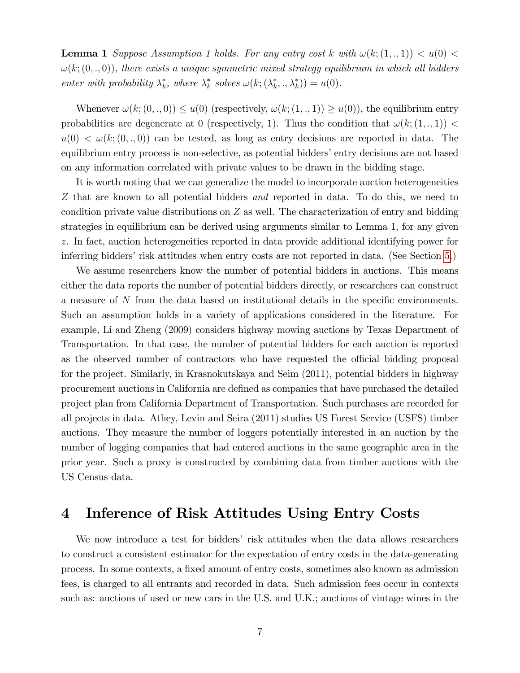**Lemma 1** Suppose Assumption 1 holds. For any entry cost k with  $\omega(k; (1, ., 1)) < u(0)$  $\omega(k; (0, \cdot, 0))$ , there exists a unique symmetric mixed strategy equilibrium in which all bidders enter with probability  $\lambda_k^*$ , where  $\lambda_k^*$  solves  $\omega(k; (\lambda_k^*, \lambda_k^*)) = u(0)$ .

Whenever  $\omega(k; (0, ., 0)) \leq u(0)$  (respectively,  $\omega(k; (1, ., 1)) \geq u(0)$ ), the equilibrium entry probabilities are degenerate at 0 (respectively, 1). Thus the condition that  $\omega(k; (1, ., 1))$  $u(0) < \omega(k; (0, ., 0))$  can be tested, as long as entry decisions are reported in data. The equilibrium entry process is non-selective, as potential bidders' entry decisions are not based on any information correlated with private values to be drawn in the bidding stage.

It is worth noting that we can generalize the model to incorporate auction heterogeneities Z that are known to all potential bidders and reported in data. To do this, we need to condition private value distributions on  $Z$  as well. The characterization of entry and bidding strategies in equilibrium can be derived using arguments similar to Lemma 1, for any given z. In fact, auction heterogeneities reported in data provide additional identifying power for inferring bidders' risk attitudes when entry costs are not reported in data. (See Section [5.](#page-22-0))

We assume researchers know the number of potential bidders in auctions. This means either the data reports the number of potential bidders directly, or researchers can construct a measure of  $N$  from the data based on institutional details in the specific environments. Such an assumption holds in a variety of applications considered in the literature. For example, Li and Zheng (2009) considers highway mowing auctions by Texas Department of Transportation. In that case, the number of potential bidders for each auction is reported as the observed number of contractors who have requested the official bidding proposal for the project. Similarly, in Krasnokutskaya and Seim (2011), potential bidders in highway procurement auctions in California are defined as companies that have purchased the detailed project plan from California Department of Transportation. Such purchases are recorded for all projects in data. Athey, Levin and Seira (2011) studies US Forest Service (USFS) timber auctions. They measure the number of loggers potentially interested in an auction by the number of logging companies that had entered auctions in the same geographic area in the prior year. Such a proxy is constructed by combining data from timber auctions with the US Census data.

## <span id="page-8-0"></span>4 Inference of Risk Attitudes Using Entry Costs

We now introduce a test for bidders' risk attitudes when the data allows researchers to construct a consistent estimator for the expectation of entry costs in the data-generating process. In some contexts, a Öxed amount of entry costs, sometimes also known as admission fees, is charged to all entrants and recorded in data. Such admission fees occur in contexts such as: auctions of used or new cars in the U.S. and U.K.; auctions of vintage wines in the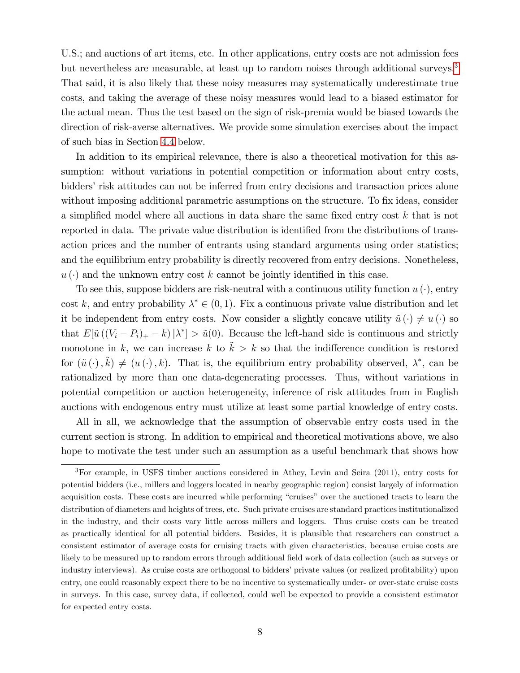U.S.; and auctions of art items, etc. In other applications, entry costs are not admission fees but nevertheless are measurable, at least up to random noises through additional surveys.<sup>[3](#page-9-0)</sup> That said, it is also likely that these noisy measures may systematically underestimate true costs, and taking the average of these noisy measures would lead to a biased estimator for the actual mean. Thus the test based on the sign of risk-premia would be biased towards the direction of risk-averse alternatives. We provide some simulation exercises about the impact of such bias in Section [4.4](#page-18-0) below.

In addition to its empirical relevance, there is also a theoretical motivation for this assumption: without variations in potential competition or information about entry costs, bidders' risk attitudes can not be inferred from entry decisions and transaction prices alone without imposing additional parametric assumptions on the structure. To fix ideas, consider a simplified model where all auctions in data share the same fixed entry cost  $k$  that is not reported in data. The private value distribution is identified from the distributions of transaction prices and the number of entrants using standard arguments using order statistics; and the equilibrium entry probability is directly recovered from entry decisions. Nonetheless,  $u(\cdot)$  and the unknown entry cost k cannot be jointly identified in this case.

To see this, suppose bidders are risk-neutral with a continuous utility function  $u(\cdot)$ , entry cost k, and entry probability  $\lambda^* \in (0, 1)$ . Fix a continuous private value distribution and let it be independent from entry costs. Now consider a slightly concave utility  $\tilde{u}(\cdot) \neq u(\cdot)$  so that  $E[\tilde{u}((V_i - P_i)_+ - k)|\lambda^*] > \tilde{u}(0)$ . Because the left-hand side is continuous and strictly monotone in k, we can increase k to  $\tilde{k} > k$  so that the indifference condition is restored for  $(\tilde{u}(\cdot), \tilde{k}) \neq (u(\cdot), k)$ . That is, the equilibrium entry probability observed,  $\lambda^*$ , can be rationalized by more than one data-degenerating processes. Thus, without variations in potential competition or auction heterogeneity, inference of risk attitudes from in English auctions with endogenous entry must utilize at least some partial knowledge of entry costs.

All in all, we acknowledge that the assumption of observable entry costs used in the current section is strong. In addition to empirical and theoretical motivations above, we also hope to motivate the test under such an assumption as a useful benchmark that shows how

<span id="page-9-0"></span><sup>3</sup>For example, in USFS timber auctions considered in Athey, Levin and Seira (2011), entry costs for potential bidders (i.e., millers and loggers located in nearby geographic region) consist largely of information acquisition costs. These costs are incurred while performing "cruises" over the auctioned tracts to learn the distribution of diameters and heights of trees, etc. Such private cruises are standard practices institutionalized in the industry, and their costs vary little across millers and loggers. Thus cruise costs can be treated as practically identical for all potential bidders. Besides, it is plausible that researchers can construct a consistent estimator of average costs for cruising tracts with given characteristics, because cruise costs are likely to be measured up to random errors through additional field work of data collection (such as surveys or industry interviews). As cruise costs are orthogonal to bidders' private values (or realized profitability) upon entry, one could reasonably expect there to be no incentive to systematically under- or over-state cruise costs in surveys. In this case, survey data, if collected, could well be expected to provide a consistent estimator for expected entry costs.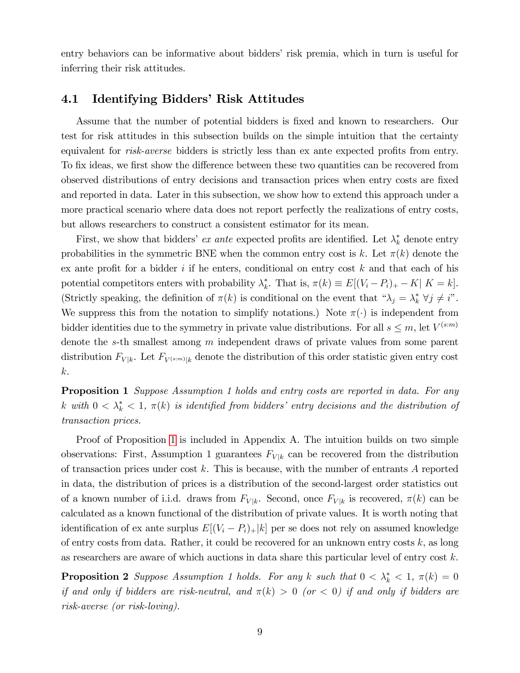entry behaviors can be informative about bidders' risk premia, which in turn is useful for inferring their risk attitudes.

#### <span id="page-10-2"></span>4.1 Identifying Bidders' Risk Attitudes

Assume that the number of potential bidders is fixed and known to researchers. Our test for risk attitudes in this subsection builds on the simple intuition that the certainty equivalent for *risk-averse* bidders is strictly less than ex ante expected profits from entry. To fix ideas, we first show the difference between these two quantities can be recovered from observed distributions of entry decisions and transaction prices when entry costs are Öxed and reported in data. Later in this subsection, we show how to extend this approach under a more practical scenario where data does not report perfectly the realizations of entry costs, but allows researchers to construct a consistent estimator for its mean.

First, we show that bidders' *ex ante* expected profits are identified. Let  $\lambda_k^*$  denote entry probabilities in the symmetric BNE when the common entry cost is k. Let  $\pi(k)$  denote the ex ante profit for a bidder  $i$  if he enters, conditional on entry cost  $k$  and that each of his potential competitors enters with probability  $\lambda_k^*$ . That is,  $\pi(k) \equiv E[(V_i - P_i)_+ - K | K = k]$ . (Strictly speaking, the definition of  $\pi(k)$  is conditional on the event that  $\alpha \lambda_j = \lambda_k^* \ \forall j \neq i$ . We suppress this from the notation to simplify notations.) Note  $\pi(\cdot)$  is independent from bidder identities due to the symmetry in private value distributions. For all  $s \leq m$ , let  $V^{(s:m)}$ denote the s-th smallest among m independent draws of private values from some parent distribution  $F_{V|k}$ . Let  $F_{V^{(s:m)}|k}$  denote the distribution of this order statistic given entry cost k.

<span id="page-10-0"></span>**Proposition 1** Suppose Assumption 1 holds and entry costs are reported in data. For any k with  $0 < \lambda^*_{k} < 1$ ,  $\pi(k)$  is identified from bidders' entry decisions and the distribution of transaction prices.

Proof of Proposition [1](#page-10-0) is included in Appendix A. The intuition builds on two simple observations: First, Assumption 1 guarantees  $F_{V|k}$  can be recovered from the distribution of transaction prices under cost k. This is because, with the number of entrants  $A$  reported in data, the distribution of prices is a distribution of the second-largest order statistics out of a known number of i.i.d. draws from  $F_{V|k}$ . Second, once  $F_{V|k}$  is recovered,  $\pi(k)$  can be calculated as a known functional of the distribution of private values. It is worth noting that identification of ex ante surplus  $E[(V_i - P_i)_+|k]$  per se does not rely on assumed knowledge of entry costs from data. Rather, it could be recovered for an unknown entry costs  $k$ , as long as researchers are aware of which auctions in data share this particular level of entry cost k.

<span id="page-10-1"></span>**Proposition 2** Suppose Assumption 1 holds. For any k such that  $0 < \lambda_k^* < 1$ ,  $\pi(k) = 0$ if and only if bidders are risk-neutral, and  $\pi(k) > 0$  (or  $< 0$ ) if and only if bidders are risk-averse (or risk-loving).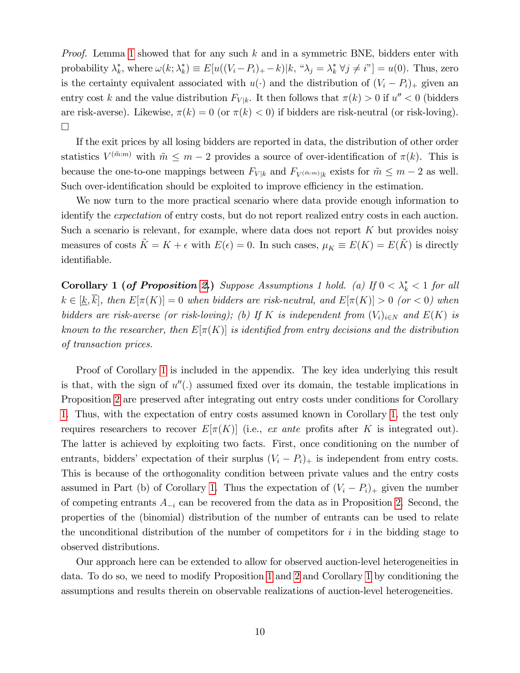*Proof.* Lemma [1](#page-7-0) showed that for any such  $k$  and in a symmetric BNE, bidders enter with probability  $\lambda_k^*$ , where  $\omega(k; \lambda_k^*) \equiv E[u((V_i - P_i)_+ - k)|k, " \lambda_j = \lambda_k^* \ \forall j \neq i"] = u(0)$ . Thus, zero is the certainty equivalent associated with  $u(\cdot)$  and the distribution of  $(V_i - P_i)_{+}$  given an entry cost k and the value distribution  $F_{V|k}$ . It then follows that  $\pi(k) > 0$  if  $u'' < 0$  (bidders are risk-averse). Likewise,  $\pi(k) = 0$  (or  $\pi(k) < 0$ ) if bidders are risk-neutral (or risk-loving).  $\Box$ 

If the exit prices by all losing bidders are reported in data, the distribution of other order statistics  $V^{(\tilde{m}:m)}$  with  $\tilde{m} \leq m-2$  provides a source of over-identification of  $\pi(k)$ . This is because the one-to-one mappings between  $F_{V|k}$  and  $F_{V(\tilde{m}:m)|k}$  exists for  $\tilde{m} \leq m-2$  as well. Such over-identification should be exploited to improve efficiency in the estimation.

We now turn to the more practical scenario where data provide enough information to identify the expectation of entry costs, but do not report realized entry costs in each auction. Such a scenario is relevant, for example, where data does not report  $K$  but provides noisy measures of costs  $\tilde{K} = K + \epsilon$  with  $E(\epsilon) = 0$ . In such cases,  $\mu_K \equiv E(K) = E(\tilde{K})$  is directly identifiable.

<span id="page-11-0"></span>**Corollary 1 (of Proposition [2.](#page-10-1))** Suppose Assumptions 1 hold. (a) If  $0 < \lambda_k^* < 1$  for all  $k \in [\underline{k}, \overline{k}]$ , then  $E[\pi(K)] = 0$  when bidders are risk-neutral, and  $E[\pi(K)] > 0$  (or < 0) when bidders are risk-averse (or risk-loving); (b) If K is independent from  $(V_i)_{i\in N}$  and  $E(K)$  is known to the researcher, then  $E[\pi(K)]$  is identified from entry decisions and the distribution of transaction prices.

Proof of Corollary [1](#page-11-0) is included in the appendix. The key idea underlying this result is that, with the sign of  $u''(.)$  assumed fixed over its domain, the testable implications in Proposition [2](#page-10-1) are preserved after integrating out entry costs under conditions for Corollary [1.](#page-11-0) Thus, with the expectation of entry costs assumed known in Corollary [1,](#page-11-0) the test only requires researchers to recover  $E[\pi(K)]$  (i.e., ex ante profits after K is integrated out). The latter is achieved by exploiting two facts. First, once conditioning on the number of entrants, bidders' expectation of their surplus  $(V_i - P_i)_+$  is independent from entry costs. This is because of the orthogonality condition between private values and the entry costs assumed in Part (b) of Corollary [1.](#page-11-0) Thus the expectation of  $(V_i - P_i)$  given the number of competing entrants  $A_{-i}$  can be recovered from the data as in Proposition [2.](#page-10-1) Second, the properties of the (binomial) distribution of the number of entrants can be used to relate the unconditional distribution of the number of competitors for  $i$  in the bidding stage to observed distributions.

Our approach here can be extended to allow for observed auction-level heterogeneities in data. To do so, we need to modify Proposition [1](#page-10-0) and [2](#page-10-1) and Corollary [1](#page-11-0) by conditioning the assumptions and results therein on observable realizations of auction-level heterogeneities.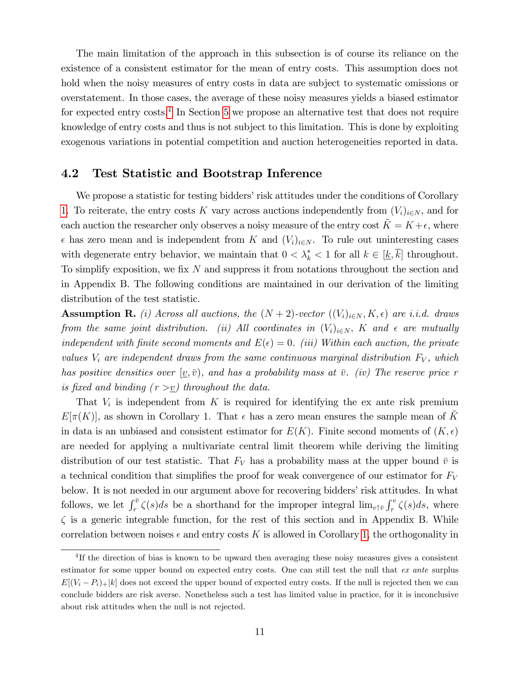The main limitation of the approach in this subsection is of course its reliance on the existence of a consistent estimator for the mean of entry costs. This assumption does not hold when the noisy measures of entry costs in data are subject to systematic omissions or overstatement. In those cases, the average of these noisy measures yields a biased estimator for expected entry costs.<sup>[4](#page-12-0)</sup> In Section [5](#page-22-0) we propose an alternative test that does not require knowledge of entry costs and thus is not subject to this limitation. This is done by exploiting exogenous variations in potential competition and auction heterogeneities reported in data.

#### <span id="page-12-1"></span>4.2 Test Statistic and Bootstrap Inference

We propose a statistic for testing bidders' risk attitudes under the conditions of Corollary [1.](#page-11-0) To reiterate, the entry costs K vary across auctions independently from  $(V_i)_{i\in N}$ , and for each auction the researcher only observes a noisy measure of the entry cost  $\tilde{K} = K + \epsilon$ , where  $\epsilon$  has zero mean and is independent from K and  $(V_i)_{i\in N}$ . To rule out uninteresting cases with degenerate entry behavior, we maintain that  $0 < \lambda_k^* < 1$  for all  $k \in [\underline{k}, k]$  throughout. To simplify exposition, we fix  $N$  and suppress it from notations throughout the section and in Appendix B. The following conditions are maintained in our derivation of the limiting distribution of the test statistic.

**Assumption R.** (i) Across all auctions, the  $(N + 2)$ -vector  $((V_i)_{i \in N}, K, \epsilon)$  are i.i.d. draws from the same joint distribution. (ii) All coordinates in  $(V_i)_{i\in N}$ , K and  $\epsilon$  are mutually independent with finite second moments and  $E(\epsilon) = 0$ . (iii) Within each auction, the private values  $V_i$  are independent draws from the same continuous marginal distribution  $F_V$ , which has positive densities over  $(v,\bar{v})$ , and has a probability mass at  $\bar{v}$ . (iv) The reserve price r is fixed and binding  $(r > v)$  throughout the data.

That  $V_i$  is independent from K is required for identifying the ex ante risk premium  $E[\pi(K)]$ , as shown in Corollary 1. That  $\epsilon$  has a zero mean ensures the sample mean of  $\tilde{K}$ in data is an unbiased and consistent estimator for  $E(K)$ . Finite second moments of  $(K, \epsilon)$ are needed for applying a multivariate central limit theorem while deriving the limiting distribution of our test statistic. That  $F_V$  has a probability mass at the upper bound  $\bar{v}$  is a technical condition that simplifies the proof for weak convergence of our estimator for  $F_V$ below. It is not needed in our argument above for recovering bidders' risk attitudes. In what follows, we let  $\int_r^{\bar{v}} \zeta(s)ds$  be a shorthand for the improper integral  $\lim_{v \uparrow \bar{v}} \int_r^v \zeta(s)ds$ , where  $\zeta$  is a generic integrable function, for the rest of this section and in Appendix B. While correlation between noises  $\epsilon$  and entry costs K is allowed in Corollary [1,](#page-11-0) the orthogonality in

<span id="page-12-0"></span><sup>&</sup>lt;sup>4</sup>If the direction of bias is known to be upward then averaging these noisy measures gives a consistent estimator for some upper bound on expected entry costs. One can still test the null that ex ante surplus  $E[(V_i - P_i)_+|k]$  does not exceed the upper bound of expected entry costs. If the null is rejected then we can conclude bidders are risk averse. Nonetheless such a test has limited value in practice, for it is inconclusive about risk attitudes when the null is not rejected.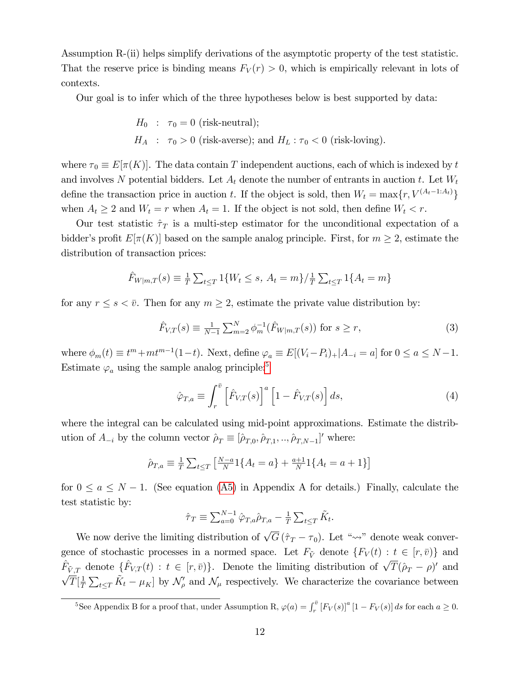Assumption R-(ii) helps simplify derivations of the asymptotic property of the test statistic. That the reserve price is binding means  $F_V(r) > 0$ , which is empirically relevant in lots of contexts.

Our goal is to infer which of the three hypotheses below is best supported by data:

$$
H_0: \tau_0 = 0
$$
 (risk-neutral);  

$$
H_A: \tau_0 > 0
$$
 (risk-averse); and  $H_L: \tau_0 < 0$  (risk-loving).

where  $\tau_0 \equiv E[\pi(K)]$ . The data contain T independent auctions, each of which is indexed by t and involves N potential bidders. Let  $A_t$  denote the number of entrants in auction t. Let  $W_t$ define the transaction price in auction t. If the object is sold, then  $W_t = \max\{r, V^{(A_t-1:A_t)}\}$ when  $A_t \geq 2$  and  $W_t = r$  when  $A_t = 1$ . If the object is not sold, then define  $W_t < r$ .

Our test statistic  $\hat{\tau}_T$  is a multi-step estimator for the unconditional expectation of a bidder's profit  $E[\pi(K)]$  based on the sample analog principle. First, for  $m \geq 2$ , estimate the distribution of transaction prices:

$$
\hat{F}_{W|m,T}(s) \equiv \frac{1}{T} \sum_{t \leq T} 1\{W_t \leq s, A_t = m\}/\frac{1}{T} \sum_{t \leq T} 1\{A_t = m\}
$$

for any  $r \leq s < \bar{v}$ . Then for any  $m \geq 2$ , estimate the private value distribution by:

<span id="page-13-1"></span>
$$
\hat{F}_{V,T}(s) \equiv \frac{1}{N-1} \sum_{m=2}^{N} \phi_m^{-1}(\hat{F}_{W|m,T}(s)) \text{ for } s \ge r,
$$
\n(3)

where  $\phi_m(t) \equiv t^m + mt^{m-1}(1-t)$ . Next, define  $\varphi_a \equiv E[(V_i - P_i)_+|A_{-i} = a]$  for  $0 \le a \le N-1$ . Estimate  $\varphi_a$  using the sample analog principle:<sup>[5](#page-13-0)</sup>

<span id="page-13-2"></span>
$$
\hat{\varphi}_{T,a} \equiv \int_r^{\bar{v}} \left[ \hat{F}_{V,T}(s) \right]^a \left[ 1 - \hat{F}_{V,T}(s) \right] ds,
$$
\n(4)

where the integral can be calculated using mid-point approximations. Estimate the distribution of  $A_{-i}$  by the column vector  $\rho_T \equiv [\hat{\rho}_{T,0}, \hat{\rho}_{T,1}, \dots, \hat{\rho}_{T,N-1}]'$  where:

$$
\hat{\rho}_{T,a} \equiv \frac{1}{T} \sum_{t \le T} \left[ \frac{N-a}{N} 1\{A_t = a\} + \frac{a+1}{N} 1\{A_t = a+1\} \right]
$$

for  $0 \le a \le N - 1$ . (See equation [\(A5\)](#page-39-0) in Appendix A for details.) Finally, calculate the test statistic by:

$$
\hat{\tau}_T \equiv \sum_{a=0}^{N-1} \hat{\varphi}_{T,a} \hat{\rho}_{T,a} - \frac{1}{T} \sum_{t \leq T} \tilde{K}_t.
$$

We now derive the limiting distribution of  $\sqrt{G}(\hat{\tau}_T - \tau_0)$ . Let " $\rightsquigarrow$ " denote weak convergence of stochastic processes in a normed space. Let  $F_{\tilde{V}}$  denote  $\{F_V(t): t \in [r, \bar{v}\}\$  and  $\hat{F}_{\tilde{V},T}$  denote  $\{\hat{F}_{V,T}(t) : t \in [r,\bar{v}]\}\$ . Denote the limiting distribution of  $\sqrt{T}(\hat{\rho}_T - \rho)'$  and  $\sqrt{T}[\frac{1}{\tau}]$  $\frac{1}{T} \sum_{t \leq T} \tilde{K}_t - \mu_K$  by  $\mathcal{N}'_\rho$  and  $\mathcal{N}_\mu$  respectively. We characterize the covariance between

<span id="page-13-0"></span><sup>5</sup>See Appendix B for a proof that, under Assumption R,  $\varphi(a) = \int_r^{\bar{v}} [F_V(s)]^a [1 - F_V(s)] ds$  for each  $a \ge 0$ .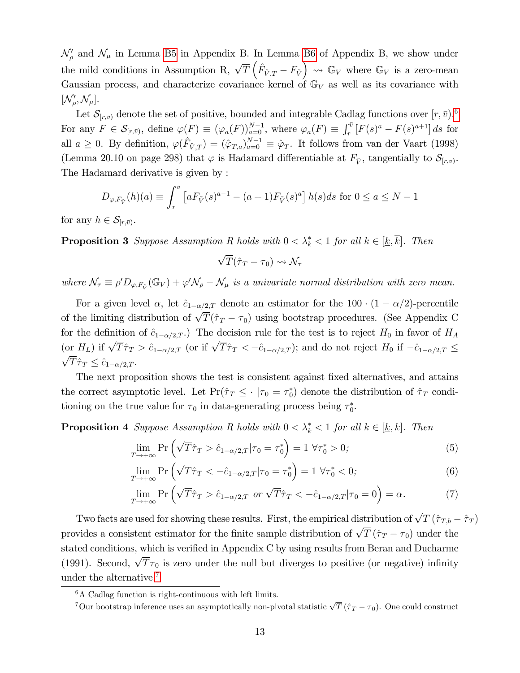$\mathcal{N}'_{\rho}$  and  $\mathcal{N}_{\mu}$  in Lemma [B5](#page-46-0) in Appendix B. In Lemma [B6](#page-47-0) of Appendix B, we show under the mild conditions in Assumption R,  $\sqrt{T} \left( \hat{F}_{\tilde{V},T} - F_{\tilde{V}} \right) \rightsquigarrow \mathbb{G}_V$  where  $\mathbb{G}_V$  is a zero-mean Gaussian process, and characterize covariance kernel of  $\mathbb{G}_V$  as well as its covariance with  $[\mathcal{N}'_{\rho}, \mathcal{N}_{\mu}].$ 

Let  $\mathcal{S}_{[r,\bar{v})}$  denote the set of positive, bounded and integrable Cadlag functions over  $[r,\bar{v})$ .<sup>[6](#page-14-0)</sup> For any  $F \in \mathcal{S}_{[r,\bar{v})}$ , define  $\varphi(F) \equiv (\varphi_a(F))_{a=0}^{N-1}$ , where  $\varphi_a(F) \equiv \int_r^{\bar{v}} [F(s)^a - F(s)^{a+1}] ds$  for all  $a \geq 0$ . By definition,  $\varphi(\hat{F}_{\tilde{V},T}) = (\hat{\varphi}_{T,a})_{a=0}^{N-1} \equiv \hat{\varphi}_T$ . It follows from van der Vaart (1998) (Lemma 20.10 on page 298) that  $\varphi$  is Hadamard differentiable at  $F_{\tilde{V}}$ , tangentially to  $\mathcal{S}_{[r,\bar{v})}$ . The Hadamard derivative is given by :

$$
D_{\varphi, F_{\tilde{V}}}(h)(a) \equiv \int_r^{\bar{v}} \left[ a F_{\tilde{V}}(s)^{a-1} - (a+1) F_{\tilde{V}}(s)^a \right] h(s) ds \text{ for } 0 \le a \le N - 1
$$

<span id="page-14-2"></span>for any  $h \in \mathcal{S}_{[r,\bar{v})}$ .

**Proposition 3** Suppose Assumption R holds with  $0 < \lambda_k^* < 1$  for all  $k \in [\underline{k}, k]$ . Then

$$
\sqrt{T}(\hat{\tau}_T-\tau_0)\leadsto\mathcal{N}_{\tau}
$$

where  $\mathcal{N}_{\tau} \equiv \rho' D_{\varphi, F_{\tilde{V}}}(\mathbb{G}_V) + \varphi' \mathcal{N}_{\rho} - \mathcal{N}_{\mu}$  is a univariate normal distribution with zero mean.

For a given level  $\alpha$ , let  $\hat{c}_{1-\alpha/2,T}$  denote an estimator for the 100  $\cdot$  (1 –  $\alpha/2$ )-percentile of the limiting distribution of  $\sqrt{T}(\hat{\tau}_T - \tau_0)$  using bootstrap procedures. (See Appendix C for the definition of  $\hat{c}_{1-\alpha/2,T}$ .) The decision rule for the test is to reject  $H_0$  in favor of  $H_A$ (or  $H_L$ ) if  $\sqrt{T}\hat{\tau}_T > \hat{c}_{1-\alpha/2,T}$  (or if  $\sqrt{T}\hat{\tau}_T < -\hat{c}_{1-\alpha/2,T}$ ); and do not reject  $H_0$  if  $-\hat{c}_{1-\alpha/2,T} \leq$  $\sqrt{T}\hat{\tau}_T \leq \hat{c}_{1-\alpha/2,T}$ .

The next proposition shows the test is consistent against fixed alternatives, and attains the correct asymptotic level. Let  $Pr(\hat{\tau}_T \leq \cdot | \tau_0 = \tau_0^*)$  denote the distribution of  $\hat{\tau}_T$  conditioning on the true value for  $\tau_0$  in data-generating process being  $\tau_0^*$ .

<span id="page-14-3"></span>**Proposition 4** Suppose Assumption R holds with  $0 < \lambda_k^* < 1$  for all  $k \in [\underline{k}, k]$ . Then

$$
\lim_{T \to +\infty} \Pr\left(\sqrt{T}\hat{\tau}_T > \hat{c}_{1-\alpha/2,T} | \tau_0 = \tau_0^* \right) = 1 \,\forall \tau_0^* > 0; \tag{5}
$$

$$
\lim_{T \to +\infty} \Pr\left(\sqrt{T}\hat{\tau}_T < -\hat{c}_{1-\alpha/2,T}|\tau_0 = \tau_0^*\right) = 1 \,\forall \tau_0^* < 0;\tag{6}
$$

$$
\lim_{T \to +\infty} \Pr\left(\sqrt{T}\hat{\tau}_T > \hat{c}_{1-\alpha/2,T} \text{ or } \sqrt{T}\hat{\tau}_T < -\hat{c}_{1-\alpha/2,T}|\tau_0 = 0\right) = \alpha. \tag{7}
$$

Two facts are used for showing these results. First, the empirical distribution of  $\sqrt{T} (\hat{\tau}_{T,b} - \hat{\tau}_T)$ provides a consistent estimator for the finite sample distribution of  $\sqrt{T} (\hat{\tau}_T - \tau_0)$  under the stated conditions, which is verified in Appendix C by using results from Beran and Ducharme (1991). Second,  $\sqrt{T}\tau_0$  is zero under the null but diverges to positive (or negative) infinity under the alternative.[7](#page-14-1)

<span id="page-14-0"></span> ${}^{6}$ A Cadlag function is right-continuous with left limits.

<span id="page-14-1"></span><sup>&</sup>lt;sup>7</sup>Our bootstrap inference uses an asymptotically non-pivotal statistic  $\sqrt{T}(\hat{\tau}_T - \tau_0)$ . One could construct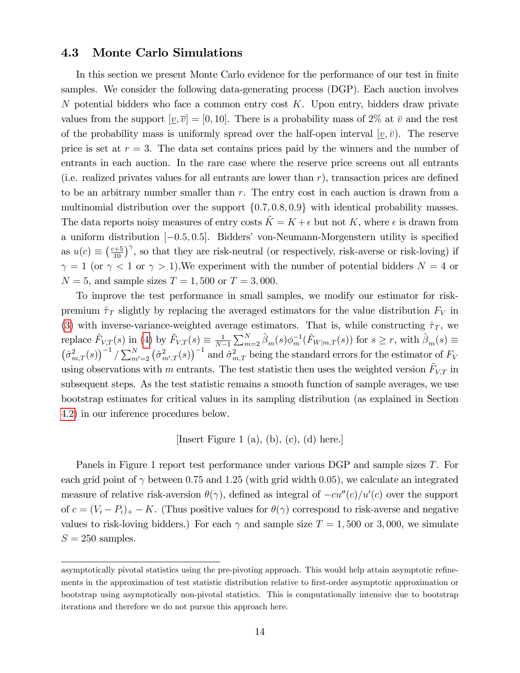#### <span id="page-15-0"></span>4.3 Monte Carlo Simulations

In this section we present Monte Carlo evidence for the performance of our test in finite samples. We consider the following data-generating process (DGP). Each auction involves N potential bidders who face a common entry cost  $K$ . Upon entry, bidders draw private values from the support  $[v,\overline{v}] = [0,10]$ . There is a probability mass of 2\% at  $\overline{v}$  and the rest of the probability mass is uniformly spread over the half-open interval  $[v, \bar{v})$ . The reserve price is set at  $r = 3$ . The data set contains prices paid by the winners and the number of entrants in each auction. In the rare case where the reserve price screens out all entrants (i.e. realized privates values for all entrants are lower than  $r$ ), transaction prices are defined to be an arbitrary number smaller than  $r$ . The entry cost in each auction is drawn from a multinomial distribution over the support  $\{0.7, 0.8, 0.9\}$  with identical probability masses. The data reports noisy measures of entry costs  $K = K + \epsilon$  but not K, where  $\epsilon$  is drawn from a uniform distribution  $[-0.5, 0.5]$ . Bidders' von-Neumann-Morgenstern utility is specified as  $u(c) \equiv \left(\frac{c+5}{10}\right)^{\gamma}$ , so that they are risk-neutral (or respectively, risk-averse or risk-loving) if  $\gamma = 1$  (or  $\gamma < 1$  or  $\gamma > 1$ ). We experiment with the number of potential bidders  $N = 4$  or  $N = 5$ , and sample sizes  $T = 1,500$  or  $T = 3,000$ .

To improve the test performance in small samples, we modify our estimator for riskpremium  $\hat{\tau}_T$  slightly by replacing the averaged estimators for the value distribution  $F_V$  in [\(3\)](#page-13-1) with inverse-variance-weighted average estimators. That is, while constructing  $\hat{\tau}_T$ , we replace  $\hat{F}_{V,T}(s)$  in [\(4\)](#page-13-2) by  $\tilde{F}_{V,T}(s) \equiv \frac{1}{N-1}$  $N-1$  $\sum_{m=2}^{N} \hat{\beta}_m(s) \phi_m^{-1}(\hat{F}_{W|m,T}(s))$  for  $s \ge r$ , with  $\hat{\beta}_m(s) \equiv$  $\left(\hat{\sigma}_{m,T}^2(s)\right)^{-1}/\sum_{m'=2}^N\left(\hat{\sigma}_{m'}^2\right)$  $\left( \frac{2}{m',T}(s) \right)^{-1}$  and  $\hat{\sigma}^2_{m,T}$  being the standard errors for the estimator of  $F_V$ using observations with m entrants. The test statistic then uses the weighted version  $\tilde{F}_{V,T}$  in subsequent steps. As the test statistic remains a smooth function of sample averages, we use bootstrap estimates for critical values in its sampling distribution (as explained in Section [4.2\)](#page-12-1) in our inference procedures below.

#### [Insert Figure 1 (a), (b), (c), (d) here.]

Panels in Figure 1 report test performance under various DGP and sample sizes T. For each grid point of  $\gamma$  between 0.75 and 1.25 (with grid width 0.05), we calculate an integrated measure of relative risk-aversion  $\theta(\gamma)$ , defined as integral of  $-cu''(c)/u'(c)$  over the support of  $c = (V_i - P_i)_+ - K$ . (Thus positive values for  $\theta(\gamma)$  correspond to risk-averse and negative values to risk-loving bidders.) For each  $\gamma$  and sample size  $T = 1,500$  or 3,000, we simulate  $S = 250$  samples.

asymptotically pivotal statistics using the pre-pivoting approach. This would help attain asymptotic refinements in the approximation of test statistic distribution relative to first-order asymptotic approximation or bootstrap using asymptotically non-pivotal statistics. This is computationally intensive due to bootstrap iterations and therefore we do not pursue this approach here.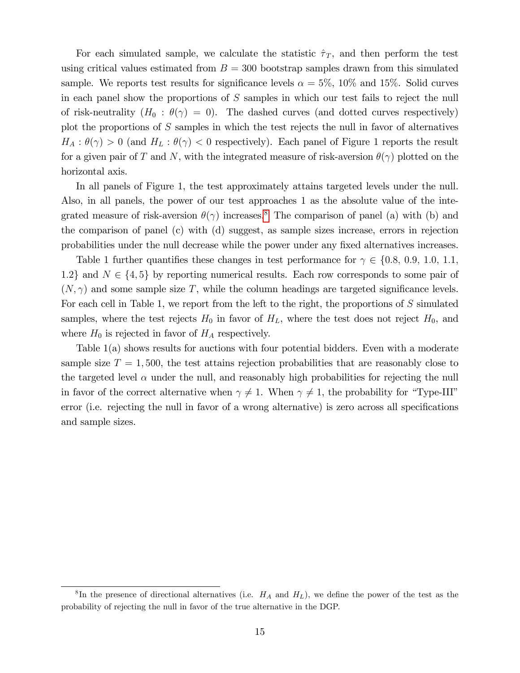For each simulated sample, we calculate the statistic  $\hat{\tau}_T$ , and then perform the test using critical values estimated from  $B = 300$  bootstrap samples drawn from this simulated sample. We reports test results for significance levels  $\alpha = 5\%$ , 10% and 15%. Solid curves in each panel show the proportions of S samples in which our test fails to reject the null of risk-neutrality  $(H_0 : \theta(\gamma) = 0)$ . The dashed curves (and dotted curves respectively) plot the proportions of S samples in which the test rejects the null in favor of alternatives  $H_A: \theta(\gamma) > 0$  (and  $H_L: \theta(\gamma) < 0$  respectively). Each panel of Figure 1 reports the result for a given pair of T and N, with the integrated measure of risk-aversion  $\theta(\gamma)$  plotted on the horizontal axis.

In all panels of Figure 1, the test approximately attains targeted levels under the null. Also, in all panels, the power of our test approaches 1 as the absolute value of the integrated measure of risk-aversion  $\theta(\gamma)$  increases.<sup>[8](#page-16-0)</sup> The comparison of panel (a) with (b) and the comparison of panel (c) with (d) suggest, as sample sizes increase, errors in rejection probabilities under the null decrease while the power under any Öxed alternatives increases.

Table 1 further quantifies these changes in test performance for  $\gamma \in \{0.8, 0.9, 1.0, 1.1, \ldots\}$ 1.2} and  $N \in \{4, 5\}$  by reporting numerical results. Each row corresponds to some pair of  $(N, \gamma)$  and some sample size T, while the column headings are targeted significance levels. For each cell in Table 1, we report from the left to the right, the proportions of S simulated samples, where the test rejects  $H_0$  in favor of  $H_L$ , where the test does not reject  $H_0$ , and where  $H_0$  is rejected in favor of  $H_A$  respectively.

Table 1(a) shows results for auctions with four potential bidders. Even with a moderate sample size  $T = 1,500$ , the test attains rejection probabilities that are reasonably close to the targeted level  $\alpha$  under the null, and reasonably high probabilities for rejecting the null in favor of the correct alternative when  $\gamma \neq 1$ . When  $\gamma \neq 1$ , the probability for "Type-III" error (i.e. rejecting the null in favor of a wrong alternative) is zero across all specifications and sample sizes.

<span id="page-16-0"></span><sup>&</sup>lt;sup>8</sup>In the presence of directional alternatives (i.e.  $H_A$  and  $H_L$ ), we define the power of the test as the probability of rejecting the null in favor of the true alternative in the DGP.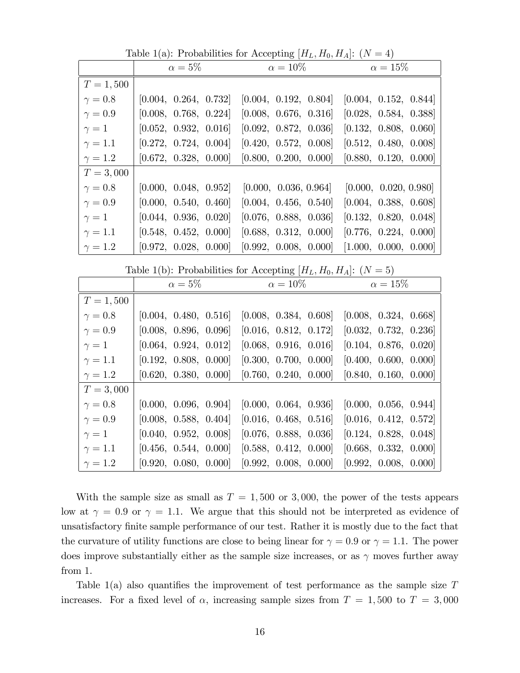Table 1(a): Probabilities for Accepting  $[H_L, H_0, H_A]$ :  $(N = 4)$ 

|              | $\alpha=5\%$          | $\alpha=10\%$         | $\alpha=15\%$         |  |
|--------------|-----------------------|-----------------------|-----------------------|--|
| $T = 1,500$  |                       |                       |                       |  |
| $\gamma=0.8$ | [0.004, 0.264, 0.732] | [0.004, 0.192, 0.804] | [0.004, 0.152, 0.844] |  |
| $\gamma=0.9$ | [0.008, 0.768, 0.224] | [0.008, 0.676, 0.316] | [0.028, 0.584, 0.388] |  |
| $\gamma=1$   | [0.052, 0.932, 0.016] | [0.092, 0.872, 0.036] | [0.132, 0.808, 0.060] |  |
| $\gamma=1.1$ | [0.272, 0.724, 0.004] | [0.420, 0.572, 0.008] | [0.512, 0.480, 0.008] |  |
| $\gamma=1.2$ | [0.672, 0.328, 0.000] | [0.800, 0.200, 0.000] | [0.880, 0.120, 0.000] |  |
| $T = 3,000$  |                       |                       |                       |  |
| $\gamma=0.8$ | [0.000, 0.048, 0.952] | [0.000, 0.036, 0.964] | [0.000, 0.020, 0.980] |  |
| $\gamma=0.9$ | [0.000, 0.540, 0.460] | [0.004, 0.456, 0.540] | [0.004, 0.388, 0.608] |  |
| $\gamma=1$   | [0.044, 0.936, 0.020] | [0.076, 0.888, 0.036] | [0.132, 0.820, 0.048] |  |
| $\gamma=1.1$ | [0.548, 0.452, 0.000] | [0.688, 0.312, 0.000] | [0.776, 0.224, 0.000] |  |
| $\gamma=1.2$ | [0.972, 0.028, 0.000] | [0.992, 0.008, 0.000] | [1.000, 0.000, 0.000] |  |
|              |                       |                       |                       |  |

|                | $\alpha=5\%$          | $\alpha = 10\%$       | $\alpha=15\%$         |  |  |
|----------------|-----------------------|-----------------------|-----------------------|--|--|
| $T = 1,500$    |                       |                       |                       |  |  |
| $\gamma=0.8$   | [0.004, 0.480, 0.516] | [0.008, 0.384, 0.608] | [0.008, 0.324, 0.668] |  |  |
| $\gamma=0.9$   | [0.008, 0.896, 0.096] | [0.016, 0.812, 0.172] | [0.032, 0.732, 0.236] |  |  |
| $\gamma=1$     | [0.064, 0.924, 0.012] | [0.068, 0.916, 0.016] | [0.104, 0.876, 0.020] |  |  |
| $\gamma=1.1$   | [0.192, 0.808, 0.000] | [0.300, 0.700, 0.000] | [0.400, 0.600, 0.000] |  |  |
| $\gamma = 1.2$ | [0.620, 0.380, 0.000] | [0.760, 0.240, 0.000] | [0.840, 0.160, 0.000] |  |  |
| $T = 3,000$    |                       |                       |                       |  |  |
| $\gamma=0.8$   | [0.000, 0.096, 0.904] | [0.000, 0.064, 0.936] | [0.000, 0.056, 0.944] |  |  |
| $\gamma=0.9$   | [0.008, 0.588, 0.404] | [0.016, 0.468, 0.516] | [0.016, 0.412, 0.572] |  |  |
| $\gamma=1$     | [0.040, 0.952, 0.008] | [0.076, 0.888, 0.036] | [0.124, 0.828, 0.048] |  |  |
| $\gamma = 1.1$ | [0.456, 0.544, 0.000] | [0.588, 0.412, 0.000] | [0.668, 0.332, 0.000] |  |  |
| $\gamma = 1.2$ | [0.920, 0.080, 0.000] | [0.992, 0.008, 0.000] | [0.992, 0.008, 0.000] |  |  |

With the sample size as small as  $T = 1,500$  or 3,000, the power of the tests appears low at  $\gamma = 0.9$  or  $\gamma = 1.1$ . We argue that this should not be interpreted as evidence of unsatisfactory finite sample performance of our test. Rather it is mostly due to the fact that the curvature of utility functions are close to being linear for  $\gamma = 0.9$  or  $\gamma = 1.1$ . The power does improve substantially either as the sample size increases, or as  $\gamma$  moves further away from 1.

Table  $1(a)$  also quantifies the improvement of test performance as the sample size T increases. For a fixed level of  $\alpha$ , increasing sample sizes from  $T = 1,500$  to  $T = 3,000$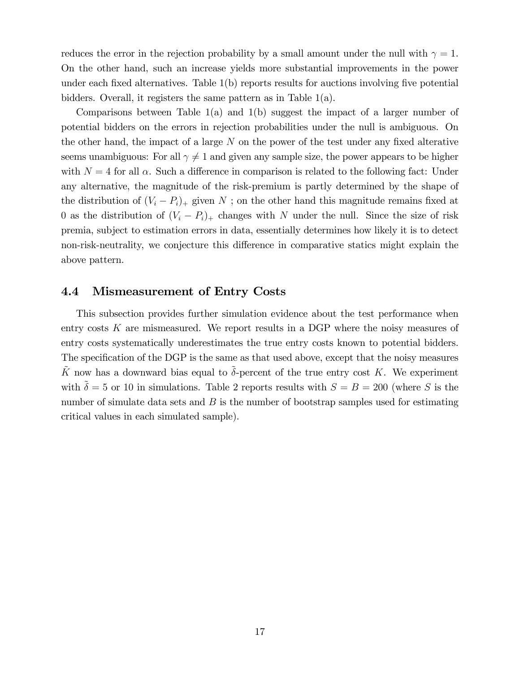reduces the error in the rejection probability by a small amount under the null with  $\gamma = 1$ . On the other hand, such an increase yields more substantial improvements in the power under each fixed alternatives. Table  $1(b)$  reports results for auctions involving five potential bidders. Overall, it registers the same pattern as in Table 1(a).

Comparisons between Table 1(a) and 1(b) suggest the impact of a larger number of potential bidders on the errors in rejection probabilities under the null is ambiguous. On the other hand, the impact of a large  $N$  on the power of the test under any fixed alterative seems unambiguous: For all  $\gamma \neq 1$  and given any sample size, the power appears to be higher with  $N = 4$  for all  $\alpha$ . Such a difference in comparison is related to the following fact: Under any alternative, the magnitude of the risk-premium is partly determined by the shape of the distribution of  $(V_i - P_i)$  given N; on the other hand this magnitude remains fixed at 0 as the distribution of  $(V_i - P_i)$  changes with N under the null. Since the size of risk premia, subject to estimation errors in data, essentially determines how likely it is to detect non-risk-neutrality, we conjecture this difference in comparative statics might explain the above pattern.

#### <span id="page-18-0"></span>4.4 Mismeasurement of Entry Costs

This subsection provides further simulation evidence about the test performance when entry costs  $K$  are mismeasured. We report results in a DGP where the noisy measures of entry costs systematically underestimates the true entry costs known to potential bidders. The specification of the DGP is the same as that used above, except that the noisy measures  $\tilde{K}$  now has a downward bias equal to  $\tilde{\delta}$ -percent of the true entry cost K. We experiment with  $\tilde{\delta} = 5$  or 10 in simulations. Table 2 reports results with  $S = B = 200$  (where S is the number of simulate data sets and  $B$  is the number of bootstrap samples used for estimating critical values in each simulated sample).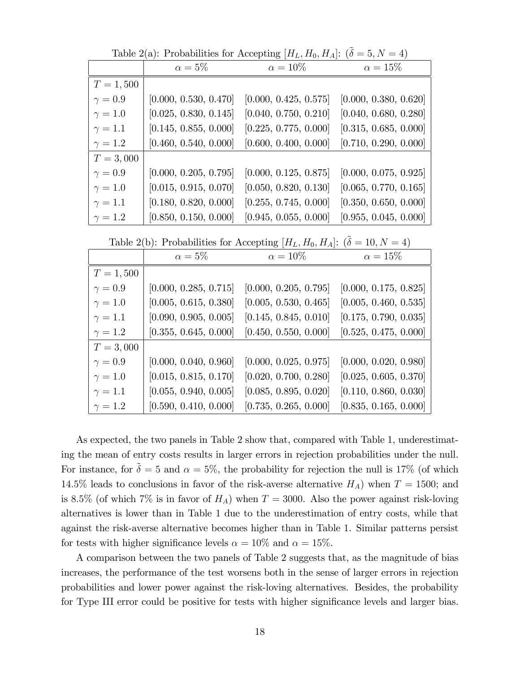Table 2(a): Probabilities for Accepting  $[H_L, H_0, H_A]$ :  $(\tilde{\delta} = 5, N = 4)$ 

|                | $\alpha=5\%$          | $\alpha = 10\%$       | $\alpha = 15\%$       |
|----------------|-----------------------|-----------------------|-----------------------|
|                |                       |                       |                       |
| $T = 1,500$    |                       |                       |                       |
| $\gamma=0.9$   | [0.000, 0.530, 0.470] | [0.000, 0.425, 0.575] | [0.000, 0.380, 0.620] |
| $\gamma = 1.0$ | [0.025, 0.830, 0.145] | [0.040, 0.750, 0.210] | [0.040, 0.680, 0.280] |
| $\gamma = 1.1$ | [0.145, 0.855, 0.000] | [0.225, 0.775, 0.000] | [0.315, 0.685, 0.000] |
| $\gamma=1.2$   | [0.460, 0.540, 0.000] | [0.600, 0.400, 0.000] | [0.710, 0.290, 0.000] |
| $T = 3,000$    |                       |                       |                       |
| $\gamma=0.9$   | [0.000, 0.205, 0.795] | [0.000, 0.125, 0.875] | [0.000, 0.075, 0.925] |
| $\gamma = 1.0$ | [0.015, 0.915, 0.070] | [0.050, 0.820, 0.130] | [0.065, 0.770, 0.165] |
| $\gamma=1.1$   | [0.180, 0.820, 0.000] | [0.255, 0.745, 0.000] | [0.350, 0.650, 0.000] |
| $\gamma = 1.2$ | [0.850, 0.150, 0.000] | [0.945, 0.055, 0.000] | [0.955, 0.045, 0.000] |

Table 2(b): Probabilities for Accepting  $[H_L, H_0, H_A]$ :  $(\tilde{\delta} = 10, N = 4)$ 

|                | $\alpha=5\%$          | $\alpha = 10\%$       | $\alpha = 15\%$       |
|----------------|-----------------------|-----------------------|-----------------------|
| $T = 1,500$    |                       |                       |                       |
| $\gamma=0.9$   | [0.000, 0.285, 0.715] | [0.000, 0.205, 0.795] | [0.000, 0.175, 0.825] |
| $\gamma = 1.0$ | [0.005, 0.615, 0.380] | [0.005, 0.530, 0.465] | [0.005, 0.460, 0.535] |
| $\gamma=1.1$   | [0.090, 0.905, 0.005] | [0.145, 0.845, 0.010] | [0.175, 0.790, 0.035] |
| $\gamma=1.2$   | [0.355, 0.645, 0.000] | [0.450, 0.550, 0.000] | [0.525, 0.475, 0.000] |
| $T = 3,000$    |                       |                       |                       |
| $\gamma=0.9$   | [0.000, 0.040, 0.960] | [0.000, 0.025, 0.975] | [0.000, 0.020, 0.980] |
| $\gamma=1.0$   | [0.015, 0.815, 0.170] | [0.020, 0.700, 0.280] | [0.025, 0.605, 0.370] |
| $\gamma=1.1$   | [0.055, 0.940, 0.005] | [0.085, 0.895, 0.020] | [0.110, 0.860, 0.030] |
| $\gamma = 1.2$ | [0.590, 0.410, 0.000] | [0.735, 0.265, 0.000] | [0.835, 0.165, 0.000] |

As expected, the two panels in Table 2 show that, compared with Table 1, underestimating the mean of entry costs results in larger errors in rejection probabilities under the null. For instance, for  $\tilde{\delta} = 5$  and  $\alpha = 5\%$ , the probability for rejection the null is 17% (of which 14.5% leads to conclusions in favor of the risk-averse alternative  $H_A$ ) when  $T = 1500$ ; and is 8.5% (of which 7% is in favor of  $H_A$ ) when  $T = 3000$ . Also the power against risk-loving alternatives is lower than in Table 1 due to the underestimation of entry costs, while that against the risk-averse alternative becomes higher than in Table 1. Similar patterns persist for tests with higher significance levels  $\alpha = 10\%$  and  $\alpha = 15\%$ .

A comparison between the two panels of Table 2 suggests that, as the magnitude of bias increases, the performance of the test worsens both in the sense of larger errors in rejection probabilities and lower power against the risk-loving alternatives. Besides, the probability for Type III error could be positive for tests with higher significance levels and larger bias.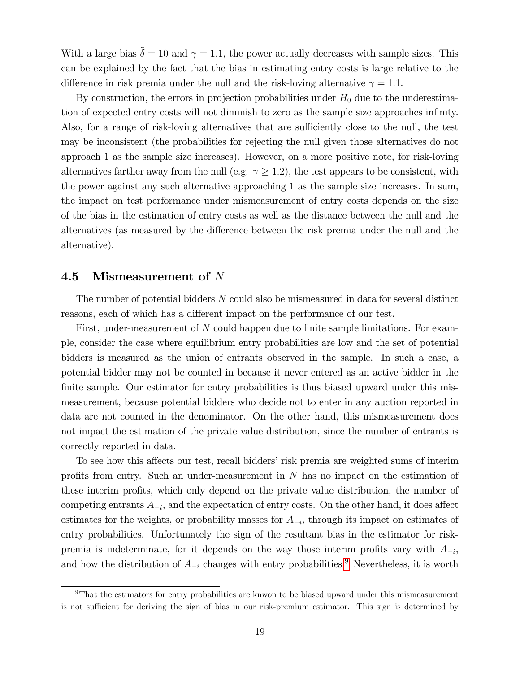With a large bias  $\tilde{\delta} = 10$  and  $\gamma = 1.1$ , the power actually decreases with sample sizes. This can be explained by the fact that the bias in estimating entry costs is large relative to the difference in risk premia under the null and the risk-loving alternative  $\gamma = 1.1$ .

By construction, the errors in projection probabilities under  $H_0$  due to the underestimation of expected entry costs will not diminish to zero as the sample size approaches infinity. Also, for a range of risk-loving alternatives that are sufficiently close to the null, the test may be inconsistent (the probabilities for rejecting the null given those alternatives do not approach 1 as the sample size increases). However, on a more positive note, for risk-loving alternatives farther away from the null (e.g.  $\gamma \geq 1.2$ ), the test appears to be consistent, with the power against any such alternative approaching 1 as the sample size increases. In sum, the impact on test performance under mismeasurement of entry costs depends on the size of the bias in the estimation of entry costs as well as the distance between the null and the alternatives (as measured by the difference between the risk premia under the null and the alternative).

#### 4.5 Mismeasurement of N

The number of potential bidders  $N$  could also be mismeasured in data for several distinct reasons, each of which has a different impact on the performance of our test.

First, under-measurement of N could happen due to finite sample limitations. For example, consider the case where equilibrium entry probabilities are low and the set of potential bidders is measured as the union of entrants observed in the sample. In such a case, a potential bidder may not be counted in because it never entered as an active bidder in the finite sample. Our estimator for entry probabilities is thus biased upward under this mismeasurement, because potential bidders who decide not to enter in any auction reported in data are not counted in the denominator. On the other hand, this mismeasurement does not impact the estimation of the private value distribution, since the number of entrants is correctly reported in data.

To see how this affects our test, recall bidders' risk premia are weighted sums of interim profits from entry. Such an under-measurement in  $N$  has no impact on the estimation of these interim profits, which only depend on the private value distribution, the number of competing entrants  $A_{-i}$ , and the expectation of entry costs. On the other hand, it does affect estimates for the weights, or probability masses for  $A_{-i}$ , through its impact on estimates of entry probabilities. Unfortunately the sign of the resultant bias in the estimator for riskpremia is indeterminate, for it depends on the way those interim profits vary with  $A_{-i}$ , and how the distribution of  $A_{-i}$  changes with entry probabilities.<sup>[9](#page-20-0)</sup> Nevertheless, it is worth

<span id="page-20-0"></span><sup>&</sup>lt;sup>9</sup>That the estimators for entry probabilities are knwon to be biased upward under this mismeasurement is not sufficient for deriving the sign of bias in our risk-premium estimator. This sign is determined by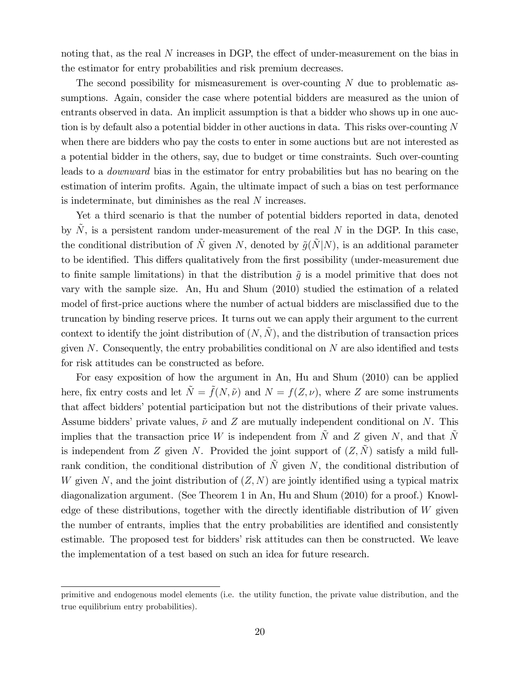noting that, as the real  $N$  increases in DGP, the effect of under-measurement on the bias in the estimator for entry probabilities and risk premium decreases.

The second possibility for mismeasurement is over-counting  $N$  due to problematic assumptions. Again, consider the case where potential bidders are measured as the union of entrants observed in data. An implicit assumption is that a bidder who shows up in one auction is by default also a potential bidder in other auctions in data. This risks over-counting N when there are bidders who pay the costs to enter in some auctions but are not interested as a potential bidder in the others, say, due to budget or time constraints. Such over-counting leads to a downward bias in the estimator for entry probabilities but has no bearing on the estimation of interim profits. Again, the ultimate impact of such a bias on test performance is indeterminate, but diminishes as the real N increases.

Yet a third scenario is that the number of potential bidders reported in data, denoted by  $N$ , is a persistent random under-measurement of the real N in the DGP. In this case, the conditional distribution of  $\tilde{N}$  given N, denoted by  $\tilde{g}(\tilde{N}|N)$ , is an additional parameter to be identified. This differs qualitatively from the first possibility (under-measurement due to finite sample limitations) in that the distribution  $\tilde{g}$  is a model primitive that does not vary with the sample size. An, Hu and Shum (2010) studied the estimation of a related model of first-price auctions where the number of actual bidders are misclassified due to the truncation by binding reserve prices. It turns out we can apply their argument to the current context to identify the joint distribution of  $(N, \tilde{N})$ , and the distribution of transaction prices given N. Consequently, the entry probabilities conditional on  $N$  are also identified and tests for risk attitudes can be constructed as before.

For easy exposition of how the argument in An, Hu and Shum (2010) can be applied here, fix entry costs and let  $\tilde{N} = \tilde{f}(N, \tilde{\nu})$  and  $N = f(Z, \nu)$ , where Z are some instruments that affect bidders' potential participation but not the distributions of their private values. Assume bidders' private values,  $\tilde{\nu}$  and Z are mutually independent conditional on N. This implies that the transaction price W is independent from  $\tilde{N}$  and Z given N, and that  $\tilde{N}$ is independent from Z given N. Provided the joint support of  $(Z, \tilde{N})$  satisfy a mild fullrank condition, the conditional distribution of  $\tilde{N}$  given N, the conditional distribution of W given N, and the joint distribution of  $(Z, N)$  are jointly identified using a typical matrix diagonalization argument. (See Theorem 1 in An, Hu and Shum (2010) for a proof.) Knowledge of these distributions, together with the directly identifiable distribution of  $W$  given the number of entrants, implies that the entry probabilities are identified and consistently estimable. The proposed test for bidders' risk attitudes can then be constructed. We leave the implementation of a test based on such an idea for future research.

primitive and endogenous model elements (i.e. the utility function, the private value distribution, and the true equilibrium entry probabilities).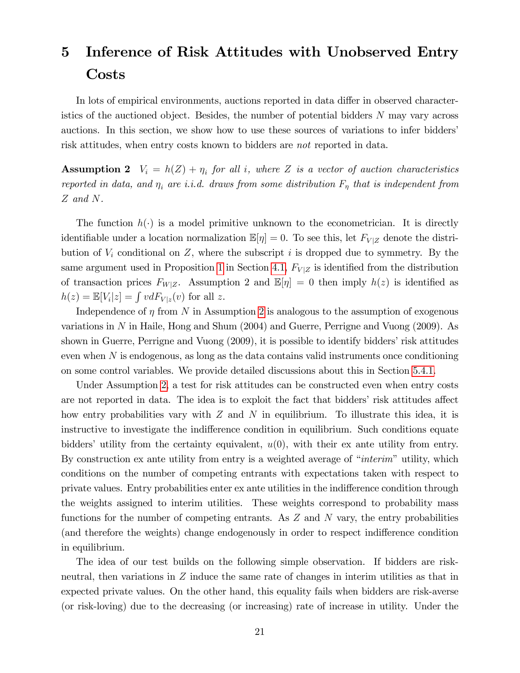## <span id="page-22-0"></span>5 Inference of Risk Attitudes with Unobserved Entry Costs

In lots of empirical environments, auctions reported in data differ in observed characteristics of the auctioned object. Besides, the number of potential bidders N may vary across auctions. In this section, we show how to use these sources of variations to infer bidders' risk attitudes, when entry costs known to bidders are not reported in data.

<span id="page-22-1"></span>**Assumption 2**  $V_i = h(Z) + \eta_i$  for all i, where Z is a vector of auction characteristics reported in data, and  $\eta_i$  are i.i.d. draws from some distribution  $F_{\eta}$  that is independent from Z and N.

The function  $h(\cdot)$  is a model primitive unknown to the econometrician. It is directly identifiable under a location normalization  $\mathbb{E}[\eta] = 0$ . To see this, let  $F_{V|Z}$  denote the distribution of  $V_i$  conditional on Z, where the subscript i is dropped due to symmetry. By the same argument used in Proposition [1](#page-10-0) in Section [4.1,](#page-10-2)  $F_{V|Z}$  is identified from the distribution of transaction prices  $F_{W|Z}$ . Assumption 2 and  $\mathbb{E}[\eta] = 0$  then imply  $h(z)$  is identified as  $h(z) = \mathbb{E}[V_i|z] = \int v dF_{V|z}(v)$  for all z.

Independence of  $\eta$  from N in Assumption [2](#page-22-1) is analogous to the assumption of exogenous variations in N in Haile, Hong and Shum (2004) and Guerre, Perrigne and Vuong (2009). As shown in Guerre, Perrigne and Vuong  $(2009)$ , it is possible to identify bidders' risk attitudes even when N is endogenous, as long as the data contains valid instruments once conditioning on some control variables. We provide detailed discussions about this in Section [5.4.1.](#page-31-0)

Under Assumption [2,](#page-22-1) a test for risk attitudes can be constructed even when entry costs are not reported in data. The idea is to exploit the fact that bidders' risk attitudes affect how entry probabilities vary with  $Z$  and  $N$  in equilibrium. To illustrate this idea, it is instructive to investigate the indifference condition in equilibrium. Such conditions equate bidders' utility from the certainty equivalent,  $u(0)$ , with their ex ante utility from entry. By construction ex ante utility from entry is a weighted average of "interim" utility, which conditions on the number of competing entrants with expectations taken with respect to private values. Entry probabilities enter ex ante utilities in the indifference condition through the weights assigned to interim utilities. These weights correspond to probability mass functions for the number of competing entrants. As  $Z$  and  $N$  vary, the entry probabilities (and therefore the weights) change endogenously in order to respect indifference condition in equilibrium.

The idea of our test builds on the following simple observation. If bidders are riskneutral, then variations in Z induce the same rate of changes in interim utilities as that in expected private values. On the other hand, this equality fails when bidders are risk-averse (or risk-loving) due to the decreasing (or increasing) rate of increase in utility. Under the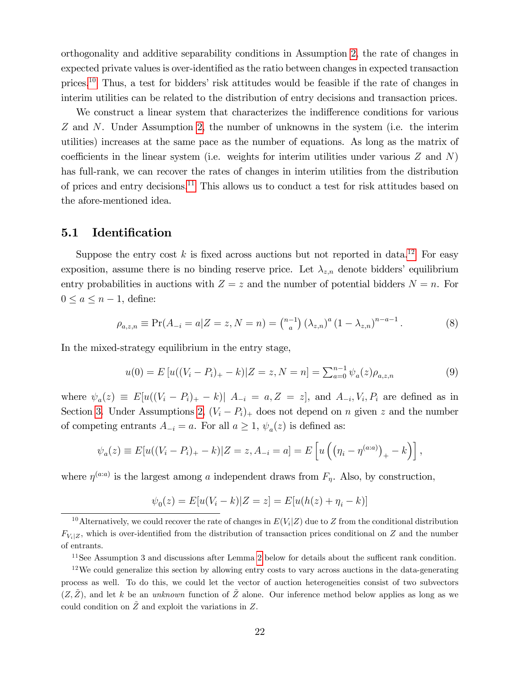orthogonality and additive separability conditions in Assumption [2,](#page-22-1) the rate of changes in expected private values is over-identified as the ratio between changes in expected transaction prices.<sup>[10](#page-23-0)</sup> Thus, a test for bidders' risk attitudes would be feasible if the rate of changes in interim utilities can be related to the distribution of entry decisions and transaction prices.

We construct a linear system that characterizes the indifference conditions for various Z and N. Under Assumption [2,](#page-22-1) the number of unknowns in the system (i.e. the interim utilities) increases at the same pace as the number of equations. As long as the matrix of coefficients in the linear system (i.e. weights for interim utilities under various  $Z$  and  $N$ ) has full-rank, we can recover the rates of changes in interim utilities from the distribution of prices and entry decisions.[11](#page-23-1) This allows us to conduct a test for risk attitudes based on the afore-mentioned idea.

#### <span id="page-23-4"></span>5.1 Identification

Suppose the entry cost k is fixed across auctions but not reported in data.<sup>[12](#page-23-2)</sup> For easy exposition, assume there is no binding reserve price. Let  $\lambda_{z,n}$  denote bidders' equilibrium entry probabilities in auctions with  $Z = z$  and the number of potential bidders  $N = n$ . For  $0 \leq a \leq n - 1$ , define:

<span id="page-23-3"></span>
$$
\rho_{a,z,n} \equiv \Pr(A_{-i} = a | Z = z, N = n) = \binom{n-1}{a} \left(\lambda_{z,n}\right)^a \left(1 - \lambda_{z,n}\right)^{n-a-1}.\tag{8}
$$

In the mixed-strategy equilibrium in the entry stage,

<span id="page-23-5"></span>
$$
u(0) = E[u((V_i - P_i)_+ - k)|Z = z, N = n] = \sum_{a=0}^{n-1} \psi_a(z)\rho_{a,z,n}
$$
(9)

where  $\psi_a(z) \equiv E[u((V_i - P_i)_+ - k)] A_{-i} = a, Z = z]$ , and  $A_{-i}, V_i, P_i$  are defined as in Section [3.](#page-6-0) Under Assumptions [2,](#page-22-1)  $(V_i - P_i)_+$  does not depend on n given z and the number of competing entrants  $A_{-i} = a$ . For all  $a \ge 1$ ,  $\psi_a(z)$  is defined as:

$$
\psi_a(z) \equiv E[u((V_i - P_i)_+ - k)|Z = z, A_{-i} = a] = E\left[u\left((\eta_i - \eta^{(a:a)})_+ - k\right)\right],
$$

where  $\eta^{(a:a)}$  is the largest among a independent draws from  $F_{\eta}$ . Also, by construction,

$$
\psi_0(z) = E[u(V_i - k)|Z = z] = E[u(h(z) + \eta_i - k)]
$$

<span id="page-23-2"></span><span id="page-23-1"></span> $11$ See Assumption 3 and discussions after Lemma [2](#page-24-0) below for details about the sufficent rank condition.

<span id="page-23-0"></span><sup>&</sup>lt;sup>10</sup> Alternatively, we could recover the rate of changes in  $E(V_i|Z)$  due to Z from the conditional distribution  $F_{V_i|Z}$ , which is over-identified from the distribution of transaction prices conditional on Z and the number of entrants.

 $12$ We could generalize this section by allowing entry costs to vary across auctions in the data-generating process as well. To do this, we could let the vector of auction heterogeneities consist of two subvectors  $(Z,\tilde{Z})$ , and let k be an unknown function of  $\tilde{Z}$  alone. Our inference method below applies as long as we could condition on  $\tilde{Z}$  and exploit the variations in Z.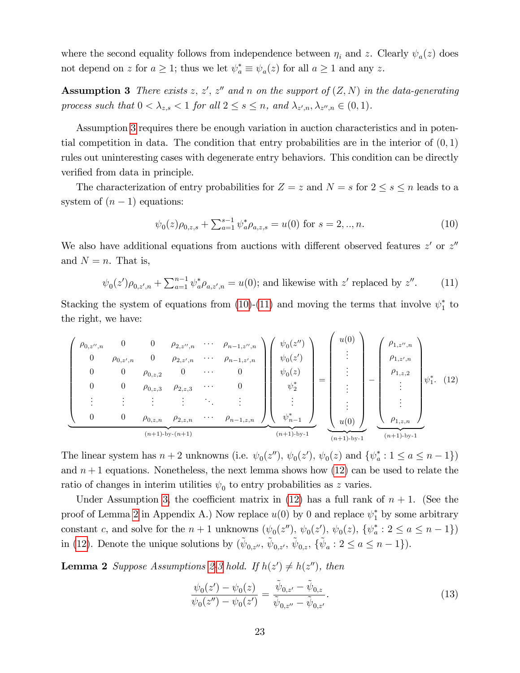where the second equality follows from independence between  $\eta_i$  and z. Clearly  $\psi_a(z)$  does not depend on z for  $a \geq 1$ ; thus we let  $\psi_a^* \equiv \psi_a(z)$  for all  $a \geq 1$  and any z.

<span id="page-24-1"></span>**Assumption 3** There exists z, z', z'' and n on the support of  $(Z, N)$  in the data-generating process such that  $0 < \lambda_{z,s} < 1$  for all  $2 \leq s \leq n$ , and  $\lambda_{z',n}, \lambda_{z'',n} \in (0,1)$ .

Assumption [3](#page-24-1) requires there be enough variation in auction characteristics and in potential competition in data. The condition that entry probabilities are in the interior of  $(0, 1)$ rules out uninteresting cases with degenerate entry behaviors. This condition can be directly verified from data in principle.

The characterization of entry probabilities for  $Z = z$  and  $N = s$  for  $2 \leq s \leq n$  leads to a system of  $(n - 1)$  equations:

<span id="page-24-2"></span>
$$
\psi_0(z)\rho_{0,z,s} + \sum_{a=1}^{s-1} \psi_a^* \rho_{a,z,s} = u(0) \text{ for } s = 2,..,n. \tag{10}
$$

We also have additional equations from auctions with different observed features  $z'$  or  $z''$ and  $N = n$ . That is,

<span id="page-24-3"></span>
$$
\psi_0(z')\rho_{0,z',n} + \sum_{a=1}^{n-1} \psi_a^* \rho_{a,z',n} = u(0)
$$
; and likewise with z' replaced by z''. (11)

Stacking the system of equations from  $(10)$ - $(11)$  and moving the terms that involve  $\psi_1^*$  to the right, we have:

<span id="page-24-4"></span>
$$
\begin{pmatrix}\n\rho_{0,z'',n} & 0 & 0 & \rho_{2,z'',n} & \cdots & \rho_{n-1,z'',n} \\
0 & \rho_{0,z',n} & 0 & \rho_{2,z',n} & \cdots & \rho_{n-1,z',n} \\
0 & 0 & \rho_{0,z,2} & 0 & \cdots & 0 \\
0 & 0 & \rho_{0,z,3} & \rho_{2,z,3} & \cdots & 0 \\
\vdots & \vdots & \vdots & \vdots & \ddots & \vdots \\
0 & 0 & \rho_{0,z,n} & \rho_{2,z,n} & \cdots & \rho_{n-1,z,n}\n\end{pmatrix}\n\begin{pmatrix}\n\psi_0(z'') \\
\psi_0(z') \\
\psi_0(z) \\
\psi_0^*\end{pmatrix} = \begin{pmatrix}\nu(0) \\
\vdots \\
\vdots \\
\vdots \\
\vdots \\
\vdots \\
u(0)\n\end{pmatrix} - \begin{pmatrix}\n\rho_{1,z'',n} \\
\rho_{1,z',n} \\
\rho_{1,z,2} \\
\vdots \\
\vdots \\
\rho_{1,z,n}\n\end{pmatrix}\n\psi_1^*\n(12)
$$
\n
$$
(n+1)\text{-by-}(n+1)
$$

The linear system has  $n+2$  unknowns (i.e.  $\psi_0(z'')$ ,  $\psi_0(z')$ ,  $\psi_0(z)$  and  $\{\psi_a^*: 1 \le a \le n-1\}$ ) and  $n+1$  equations. Nonetheless, the next lemma shows how  $(12)$  can be used to relate the ratio of changes in interim utilities  $\psi_0$  to entry probabilities as z varies.

Under Assumption [3,](#page-24-1) the coefficient matrix in [\(12\)](#page-24-4) has a full rank of  $n + 1$ . (See the proof of Lemma [2](#page-24-0) in Appendix A.) Now replace  $u(0)$  by 0 and replace  $\psi_1^*$  by some arbitrary constant c, and solve for the  $n+1$  unknowns  $(\psi_0(z''), \psi_0(z'), \psi_0(z), \{\psi_a^*: 2 \le a \le n-1\})$ in [\(12\)](#page-24-4). Denote the unique solutions by  $({\tilde{\psi}}_{0,z''}, {\tilde{\psi}}_{0,z'}, {\tilde{\psi}}_{0,z}, {\tilde{\{\psi}}_a : 2 \le a \le n-1}).$ 

<span id="page-24-0"></span>**Lemma 2** Suppose Assumptions [2-](#page-22-1)[3](#page-24-1) hold. If  $h(z') \neq h(z'')$ , then

<span id="page-24-5"></span>
$$
\frac{\psi_0(z') - \psi_0(z)}{\psi_0(z'') - \psi_0(z')} = \frac{\tilde{\psi}_{0,z'} - \tilde{\psi}_{0,z}}{\tilde{\psi}_{0,z''} - \tilde{\psi}_{0,z'}}.
$$
\n(13)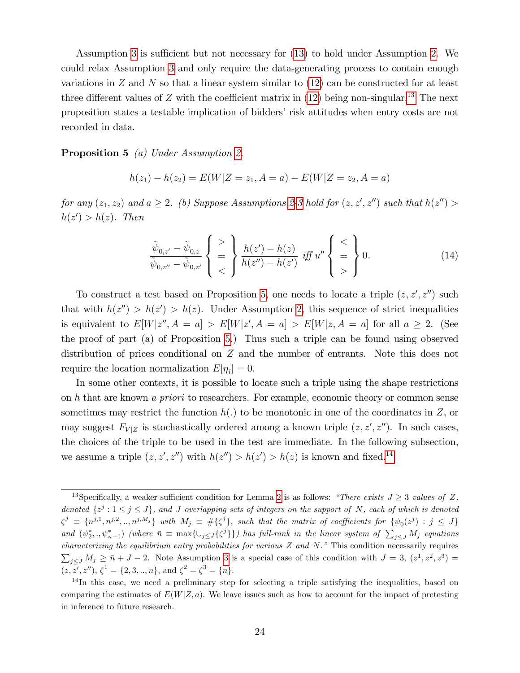Assumption [3](#page-24-1) is sufficient but not necessary for [\(13\)](#page-24-5) to hold under Assumption [2.](#page-22-1) We could relax Assumption [3](#page-24-1) and only require the data-generating process to contain enough variations in  $Z$  and  $N$  so that a linear system similar to  $(12)$  can be constructed for at least three different values of  $Z$  with the coefficient matrix in [\(12\)](#page-24-4) being non-singular.<sup>[13](#page-25-0)</sup> The next proposition states a testable implication of bidders' risk attitudes when entry costs are not recorded in data.

<span id="page-25-1"></span>Proposition 5 (a) Under Assumption [2,](#page-22-1)

$$
h(z_1) - h(z_2) = E(W|Z = z_1, A = a) - E(W|Z = z_2, A = a)
$$

for any  $(z_1, z_2)$  and  $a \geq 2$  $a \geq 2$ . (b) Suppose Assumptions 2[-3](#page-24-1) hold for  $(z, z', z'')$  such that  $h(z'') >$  $h(z') > h(z)$ . Then

<span id="page-25-3"></span>
$$
\frac{\tilde{\psi}_{0,z'} - \tilde{\psi}_{0,z}}{\tilde{\psi}_{0,z''} - \tilde{\psi}_{0,z'}} \left\{ \begin{array}{c} > \\ = \\ < \end{array} \right\} \frac{h(z') - h(z)}{h(z'') - h(z')} \; \; \text{iff} \; u'' \left\{ \begin{array}{c} < \\ = \\ > \end{array} \right\} 0. \tag{14}
$$

To construct a test based on Proposition [5,](#page-25-1) one needs to locate a triple  $(z, z', z'')$  such that with  $h(z'') > h(z') > h(z)$ . Under Assumption [2,](#page-22-1) this sequence of strict inequalities is equivalent to  $E[W|z'', A = a] > E[W|z', A = a] > E[W|z, A = a]$  for all  $a \geq 2$ . (See the proof of part (a) of Proposition [5.](#page-25-1)) Thus such a triple can be found using observed distribution of prices conditional on Z and the number of entrants. Note this does not require the location normalization  $E[\eta_i] = 0$ .

In some other contexts, it is possible to locate such a triple using the shape restrictions on h that are known a priori to researchers. For example, economic theory or common sense sometimes may restrict the function  $h(.)$  to be monotonic in one of the coordinates in Z, or may suggest  $F_{V|Z}$  is stochastically ordered among a known triple  $(z, z', z'')$ . In such cases, the choices of the triple to be used in the test are immediate. In the following subsection, we assume a triple  $(z, z', z'')$  with  $h(z'') > h(z') > h(z)$  is known and fixed.<sup>[14](#page-25-2)</sup>

<span id="page-25-0"></span><sup>&</sup>lt;sup>13</sup>Specifically, a weaker sufficient condition for Lemma [2](#page-24-0) is as follows: *"There exists J*  $\geq$  *3 values of Z*, denoted  $\{z^j : 1 \le j \le J\}$ , and J overlapping sets of integers on the support of N, each of which is denoted  $\zeta^j \equiv \{n^{j,1}, n^{j,2}, \ldots, n^{j,M_j}\}$  with  $M_j \equiv \#\{\zeta^j\}$ , such that the matrix of coefficients for  $\{\psi_0(z^j) : j \leq J\}$ and  $(\psi_2^*,.,\psi_{\bar{n}-1}^*)$  (where  $\bar{n} \equiv \max\{\cup_{j\leq J}\{\zeta^j\}\}\)$  has full-rank in the linear system of  $\sum_{j\leq J}M_j$  equations characterizing the equilibrium entry probabilities for various  $Z$  and  $N$ ." This condition necessarily requires  $\sum_{j\leq J} M_j \geq \bar{n} + J - 2$ . Note Assumption [3](#page-24-1) is a special case of this condition with  $J = 3$ ,  $(z^1, z^2, z^3) =$  $(z, z', z''), \zeta^1 = \{2, 3, ..., n\}, \text{ and } \zeta^2 = \zeta^3 = \{n\}.$ 

<span id="page-25-2"></span><sup>&</sup>lt;sup>14</sup>In this case, we need a preliminary step for selecting a triple satisfying the inequalities, based on comparing the estimates of  $E(W|Z,a)$ . We leave issues such as how to account for the impact of pretesting in inference to future research.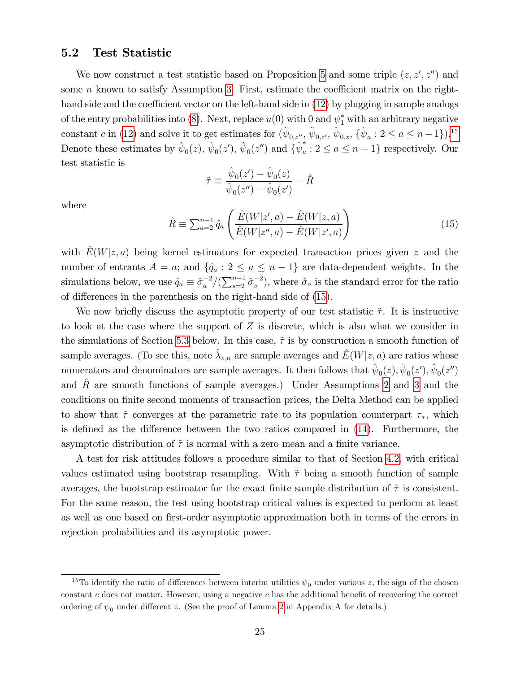#### <span id="page-26-2"></span>5.2 Test Statistic

We now construct a test statistic based on Proposition [5](#page-25-1) and some triple  $(z, z', z'')$  and some n known to satisfy Assumption [3.](#page-24-1) First, estimate the coefficient matrix on the righthand side and the coefficient vector on the left-hand side in  $(12)$  by plugging in sample analogs of the entry probabilities into [\(8\)](#page-23-3). Next, replace  $u(0)$  with 0 and  $\psi_1^*$  with an arbitrary negative constant c in [\(12\)](#page-24-4) and solve it to get estimates for  $(\tilde{\psi}_{0,z''}, \tilde{\psi}_{0,z'}, \tilde{\psi}_{0,z}, {\{\tilde{\psi}_a : 2 \le a \le n-1\}})^{15}$  $(\tilde{\psi}_{0,z''}, \tilde{\psi}_{0,z'}, \tilde{\psi}_{0,z}, {\{\tilde{\psi}_a : 2 \le a \le n-1\}})^{15}$  $(\tilde{\psi}_{0,z''}, \tilde{\psi}_{0,z'}, \tilde{\psi}_{0,z}, {\{\tilde{\psi}_a : 2 \le a \le n-1\}})^{15}$ Denote these estimates by  $\hat{\psi}_0(z)$ ,  $\hat{\psi}_0(z')$ ,  $\hat{\psi}_0(z'')$  and  $\{\hat{\psi}_a^*$  $a: 2 \le a \le n-1$ } respectively. Our test statistic is

$$
\tilde{\tau} \equiv \frac{\hat{\psi}_0(z') - \hat{\psi}_0(z)}{\hat{\psi}_0(z'') - \hat{\psi}_0(z')} - \hat{R}
$$

where

<span id="page-26-1"></span>
$$
\hat{R} \equiv \sum_{a=2}^{n-1} \hat{q}_a \left( \frac{\hat{E}(W|z',a) - \hat{E}(W|z,a)}{\hat{E}(W|z'',a) - \hat{E}(W|z',a)} \right)
$$
(15)

with  $E(W|z, a)$  being kernel estimators for expected transaction prices given z and the number of entrants  $A = a$ ; and  $\{\hat{q}_a : 2 \le a \le n - 1\}$  are data-dependent weights. In the simulations below, we use  $\hat{q}_a \equiv \hat{\sigma}_a^{-2}/(\sum_{s=2}^{n-1} \hat{\sigma}_s^{-2})$ , where  $\hat{\sigma}_a$  is the standard error for the ratio of differences in the parenthesis on the right-hand side of  $(15)$ .

We now briefly discuss the asymptotic property of our test statistic  $\tilde{\tau}$ . It is instructive to look at the case where the support of  $Z$  is discrete, which is also what we consider in the simulations of Section [5.3](#page-27-0) below. In this case,  $\tilde{\tau}$  is by construction a smooth function of sample averages. (To see this, note  $\hat{\lambda}_{z,n}$  are sample averages and  $\hat{E}(W|z, a)$  are ratios whose numerators and denominators are sample averages. It then follows that  $\hat{\psi}_0(z), \hat{\psi}_0(z'), \hat{\psi}_0(z'')$ and  $\hat{R}$  are smooth functions of sample averages.) Under Assumptions [2](#page-22-1) and [3](#page-24-1) and the conditions on finite second moments of transaction prices, the Delta Method can be applied to show that  $\tilde{\tau}$  converges at the parametric rate to its population counterpart  $\tau_*$ , which is defined as the difference between the two ratios compared in  $(14)$ . Furthermore, the asymptotic distribution of  $\tilde{\tau}$  is normal with a zero mean and a finite variance.

A test for risk attitudes follows a procedure similar to that of Section [4.2,](#page-12-1) with critical values estimated using bootstrap resampling. With  $\tilde{\tau}$  being a smooth function of sample averages, the bootstrap estimator for the exact finite sample distribution of  $\tilde{\tau}$  is consistent. For the same reason, the test using bootstrap critical values is expected to perform at least as well as one based on first-order asymptotic approximation both in terms of the errors in rejection probabilities and its asymptotic power.

<span id="page-26-0"></span><sup>&</sup>lt;sup>15</sup>To identify the ratio of differences between interim utilities  $\psi_0$  under various z, the sign of the chosen constant c does not matter. However, using a negative c has the additional benefit of recovering the correct ordering of  $\psi_0$  under different z. (See the proof of Lemma [2](#page-24-0) in Appendix A for details.)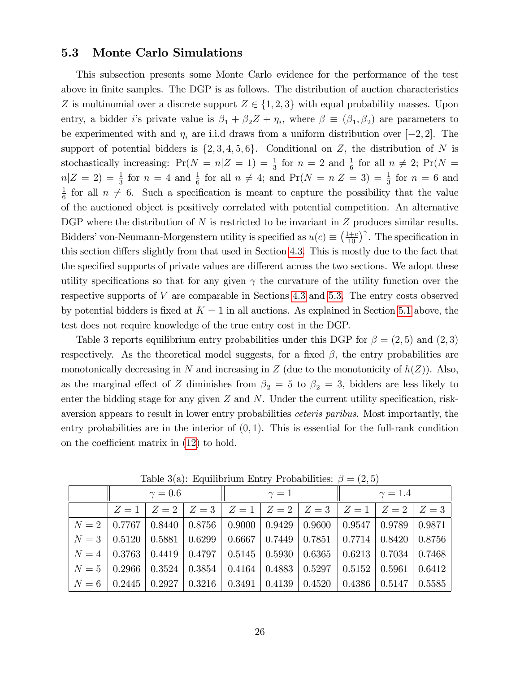#### <span id="page-27-0"></span>5.3 Monte Carlo Simulations

This subsection presents some Monte Carlo evidence for the performance of the test above in finite samples. The DGP is as follows. The distribution of auction characteristics Z is multinomial over a discrete support  $Z \in \{1, 2, 3\}$  with equal probability masses. Upon entry, a bidder *i*'s private value is  $\beta_1 + \beta_2 Z + \eta_i$ , where  $\beta \equiv (\beta_1, \beta_2)$  are parameters to be experimented with and  $\eta_i$  are i.i.d draws from a uniform distribution over  $[-2, 2]$ . The support of potential bidders is  $\{2, 3, 4, 5, 6\}$ . Conditional on Z, the distribution of N is stochastically increasing:  $Pr(N = n | Z = 1) = \frac{1}{3}$  for  $n = 2$  and  $\frac{1}{6}$  for all  $n \neq 2$ ;  $Pr(N =$  $n|Z = 2$ ) =  $\frac{1}{3}$  for  $n = 4$  and  $\frac{1}{6}$  for all  $n \neq 4$ ; and  $Pr(N = n|Z = 3) = \frac{1}{3}$  for  $n = 6$  and 1  $\frac{1}{6}$  for all  $n \neq 6$ . Such a specification is meant to capture the possibility that the value of the auctioned object is positively correlated with potential competition. An alternative DGP where the distribution of  $N$  is restricted to be invariant in  $Z$  produces similar results. Bidders' von-Neumann-Morgenstern utility is specified as  $u(c) \equiv \left(\frac{1+c}{10}\right)^{\gamma}$ . The specification in this section differs slightly from that used in Section [4.3.](#page-15-0) This is mostly due to the fact that the specified supports of private values are different across the two sections. We adopt these utility specifications so that for any given  $\gamma$  the curvature of the utility function over the respective supports of V are comparable in Sections [4.3](#page-15-0) and [5.3.](#page-27-0) The entry costs observed by potential bidders is fixed at  $K = 1$  in all auctions. As explained in Section [5.1](#page-23-4) above, the test does not require knowledge of the true entry cost in the DGP.

Table 3 reports equilibrium entry probabilities under this DGP for  $\beta = (2, 5)$  and  $(2, 3)$ respectively. As the theoretical model suggests, for a fixed  $\beta$ , the entry probabilities are monotonically decreasing in N and increasing in Z (due to the monotonicity of  $h(Z)$ ). Also, as the marginal effect of Z diminishes from  $\beta_2 = 5$  to  $\beta_2 = 3$ , bidders are less likely to enter the bidding stage for any given  $Z$  and  $N$ . Under the current utility specification, riskaversion appears to result in lower entry probabilities ceteris paribus. Most importantly, the entry probabilities are in the interior of  $(0, 1)$ . This is essential for the full-rank condition on the coefficient matrix in  $(12)$  to hold.

|                                                                                                                                                                     | $\gamma=0.6$ |  |  | $\gamma=1$ |  |                                                                                                                                                              | $\parallel \qquad \gamma = 1.4$ |  |  |
|---------------------------------------------------------------------------------------------------------------------------------------------------------------------|--------------|--|--|------------|--|--------------------------------------------------------------------------------------------------------------------------------------------------------------|---------------------------------|--|--|
|                                                                                                                                                                     |              |  |  |            |  | $Z = 1 \mid Z = 2 \mid Z = 3 \mid Z = 1 \mid Z = 2 \mid Z = 3 \mid Z = 1 \mid Z = 2 \mid Z = 3 \mid$                                                         |                                 |  |  |
|                                                                                                                                                                     |              |  |  |            |  | $N = 2$   0.7767   0.8440   0.8756    0.9000   0.9429   0.9600    0.9547   0.9789   0.9871                                                                   |                                 |  |  |
|                                                                                                                                                                     |              |  |  |            |  | $\mid$ $N=3$ $\mid$ $0.5120$ $\mid$ $0.5881$ $\mid$ $0.6299$ $\mid$ $0.6667$ $\mid$ $0.7449$ $\mid$ $0.7851$ $\mid$ $0.7714$ $\mid$ $0.8420$ $\mid$ $0.8756$ |                                 |  |  |
| $\mid$ $N=4$ $\mid$ $0.3763$ $\mid$ $0.4419$ $\mid$ $0.4797$ $\mid$ $0.5145$ $\mid$ $0.5930$ $\mid$ $0.6365$ $\mid$ $0.6213$ $\mid$ $0.7034$ $\mid$ $0.7468$ $\mid$ |              |  |  |            |  |                                                                                                                                                              |                                 |  |  |
| $\mid N = 5 \parallel 0.2966 \mid 0.3524 \mid 0.3854 \parallel 0.4164 \mid 0.4883 \mid 0.5297 \parallel 0.5152 \mid 0.5961 \mid 0.6412$                             |              |  |  |            |  |                                                                                                                                                              |                                 |  |  |
| $\mid$ $N=6$ $\mid$ $0.2445$ $\mid$ $0.2927$ $\mid$ $0.3216$ $\mid$ $0.3491$ $\mid$ $0.4139$ $\mid$ $0.4520$ $\mid$ $0.4386$ $\mid$ $0.5147$ $\mid$ $0.5585$ $\mid$ |              |  |  |            |  |                                                                                                                                                              |                                 |  |  |

Table 3(a): Equilibrium Entry Probabilities:  $\beta = (2, 5)$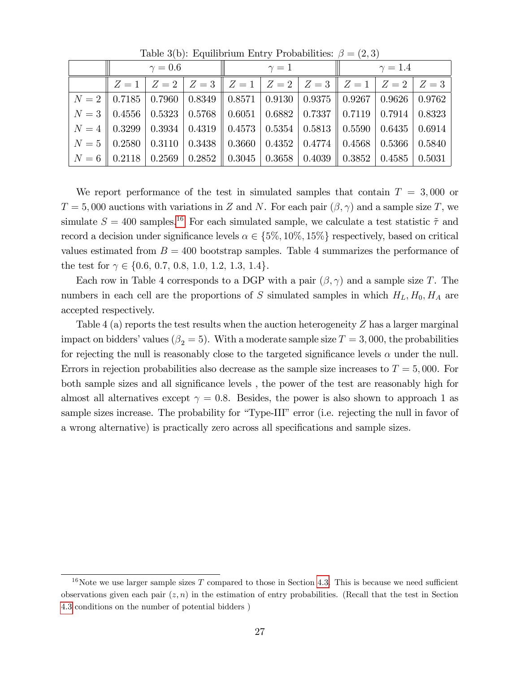| $\gamma = 0.6$ |  |  | $\gamma=1$                                                                                                                                                          |  |  | $\parallel \qquad \gamma = 1.4$ |  |  |
|----------------|--|--|---------------------------------------------------------------------------------------------------------------------------------------------------------------------|--|--|---------------------------------|--|--|
|                |  |  | $Z = 1 \mid Z = 2 \mid Z = 3 \mid Z = 1 \mid Z = 2 \mid Z = 3 \mid Z = 1 \mid Z = 2 \mid Z = 3$                                                                     |  |  |                                 |  |  |
|                |  |  | $N = 2$   0.7185   0.7960   0.8349    0.8571   0.9130   0.9375    0.9267   0.9626   0.9762                                                                          |  |  |                                 |  |  |
|                |  |  | $N = 3$   0.4556   0.5323   0.5768    0.6051   0.6882   0.7337    0.7119   0.7914   0.8323                                                                          |  |  |                                 |  |  |
|                |  |  | $N = 4$   0.3299   0.3934   0.4319    0.4573   0.5354   0.5813    0.5590   0.6435   0.6914                                                                          |  |  |                                 |  |  |
|                |  |  | $N = 5$    0.2580   0.3110   0.3438    0.3660   0.4352   0.4774    0.4568   0.5366   0.5840                                                                         |  |  |                                 |  |  |
|                |  |  | $\mid$ $N=6$ $\mid$ $0.2118$ $\mid$ $0.2569$ $\mid$ $0.2852$ $\mid$ $0.3045$ $\mid$ $0.3658$ $\mid$ $0.4039$ $\mid$ $0.3852$ $\mid$ $0.4585$ $\mid$ $0.5031$ $\mid$ |  |  |                                 |  |  |

Table 3(b): Equilibrium Entry Probabilities:  $\beta = (2, 3)$ 

We report performance of the test in simulated samples that contain  $T = 3,000$  or  $T = 5,000$  auctions with variations in Z and N. For each pair  $(\beta, \gamma)$  and a sample size T, we simulate  $S = 400$  samples.<sup>[16](#page-28-0)</sup> For each simulated sample, we calculate a test statistic  $\tilde{\tau}$  and record a decision under significance levels  $\alpha \in \{5\%, 10\%, 15\%\}$  respectively, based on critical values estimated from  $B = 400$  bootstrap samples. Table 4 summarizes the performance of the test for  $\gamma \in \{0.6, 0.7, 0.8, 1.0, 1.2, 1.3, 1.4\}.$ 

Each row in Table 4 corresponds to a DGP with a pair  $(\beta, \gamma)$  and a sample size T. The numbers in each cell are the proportions of S simulated samples in which  $H_L, H_0, H_A$  are accepted respectively.

Table 4 (a) reports the test results when the auction heterogeneity Z has a larger marginal impact on bidders' values ( $\beta_2 = 5$ ). With a moderate sample size  $T = 3,000$ , the probabilities for rejecting the null is reasonably close to the targeted significance levels  $\alpha$  under the null. Errors in rejection probabilities also decrease as the sample size increases to  $T = 5,000$ . For both sample sizes and all significance levels, the power of the test are reasonably high for almost all alternatives except  $\gamma = 0.8$ . Besides, the power is also shown to approach 1 as sample sizes increase. The probability for "Type-III" error (i.e. rejecting the null in favor of a wrong alternative) is practically zero across all specifications and sample sizes.

<span id="page-28-0"></span><sup>&</sup>lt;sup>16</sup>Note we use larger sample sizes  $T$  compared to those in Section [4.3.](#page-15-0) This is because we need sufficient observations given each pair  $(z, n)$  in the estimation of entry probabilities. (Recall that the test in Section [4.3](#page-15-0) conditions on the number of potential bidders )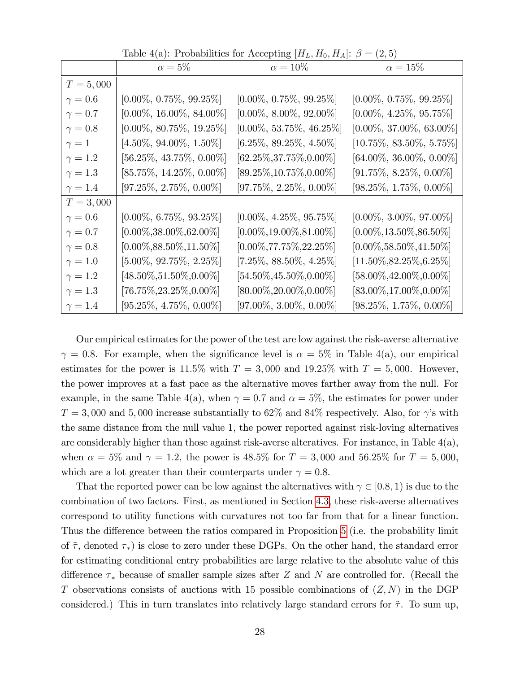|                | $\alpha = 5\%$               | $\alpha = 10\%$              | $\cdots$<br>$\alpha = 15\%$  |
|----------------|------------------------------|------------------------------|------------------------------|
| $T = 5,000$    |                              |                              |                              |
| $\gamma = 0.6$ | $[0.00\%, 0.75\%, 99.25\%]$  | $[0.00\%, 0.75\%, 99.25\%]$  | $[0.00\%, 0.75\%, 99.25\%]$  |
| $\gamma=0.7$   | $[0.00\%, 16.00\%, 84.00\%]$ | $[0.00\%, 8.00\%, 92.00\%]$  | $[0.00\%, 4.25\%, 95.75\%]$  |
| $\gamma=0.8$   | $[0.00\%, 80.75\%, 19.25\%]$ | $[0.00\%, 53.75\%, 46.25\%]$ | $[0.00\%, 37.00\%, 63.00\%]$ |
| $\gamma=1$     | $[4.50\%, 94.00\%, 1.50\%]$  | $[6.25\%, 89.25\%, 4.50\%]$  | $[10.75\%, 83.50\%, 5.75\%]$ |
| $\gamma = 1.2$ | $[56.25\%, 43.75\%, 0.00\%]$ | $[62.25\%, 37.75\%, 0.00\%]$ | $[64.00\%, 36.00\%, 0.00\%]$ |
| $\gamma=1.3$   | $[85.75\%, 14.25\%, 0.00\%]$ | $[89.25\%, 10.75\%, 0.00\%]$ | $[91.75\%, 8.25\%, 0.00\%]$  |
| $\gamma = 1.4$ | $[97.25\%, 2.75\%, 0.00\%]$  | $[97.75\%, 2.25\%, 0.00\%]$  | $[98.25\%, 1.75\%, 0.00\%]$  |
| $T = 3,000$    |                              |                              |                              |
| $\gamma = 0.6$ | $[0.00\%, 6.75\%, 93.25\%]$  | $[0.00\%, 4.25\%, 95.75\%]$  | $[0.00\%, 3.00\%, 97.00\%]$  |
| $\gamma=0.7$   | $[0.00\%, 38.00\%, 62.00\%]$ | $[0.00\%, 19.00\%, 81.00\%]$ | $[0.00\%, 13.50\%, 86.50\%]$ |
| $\gamma=0.8$   | $[0.00\%, 88.50\%, 11.50\%]$ | $[0.00\%, 77.75\%, 22.25\%]$ | $[0.00\%, 58.50\%, 41.50\%]$ |
| $\gamma = 1.0$ | $[5.00\%, 92.75\%, 2.25\%]$  | $[7.25\%, 88.50\%, 4.25\%]$  | $[11.50\%, 82.25\%, 6.25\%]$ |
| $\gamma = 1.2$ | $[48.50\%, 51.50\%, 0.00\%]$ | $[54.50\%, 45.50\%, 0.00\%]$ | $[58.00\%, 42.00\%, 0.00\%]$ |
| $\gamma = 1.3$ | $[76.75\%, 23.25\%, 0.00\%]$ | $[80.00\%, 20.00\%, 0.00\%]$ | $[83.00\%, 17.00\%, 0.00\%]$ |
| $\gamma=1.4$   | $[95.25\%, 4.75\%, 0.00\%]$  | $[97.00\%, 3.00\%, 0.00\%]$  | $[98.25\%, 1.75\%, 0.00\%]$  |

Table 4(a): Probabilities for Accepting  $[H_L, H_0, H_A]$ :  $\beta = (2, 5)$ 

Our empirical estimates for the power of the test are low against the risk-averse alternative  $\gamma = 0.8$ . For example, when the significance level is  $\alpha = 5\%$  in Table 4(a), our empirical estimates for the power is 11.5% with  $T = 3,000$  and 19.25% with  $T = 5,000$ . However, the power improves at a fast pace as the alternative moves farther away from the null. For example, in the same Table 4(a), when  $\gamma = 0.7$  and  $\alpha = 5\%$ , the estimates for power under  $T = 3,000$  and 5,000 increase substantially to 62% and 84% respectively. Also, for  $\gamma$ 's with the same distance from the null value 1, the power reported against risk-loving alternatives are considerably higher than those against risk-averse alteratives. For instance, in Table  $4(a)$ , when  $\alpha = 5\%$  and  $\gamma = 1.2$ , the power is 48.5% for  $T = 3{,}000$  and 56.25% for  $T = 5{,}000$ , which are a lot greater than their counterparts under  $\gamma = 0.8$ .

That the reported power can be low against the alternatives with  $\gamma \in [0.8, 1)$  is due to the combination of two factors. First, as mentioned in Section [4.3,](#page-15-0) these risk-averse alternatives correspond to utility functions with curvatures not too far from that for a linear function. Thus the difference between the ratios compared in Proposition [5](#page-25-1) (i.e. the probability limit of  $\tilde{\tau}$ , denoted  $\tau_*$ ) is close to zero under these DGPs. On the other hand, the standard error for estimating conditional entry probabilities are large relative to the absolute value of this difference  $\tau_*$  because of smaller sample sizes after Z and N are controlled for. (Recall the T observations consists of auctions with 15 possible combinations of  $(Z, N)$  in the DGP considered.) This in turn translates into relatively large standard errors for  $\tilde{\tau}$ . To sum up,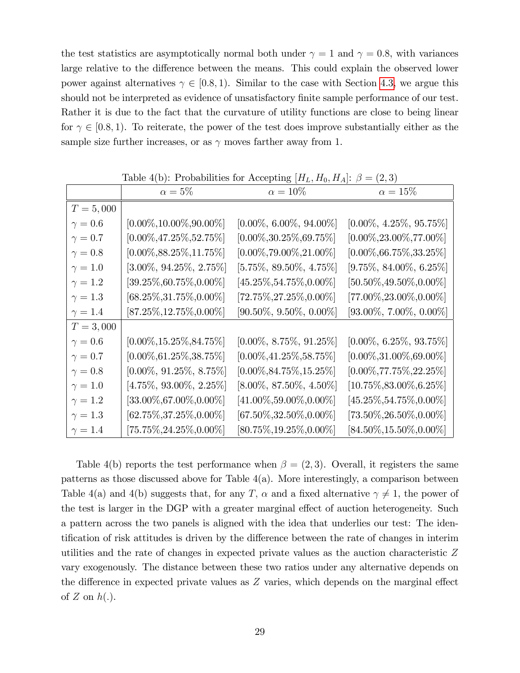the test statistics are asymptotically normal both under  $\gamma = 1$  and  $\gamma = 0.8$ , with variances large relative to the difference between the means. This could explain the observed lower power against alternatives  $\gamma \in [0.8, 1)$ . Similar to the case with Section [4.3,](#page-15-0) we argue this should not be interpreted as evidence of unsatisfactory finite sample performance of our test. Rather it is due to the fact that the curvature of utility functions are close to being linear for  $\gamma \in [0.8, 1)$ . To reiterate, the power of the test does improve substantially either as the sample size further increases, or as  $\gamma$  moves farther away from 1.

|                | $\alpha=5\%$                 | $\alpha = 10\%$              | $\alpha = 15\%$              |
|----------------|------------------------------|------------------------------|------------------------------|
| $T = 5,000$    |                              |                              |                              |
| $\gamma = 0.6$ | $[0.00\%, 10.00\%, 90.00\%]$ | $[0.00\%, 6.00\%, 94.00\%]$  | $[0.00\%, 4.25\%, 95.75\%]$  |
| $\gamma = 0.7$ | $[0.00\%, 47.25\%, 52.75\%]$ | $[0.00\%, 30.25\%, 69.75\%]$ | $[0.00\%, 23.00\%, 77.00\%]$ |
| $\gamma=0.8$   | $[0.00\%, 88.25\%, 11.75\%]$ | $[0.00\%, 79.00\%, 21.00\%]$ | $[0.00\%, 66.75\%, 33.25\%]$ |
| $\gamma = 1.0$ | $[3.00\%, 94.25\%, 2.75\%]$  | $[5.75\%, 89.50\%, 4.75\%]$  | $[9.75\%, 84.00\%, 6.25\%]$  |
| $\gamma = 1.2$ | $[39.25\%, 60.75\%, 0.00\%]$ | $[45.25\%, 54.75\%, 0.00\%]$ | $[50.50\%, 49.50\%, 0.00\%]$ |
| $\gamma = 1.3$ | $[68.25\%, 31.75\%, 0.00\%]$ | $[72.75\%, 27.25\%, 0.00\%]$ | $[77.00\%, 23.00\%, 0.00\%]$ |
| $\gamma = 1.4$ | $[87.25\%, 12.75\%, 0.00\%]$ | $[90.50\%, 9.50\%, 0.00\%]$  | $[93.00\%, 7.00\%, 0.00\%]$  |
| $T = 3,000$    |                              |                              |                              |
| $\gamma = 0.6$ | $[0.00\%, 15.25\%, 84.75\%]$ | $[0.00\%, 8.75\%, 91.25\%]$  | $[0.00\%, 6.25\%, 93.75\%]$  |
| $\gamma=0.7$   | $[0.00\%, 61.25\%, 38.75\%]$ | $[0.00\%, 41.25\%, 58.75\%]$ | $[0.00\%, 31.00\%, 69.00\%]$ |
| $\gamma=0.8$   | $[0.00\%, 91.25\%, 8.75\%]$  | $[0.00\%, 84.75\%, 15.25\%]$ | $[0.00\%, 77.75\%, 22.25\%]$ |
| $\gamma = 1.0$ | $[4.75\%, 93.00\%, 2.25\%]$  | $[8.00\%, 87.50\%, 4.50\%]$  | $[10.75\%, 83.00\%, 6.25\%]$ |
| $\gamma = 1.2$ | $[33.00\%, 67.00\%, 0.00\%]$ | $[41.00\%, 59.00\%, 0.00\%]$ | $[45.25\%, 54.75\%, 0.00\%]$ |
| $\gamma = 1.3$ | $[62.75\%, 37.25\%, 0.00\%]$ | $[67.50\%, 32.50\%, 0.00\%]$ | $[73.50\%, 26.50\%, 0.00\%]$ |
| $\gamma = 1.4$ | $[75.75\%, 24.25\%, 0.00\%]$ | $[80.75\%, 19.25\%, 0.00\%]$ | $[84.50\%, 15.50\%, 0.00\%]$ |

Table 4(b): Probabilities for Accepting  $[H_L, H_0, H_A]$ :  $\beta = (2, 3)$ 

Table 4(b) reports the test performance when  $\beta = (2,3)$ . Overall, it registers the same patterns as those discussed above for Table 4(a). More interestingly, a comparison between Table 4(a) and 4(b) suggests that, for any T,  $\alpha$  and a fixed alternative  $\gamma \neq 1$ , the power of the test is larger in the DGP with a greater marginal effect of auction heterogeneity. Such a pattern across the two panels is aligned with the idea that underlies our test: The identification of risk attitudes is driven by the difference between the rate of changes in interim utilities and the rate of changes in expected private values as the auction characteristic Z vary exogenously. The distance between these two ratios under any alternative depends on the difference in expected private values as  $Z$  varies, which depends on the marginal effect of  $Z$  on  $h(.)$ .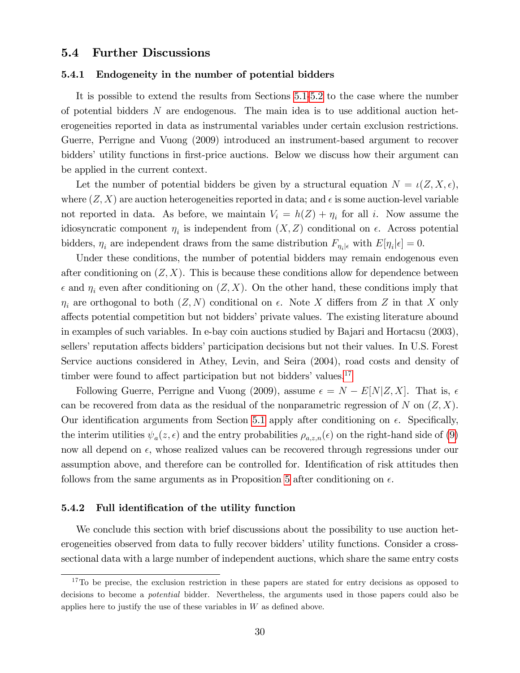#### 5.4 Further Discussions

#### <span id="page-31-0"></span>5.4.1 Endogeneity in the number of potential bidders

It is possible to extend the results from Sections [5.1](#page-23-4)[-5.2](#page-26-2) to the case where the number of potential bidders N are endogenous. The main idea is to use additional auction heterogeneities reported in data as instrumental variables under certain exclusion restrictions. Guerre, Perrigne and Vuong (2009) introduced an instrument-based argument to recover bidders' utility functions in first-price auctions. Below we discuss how their argument can be applied in the current context.

Let the number of potential bidders be given by a structural equation  $N = \iota(Z, X, \epsilon)$ , where  $(Z, X)$  are auction heterogeneities reported in data; and  $\epsilon$  is some auction-level variable not reported in data. As before, we maintain  $V_i = h(Z) + \eta_i$  for all i. Now assume the idiosyncratic component  $\eta_i$  is independent from  $(X, Z)$  conditional on  $\epsilon$ . Across potential bidders,  $\eta_i$  are independent draws from the same distribution  $F_{\eta_i|\epsilon}$  with  $E[\eta_i|\epsilon] = 0$ .

Under these conditions, the number of potential bidders may remain endogenous even after conditioning on  $(Z, X)$ . This is because these conditions allow for dependence between  $\epsilon$  and  $\eta_i$  even after conditioning on  $(Z, X)$ . On the other hand, these conditions imply that  $\eta_i$  are orthogonal to both  $(Z, N)$  conditional on  $\epsilon$ . Note X differs from Z in that X only affects potential competition but not bidders' private values. The existing literature abound in examples of such variables. In e-bay coin auctions studied by Bajari and Hortacsu (2003), sellers' reputation affects bidders' participation decisions but not their values. In U.S. Forest Service auctions considered in Athey, Levin, and Seira (2004), road costs and density of timber were found to affect participation but not bidders' values. $17$ 

Following Guerre, Perrigne and Vuong (2009), assume  $\epsilon = N - E[N|Z, X]$ . That is,  $\epsilon$ can be recovered from data as the residual of the nonparametric regression of N on  $(Z, X)$ . Our identification arguments from Section [5.1](#page-23-4) apply after conditioning on  $\epsilon$ . Specifically, the interim utilities  $\psi_a(z,\epsilon)$  and the entry probabilities  $\rho_{a,z,n}(\epsilon)$  on the right-hand side of [\(9\)](#page-23-5) now all depend on  $\epsilon$ , whose realized values can be recovered through regressions under our assumption above, and therefore can be controlled for. Identification of risk attitudes then follows from the same arguments as in Proposition [5](#page-25-1) after conditioning on  $\epsilon$ .

#### 5.4.2 Full identification of the utility function

We conclude this section with brief discussions about the possibility to use auction heterogeneities observed from data to fully recover bidders' utility functions. Consider a crosssectional data with a large number of independent auctions, which share the same entry costs

<span id="page-31-1"></span><sup>&</sup>lt;sup>17</sup>To be precise, the exclusion restriction in these papers are stated for entry decisions as opposed to decisions to become a potential bidder. Nevertheless, the arguments used in those papers could also be applies here to justify the use of these variables in  $W$  as defined above.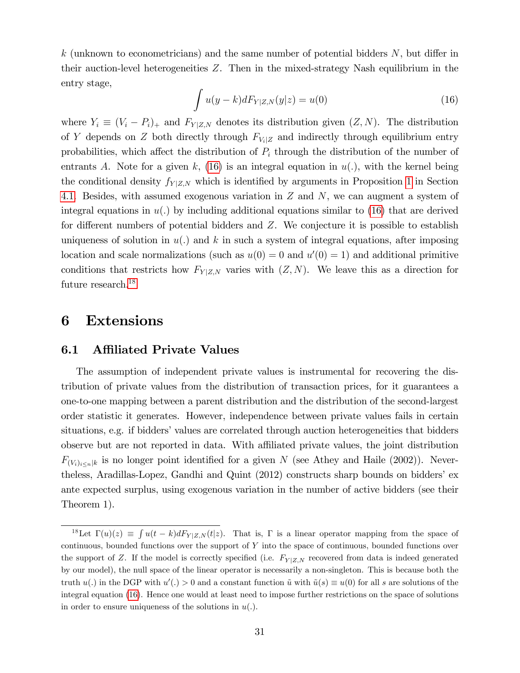k (unknown to econometricians) and the same number of potential bidders  $N$ , but differ in their auction-level heterogeneities Z. Then in the mixed-strategy Nash equilibrium in the entry stage,

<span id="page-32-1"></span>
$$
\int u(y - k) dF_{Y|Z,N}(y|z) = u(0)
$$
\n(16)

where  $Y_i \equiv (V_i - P_i)_+$  and  $F_{Y|Z,N}$  denotes its distribution given  $(Z, N)$ . The distribution of Y depends on Z both directly through  $F_{V_i|Z}$  and indirectly through equilibrium entry probabilities, which affect the distribution of  $P_i$  through the distribution of the number of entrants A. Note for a given k, [\(16\)](#page-32-1) is an integral equation in  $u(.)$ , with the kernel being the conditional density  $f_{Y|Z,N}$  which is identified by arguments in Proposition [1](#page-10-0) in Section [4.1.](#page-10-2) Besides, with assumed exogenous variation in Z and N, we can augment a system of integral equations in  $u(.)$  by including additional equations similar to [\(16\)](#page-32-1) that are derived for different numbers of potential bidders and  $Z$ . We conjecture it is possible to establish uniqueness of solution in  $u(.)$  and k in such a system of integral equations, after imposing location and scale normalizations (such as  $u(0) = 0$  and  $u'(0) = 1$ ) and additional primitive conditions that restricts how  $F_{Y|Z,N}$  varies with  $(Z, N)$ . We leave this as a direction for future research.<sup>[18](#page-32-2)</sup>

### <span id="page-32-0"></span>6 Extensions

#### <span id="page-32-3"></span>6.1 Affiliated Private Values

The assumption of independent private values is instrumental for recovering the distribution of private values from the distribution of transaction prices, for it guarantees a one-to-one mapping between a parent distribution and the distribution of the second-largest order statistic it generates. However, independence between private values fails in certain situations, e.g. if bidders' values are correlated through auction heterogeneities that bidders observe but are not reported in data. With affiliated private values, the joint distribution  $F_{(V_i)_{i\leq n}|k}$  is no longer point identified for a given N (see Athey and Haile (2002)). Nevertheless, Aradillas-Lopez, Gandhi and Quint (2012) constructs sharp bounds on bidders' ex ante expected surplus, using exogenous variation in the number of active bidders (see their Theorem 1).

<span id="page-32-2"></span><sup>&</sup>lt;sup>18</sup>Let  $\Gamma(u)(z) \equiv \int u(t-k)dF_{Y|Z,N}(t|z)$ . That is,  $\Gamma$  is a linear operator mapping from the space of continuous, bounded functions over the support of Y into the space of continuous, bounded functions over the support of Z. If the model is correctly specified (i.e.  $F_{Y|Z,N}$  recovered from data is indeed generated by our model), the null space of the linear operator is necessarily a non-singleton. This is because both the truth  $u(.)$  in the DGP with  $u'(.) > 0$  and a constant function  $\tilde{u}$  with  $\tilde{u}(s) \equiv u(0)$  for all s are solutions of the integral equation [\(16\)](#page-32-1). Hence one would at least need to impose further restrictions on the space of solutions in order to ensure uniqueness of the solutions in  $u(.)$ .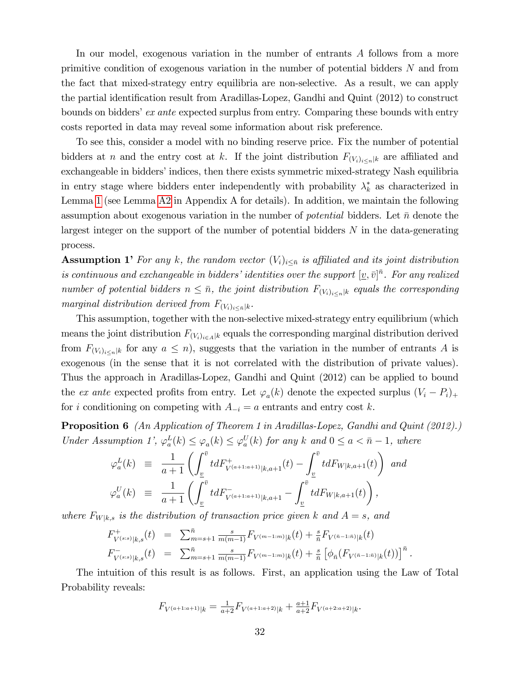In our model, exogenous variation in the number of entrants A follows from a more primitive condition of exogenous variation in the number of potential bidders N and from the fact that mixed-strategy entry equilibria are non-selective. As a result, we can apply the partial identification result from Aradillas-Lopez, Gandhi and Quint (2012) to construct bounds on bidders' ex ante expected surplus from entry. Comparing these bounds with entry costs reported in data may reveal some information about risk preference.

To see this, consider a model with no binding reserve price. Fix the number of potential bidders at n and the entry cost at k. If the joint distribution  $F_{(V_i)_{i\leq n}|k}$  are affiliated and exchangeable in bidders' indices, then there exists symmetric mixed-strategy Nash equilibria in entry stage where bidders enter independently with probability  $\lambda_k^*$  as characterized in Lemma [1](#page-7-0) (see Lemma [A2](#page-24-0) in Appendix A for details). In addition, we maintain the following assumption about exogenous variation in the number of *potential* bidders. Let  $\bar{n}$  denote the largest integer on the support of the number of potential bidders  $N$  in the data-generating process.

**Assumption 1'** For any k, the random vector  $(V_i)_{i\leq \bar{n}}$  is affiliated and its joint distribution is continuous and exchangeable in bidders' identities over the support  $[\underline{v}, \bar{v}]^{\bar{n}}$ . For any realized number of potential bidders  $n \leq \bar{n}$ , the joint distribution  $F_{(V_i)_{i\leq n}|k}$  equals the corresponding marginal distribution derived from  $F_{(V_i)_{i \leq \bar{n}}|k}$ .

This assumption, together with the non-selective mixed-strategy entry equilibrium (which means the joint distribution  $F_{(V_i)_{i\in A}|k}$  equals the corresponding marginal distribution derived from  $F_{(V_i)_{i\leq n}|k}$  for any  $a \leq n$ , suggests that the variation in the number of entrants A is exogenous (in the sense that it is not correlated with the distribution of private values). Thus the approach in Aradillas-Lopez, Gandhi and Quint (2012) can be applied to bound the ex ante expected profits from entry. Let  $\varphi_a(k)$  denote the expected surplus  $(V_i - P_i)_+$ for i conditioning on competing with  $A_{-i} = a$  entrants and entry cost k.

<span id="page-33-0"></span>**Proposition 6** (An Application of Theorem 1 in Aradillas-Lopez, Gandhi and Quint (2012).) Under Assumption 1',  $\varphi_a^L(k) \leq \varphi_a(k) \leq \varphi_a^U(k)$  for any k and  $0 \leq a < \bar{n} - 1$ , where

$$
\varphi_a^L(k) \equiv \frac{1}{a+1} \left( \int_{\underline{v}}^{\overline{v}} t dF_{V^{(a+1:a+1)}|k,a+1}^+(t) - \int_{\underline{v}}^{\overline{v}} t dF_{W|k,a+1}(t) \right) \text{ and}
$$
  

$$
\varphi_a^U(k) \equiv \frac{1}{a+1} \left( \int_{\underline{v}}^{\overline{v}} t dF_{V^{(a+1:a+1)}|k,a+1} - \int_{\underline{v}}^{\overline{v}} t dF_{W|k,a+1}(t) \right),
$$

where  $F_{W|k,s}$  is the distribution of transaction price given k and  $A = s$ , and

$$
F_{V^{(s:s)}|k,s}^{+}(t) = \sum_{m=s+1}^{\bar{n}} \frac{s}{m(m-1)} F_{V^{(m-1:m)}|k}(t) + \frac{s}{\bar{n}} F_{V^{(\bar{n}-1:\bar{n})}|k}(t)
$$
  

$$
F_{V^{(s:s)}|k,s}^{-}(t) = \sum_{m=s+1}^{\bar{n}} \frac{s}{m(m-1)} F_{V^{(m-1:m)}|k}(t) + \frac{s}{\bar{n}} \left[ \phi_{\bar{n}} (F_{V^{(\bar{n}-1:\bar{n})}|k}(t)) \right]^{\bar{n}}.
$$

The intuition of this result is as follows. First, an application using the Law of Total Probability reveals:

$$
F_{V^{(a+1:a+1)}|k} = \frac{1}{a+2} F_{V^{(a+1:a+2)}|k} + \frac{a+1}{a+2} F_{V^{(a+2:a+2)}|k}.
$$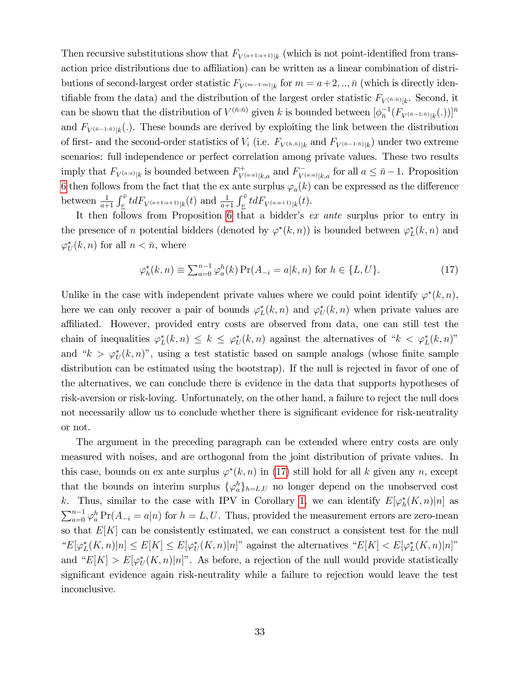Then recursive substitutions show that  $F_{V^{(a+1:a+1)}|k}$  (which is not point-identified from transaction price distributions due to affiliation) can be written as a linear combination of distributions of second-largest order statistic  $F_{V^{(m-1:m)}|k}$  for  $m = a+2, \ldots, \bar{n}$  (which is directly identifiable from the data) and the distribution of the largest order statistic  $F_{V^{(\bar{n}:\bar{n})}|k}$ . Second, it can be shown that the distribution of  $V^{(\bar{n}:\bar{n})}$  given k is bounded between  $[\phi_{\bar{n}}^{-1}(F_{V^{(\bar{n}-1:\bar{n})}|k}(.))]^{\bar{n}}$ and  $F_{V^{(\bar{n}-1:\bar{n})}|k}(.)$ . These bounds are derived by exploiting the link between the distribution of first- and the second-order statistics of  $V_i$  (i.e.  $F_{V^{(\bar{n},\bar{n})}|k}$  and  $F_{V^{(\bar{n}-1:\bar{n})}|k}$ ) under two extreme scenarios: full independence or perfect correlation among private values. These two results imply that  $F_{V^{(a:a)}|k}$  is bounded between  $F_{V}^+$  $V^{(a;a)}|_{k,a}$  and  $F_{V^{(a;a)}|k,a}$  for all  $a \leq \bar{n}-1$ . Proposition [6](#page-33-0) then follows from the fact that the ex ante surplus  $\varphi_a(k)$  can be expressed as the difference between  $\frac{1}{a+1} \int_{\underline{v}}^{\overline{v}} t dF_{V^{(a+1:a+1)}|k}(t)$  and  $\frac{1}{a+1} \int_{\underline{v}}^{\overline{v}} t dF_{V^{(a:a+1)}|k}(t)$ .

It then follows from Proposition [6](#page-33-0) that a bidder's  $ex$  ante surplus prior to entry in the presence of n potential bidders (denoted by  $\varphi^*(k, n)$ ) is bounded between  $\varphi_L^*(k, n)$  and  $\varphi_U^*(k, n)$  for all  $n < \bar{n}$ , where

<span id="page-34-0"></span>
$$
\varphi_h^*(k, n) \equiv \sum_{a=0}^{n-1} \varphi_a^h(k) \Pr(A_{-i} = a | k, n) \text{ for } h \in \{L, U\}. \tag{17}
$$

Unlike in the case with independent private values where we could point identify  $\varphi^*(k,n)$ , here we can only recover a pair of bounds  $\varphi_L^*(k, n)$  and  $\varphi_U^*(k, n)$  when private values are affiliated. However, provided entry costs are observed from data, one can still test the chain of inequalities  $\varphi_L^*(k,n) \leq k \leq \varphi_U^*(k,n)$  against the alternatives of " $k < \varphi_L^*(k,n)$ " and " $k > \varphi_U^*(k,n)$ ", using a test statistic based on sample analogs (whose finite sample distribution can be estimated using the bootstrap). If the null is rejected in favor of one of the alternatives, we can conclude there is evidence in the data that supports hypotheses of risk-aversion or risk-loving. Unfortunately, on the other hand, a failure to reject the null does not necessarily allow us to conclude whether there is significant evidence for risk-neutrality or not.

The argument in the preceding paragraph can be extended where entry costs are only measured with noises, and are orthogonal from the joint distribution of private values. In this case, bounds on ex ante surplus  $\varphi^*(k, n)$  in [\(17\)](#page-34-0) still hold for all k given any n, except that the bounds on interim surplus  $\{\varphi_a^h\}_{h=L,U}$  no longer depend on the unobserved cost k. Thus, similar to the case with IPV in Corollary [1,](#page-11-0) we can identify  $E[\varphi_h^*(K,n)|n]$  as  $\sum_{a=0}^{n-1} \varphi_a^h \Pr(A_{-i} = a|n)$  for  $h = L, U$ . Thus, provided the measurement errors are zero-mean so that  $E[K]$  can be consistently estimated, we can construct a consistent test for the null " $E[\varphi_L^*(K,n)|n] \leq E[K] \leq E[\varphi_U^*(K,n)|n]$ " against the alternatives " $E[K] < E[\varphi_L^*(K,n)|n]$ " and " $E[K] > E[\varphi_U^*(K,n)|n]$ ". As before, a rejection of the null would provide statistically significant evidence again risk-neutrality while a failure to rejection would leave the test inconclusive.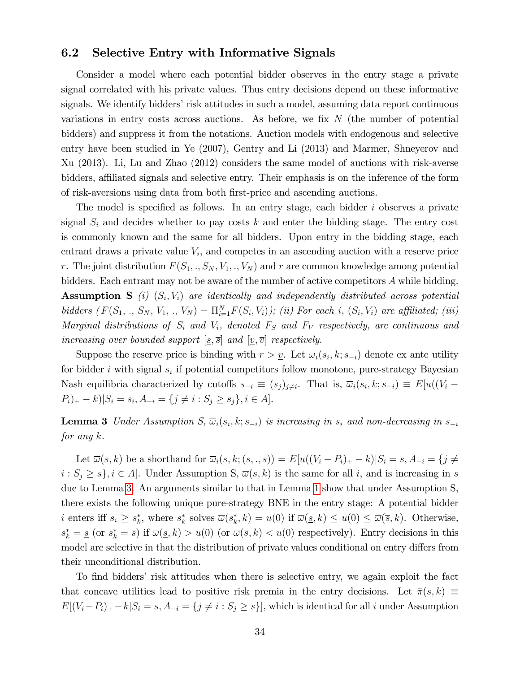#### 6.2 Selective Entry with Informative Signals

Consider a model where each potential bidder observes in the entry stage a private signal correlated with his private values. Thus entry decisions depend on these informative signals. We identify bidders' risk attitudes in such a model, assuming data report continuous variations in entry costs across auctions. As before, we fix  $N$  (the number of potential bidders) and suppress it from the notations. Auction models with endogenous and selective entry have been studied in Ye (2007), Gentry and Li (2013) and Marmer, Shneyerov and Xu (2013). Li, Lu and Zhao (2012) considers the same model of auctions with risk-averse bidders, affiliated signals and selective entry. Their emphasis is on the inference of the form of risk-aversions using data from both Örst-price and ascending auctions.

The model is specified as follows. In an entry stage, each bidder  $i$  observes a private signal  $S_i$  and decides whether to pay costs k and enter the bidding stage. The entry cost is commonly known and the same for all bidders. Upon entry in the bidding stage, each entrant draws a private value  $V_i$ , and competes in an ascending auction with a reserve price r. The joint distribution  $F(S_1,., S_N, V_1,., V_N)$  and r are common knowledge among potential bidders. Each entrant may not be aware of the number of active competitors A while bidding. **Assumption S** (i)  $(S_i, V_i)$  are identically and independently distributed across potential bidders  $(F(S_1,., S_N, V_1,., V_N) = \Pi_{i=1}^N F(S_i, V_i)$ ; (ii) For each i,  $(S_i, V_i)$  are affiliated; (iii) Marginal distributions of  $S_i$  and  $V_i$ , denoted  $F_S$  and  $F_V$  respectively, are continuous and increasing over bounded support  $[s, \overline{s}]$  and  $[v, \overline{v}]$  respectively.

Suppose the reserve price is binding with  $r > \underline{v}$ . Let  $\overline{\omega}_i(s_i, k; s_{-i})$  denote ex ante utility for bidder *i* with signal  $s_i$  if potential competitors follow monotone, pure-strategy Bayesian Nash equilibria characterized by cutoffs  $s_{-i} \equiv (s_j)_{j \neq i}$ . That is,  $\overline{\omega}_i(s_i, k; s_{-i}) \equiv E[u((V_i P_i$ <sub>)+</sub> - k)| $S_i = s_i$ ,  $A_{-i} = \{j \neq i : S_j \ge s_j\}, i \in A$ ].

<span id="page-35-0"></span>**Lemma 3** Under Assumption S,  $\overline{\omega}_i(s_i, k; s_{-i})$  is increasing in  $s_i$  and non-decreasing in  $s_{-i}$ for any k.

Let  $\overline{\omega}(s, k)$  be a shorthand for  $\overline{\omega}_i(s, k; (s, ., s)) = E[u((V_i - P_i)_+ - k)|S_i = s, A_{-i} = \{j \neq i\}]$  $i: S_j \geq s$ ,  $i \in A$ . Under Assumption S,  $\overline{\omega}(s, k)$  is the same for all i, and is increasing in s due to Lemma [3.](#page-35-0) An arguments similar to that in Lemma [1](#page-7-0) show that under Assumption S, there exists the following unique pure-strategy BNE in the entry stage: A potential bidder *i* enters iff  $s_i \geq s_k^*$ , where  $s_k^*$  solves  $\overline{\omega}(s_k^*, k) = u(0)$  if  $\overline{\omega}(\underline{s}, k) \leq u(0) \leq \overline{\omega}(\overline{s}, k)$ . Otherwise,  $s_k^* = \underline{s}$  (or  $s_k^* = \overline{s}$ ) if  $\overline{\omega}(\underline{s}, k) > u(0)$  (or  $\overline{\omega}(\overline{s}, k) < u(0)$  respectively). Entry decisions in this model are selective in that the distribution of private values conditional on entry differs from their unconditional distribution.

To find bidders' risk attitudes when there is selective entry, we again exploit the fact that concave utilities lead to positive risk premia in the entry decisions. Let  $\bar{\pi}(s, k) \equiv$  $E[(V_i-P_i)_+ - k|S_i = s, A_{-i} = \{j \neq i : S_j \geq s\}],$  which is identical for all i under Assumption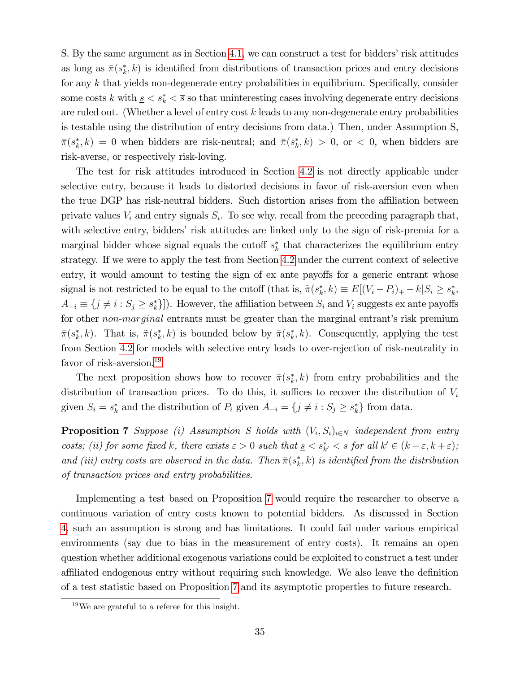S. By the same argument as in Section [4.1,](#page-10-2) we can construct a test for bidders' risk attitudes as long as  $\bar{\pi}(s_k^*, k)$  is identified from distributions of transaction prices and entry decisions for any  $k$  that yields non-degenerate entry probabilities in equilibrium. Specifically, consider some costs k with  $s \leq s_k^* \leq \overline{s}$  so that uninteresting cases involving degenerate entry decisions are ruled out. (Whether a level of entry cost  $k$  leads to any non-degenerate entry probabilities is testable using the distribution of entry decisions from data.) Then, under Assumption S,  $\bar{\pi}(s_k^*, k) = 0$  when bidders are risk-neutral; and  $\bar{\pi}(s_k^*, k) > 0$ , or  $\lt 0$ , when bidders are risk-averse, or respectively risk-loving.

The test for risk attitudes introduced in Section [4.2](#page-12-1) is not directly applicable under selective entry, because it leads to distorted decisions in favor of risk-aversion even when the true DGP has risk-neutral bidders. Such distortion arises from the affiliation between private values  $V_i$  and entry signals  $S_i$ . To see why, recall from the preceding paragraph that, with selective entry, bidders' risk attitudes are linked only to the sign of risk-premia for a marginal bidder whose signal equals the cutoff  $s_k^*$  that characterizes the equilibrium entry strategy. If we were to apply the test from Section [4.2](#page-12-1) under the current context of selective entry, it would amount to testing the sign of ex ante payoffs for a generic entrant whose signal is not restricted to be equal to the cutoff (that is,  $\tilde{\pi}(s_k^*, k) \equiv E[(V_i - P_i)_+ - k|S_i \ge s_k^*$ ,  $A_{-i} \equiv \{j \neq i : S_j \geq s_k^*\}]$ ). However, the affiliation between  $S_i$  and  $V_i$  suggests ex ante payoffs for other non-marginal entrants must be greater than the marginal entrant's risk premium  $\bar{\pi}(s_k^*, k)$ . That is,  $\tilde{\pi}(s_k^*, k)$  is bounded below by  $\bar{\pi}(s_k^*, k)$ . Consequently, applying the test from Section [4.2](#page-12-1) for models with selective entry leads to over-rejection of risk-neutrality in favor of risk-aversion.<sup>[19](#page-36-0)</sup>

The next proposition shows how to recover  $\bar{\pi}(s_k^*, k)$  from entry probabilities and the distribution of transaction prices. To do this, it suffices to recover the distribution of  $V_i$ given  $S_i = s_k^*$  and the distribution of  $P_i$  given  $A_{-i} = \{j \neq i : S_j \geq s_k^*\}$  from data.

<span id="page-36-1"></span>**Proposition 7** Suppose (i) Assumption S holds with  $(V_i, S_i)_{i \in N}$  independent from entry costs; (ii) for some fixed k, there exists  $\varepsilon > 0$  such that  $\underline{s} < s_k^* < \overline{s}$  for all  $k' \in (k - \varepsilon, k + \varepsilon)$ ; and (iii) entry costs are observed in the data. Then  $\bar{\pi}(s_k^*, k)$  is identified from the distribution of transaction prices and entry probabilities.

Implementing a test based on Proposition [7](#page-36-1) would require the researcher to observe a continuous variation of entry costs known to potential bidders. As discussed in Section [4,](#page-8-0) such an assumption is strong and has limitations. It could fail under various empirical environments (say due to bias in the measurement of entry costs). It remains an open question whether additional exogenous variations could be exploited to construct a test under affiliated endogenous entry without requiring such knowledge. We also leave the definition of a test statistic based on Proposition [7](#page-36-1) and its asymptotic properties to future research.

<span id="page-36-0"></span><sup>19</sup>We are grateful to a referee for this insight.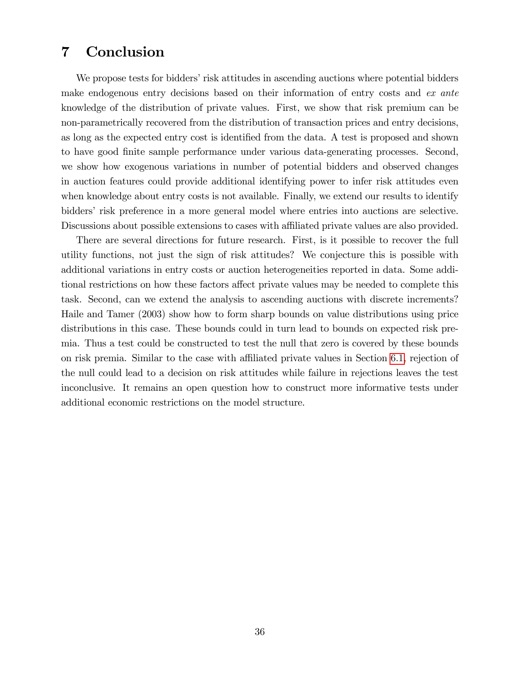## <span id="page-37-0"></span>7 Conclusion

We propose tests for bidders' risk attitudes in ascending auctions where potential bidders make endogenous entry decisions based on their information of entry costs and ex ante knowledge of the distribution of private values. First, we show that risk premium can be non-parametrically recovered from the distribution of transaction prices and entry decisions, as long as the expected entry cost is identified from the data. A test is proposed and shown to have good Önite sample performance under various data-generating processes. Second, we show how exogenous variations in number of potential bidders and observed changes in auction features could provide additional identifying power to infer risk attitudes even when knowledge about entry costs is not available. Finally, we extend our results to identify bidders' risk preference in a more general model where entries into auctions are selective. Discussions about possible extensions to cases with affiliated private values are also provided.

There are several directions for future research. First, is it possible to recover the full utility functions, not just the sign of risk attitudes? We conjecture this is possible with additional variations in entry costs or auction heterogeneities reported in data. Some additional restrictions on how these factors affect private values may be needed to complete this task. Second, can we extend the analysis to ascending auctions with discrete increments? Haile and Tamer (2003) show how to form sharp bounds on value distributions using price distributions in this case. These bounds could in turn lead to bounds on expected risk premia. Thus a test could be constructed to test the null that zero is covered by these bounds on risk premia. Similar to the case with affiliated private values in Section [6.1,](#page-32-3) rejection of the null could lead to a decision on risk attitudes while failure in rejections leaves the test inconclusive. It remains an open question how to construct more informative tests under additional economic restrictions on the model structure.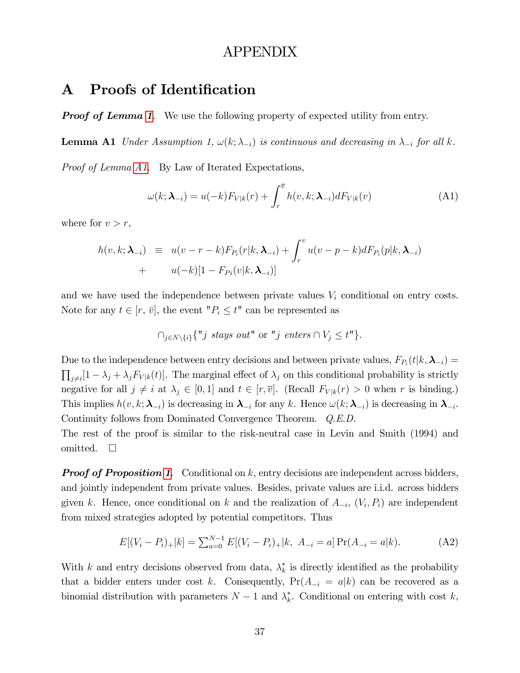### APPENDIX

## A Proofs of Identification

**Proof of Lemma [1](#page-7-0).** We use the following property of expected utility from entry.

**Lemma A1** Under Assumption 1,  $\omega(k; \lambda_{-i})$  is continuous and decreasing in  $\lambda_{-i}$  for all k.

Proof of Lemma [A1.](#page-7-0) By Law of Iterated Expectations,

$$
\omega(k; \boldsymbol{\lambda}_{-i}) = u(-k)F_{V|k}(r) + \int_r^{\overline{v}} h(v, k; \boldsymbol{\lambda}_{-i})dF_{V|k}(v)
$$
(A1)

where for  $v > r$ ,

$$
h(v,k; \lambda_{-i}) \equiv u(v-r-k)F_{P_i}(r|k, \lambda_{-i}) + \int_r^v u(v-p-k) dF_{P_i}(p|k, \lambda_{-i})
$$
  
+ 
$$
u(-k)[1 - F_{P_i}(v|k, \lambda_{-i})]
$$

and we have used the independence between private values  $V_i$  conditional on entry costs. Note for any  $t \in [r, \bar{v}]$ , the event " $P_i \leq t$ " can be represented as

$$
\bigcap_{j\in N\setminus\{i\}}\{^{\mathsf{H}}j\,\,\text{stays\,\,out^{\mathsf{H}}}\,\,\text{or}\,\,^{\mathsf{H}}j\,\,\text{enters}\cap V_j\leq t^{\mathsf{H}}\}.
$$

Due to the independence between entry decisions and between private values,  $F_{P_i}(t|k,\lambda_{-i}) =$  $\prod_{j\neq i}[1-\lambda_j+\lambda_jF_{V|k}(t)]$ . The marginal effect of  $\lambda_j$  on this conditional probability is strictly negative for all  $j \neq i$  at  $\lambda_j \in [0, 1]$  and  $t \in [r, \overline{v}]$ . (Recall  $F_{V|k}(r) > 0$  when r is binding.) This implies  $h(v, k; \lambda_{-i})$  is decreasing in  $\lambda_{-i}$  for any k. Hence  $\omega(k; \lambda_{-i})$  is decreasing in  $\lambda_{-i}$ . Continuity follows from Dominated Convergence Theorem. Q.E.D.

The rest of the proof is similar to the risk-neutral case in Levin and Smith (1994) and omitted.  $\square$ 

**Proof of Proposition [1](#page-10-0).** Conditional on k, entry decisions are independent across bidders, and jointly independent from private values. Besides, private values are i.i.d. across bidders given k. Hence, once conditional on k and the realization of  $A_{-i}$ ,  $(V_i, P_i)$  are independent from mixed strategies adopted by potential competitors. Thus

$$
E[(V_i - P_i)_+|k] = \sum_{a=0}^{N-1} E[(V_i - P_i)_+|k, A_{-i} = a] \Pr(A_{-i} = a|k).
$$
 (A2)

With k and entry decisions observed from data,  $\lambda_k^*$  is directly identified as the probability that a bidder enters under cost k. Consequently,  $Pr(A_{-i} = a|k)$  can be recovered as a binomial distribution with parameters  $N-1$  and  $\lambda_k^*$ . Conditional on entering with cost k,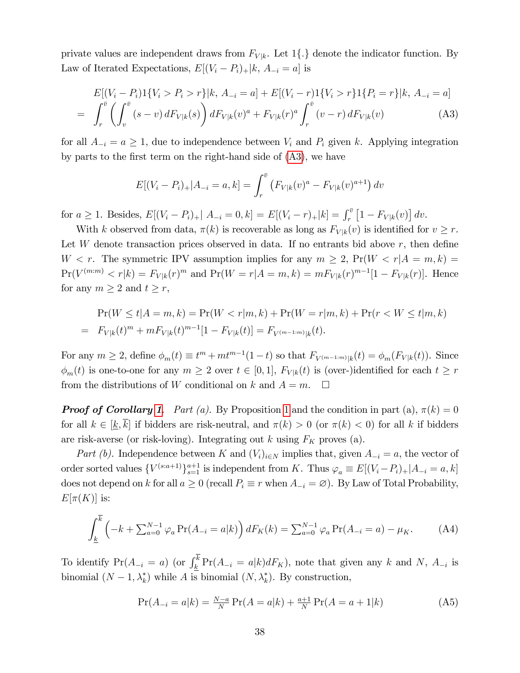private values are independent draws from  $F_{V|k}$ . Let 1 $\{\cdot\}$  denote the indicator function. By Law of Iterated Expectations,  $E[(V_i - P_i)_+|k, A_{-i} = a]$  is

<span id="page-39-1"></span>
$$
E[(V_i - P_i)1\{V_i > P_i > r\}|k, A_{-i} = a] + E[(V_i - r)1\{V_i > r\}1\{P_i = r\}|k, A_{-i} = a]
$$
  
= 
$$
\int_r^{\bar{v}} \left(\int_v^{\bar{v}} (s - v) dF_{V|k}(s)\right) dF_{V|k}(v)^a + F_{V|k}(r)^a \int_r^{\bar{v}} (v - r) dF_{V|k}(v) \tag{A3}
$$

for all  $A_{-i} = a \ge 1$ , due to independence between  $V_i$  and  $P_i$  given k. Applying integration by parts to the first term on the right-hand side of  $(A3)$ , we have

$$
E[(V_i - P_i)_+ | A_{-i} = a, k] = \int_r^{\bar{v}} \left( F_{V|k}(v)^a - F_{V|k}(v)^{a+1} \right) dv
$$

for  $a \ge 1$ . Besides,  $E[(V_i - P_i)_+ | A_{-i} = 0, k] = E[(V_i - r)_+ | k] = \int_r^{\bar{v}} [1 - F_{V|k}(v)] dv$ .

With k observed from data,  $\pi(k)$  is recoverable as long as  $F_{V|k}(v)$  is identified for  $v \geq r$ . Let W denote transaction prices observed in data. If no entrants bid above  $r$ , then define  $W < r$ . The symmetric IPV assumption implies for any  $m \geq 2$ ,  $Pr(W < r | A = m, k)$  $Pr(V^{(m:m)} < r|k) = F_{V|k}(r)^m$  and  $Pr(W = r|A = m, k) = mF_{V|k}(r)^{m-1}[1 - F_{V|k}(r)]$ . Hence for any  $m \geq 2$  and  $t \geq r$ ,

$$
\Pr(W \le t | A = m, k) = \Pr(W < r | m, k) + \Pr(W = r | m, k) + \Pr(r < W \le t | m, k) \\
= F_{V|k}(t)^m + mF_{V|k}(t)^{m-1}[1 - F_{V|k}(t)] = F_{V^{(m-1:m)}|k}(t).
$$

For any  $m \geq 2$ , define  $\phi_m(t) \equiv t^m + mt^{m-1}(1-t)$  so that  $F_{V^{(m-1:m)}|k}(t) = \phi_m(F_{V|k}(t))$ . Since  $\phi_m(t)$  is one-to-one for any  $m \geq 2$  over  $t \in [0, 1]$ ,  $F_{V|k}(t)$  is (over-)identified for each  $t \geq r$ from the distributions of W conditional on k and  $A = m$ .  $\Box$ 

**Proof of Corollary [1](#page-10-0).** Part (a). By Proposition 1 and the condition in part (a),  $\pi(k) = 0$ for all  $k \in [k, \overline{k}]$  if bidders are risk-neutral, and  $\pi(k) > 0$  (or  $\pi(k) < 0$ ) for all k if bidders are risk-averse (or risk-loving). Integrating out k using  $F_K$  proves (a).

Part (b). Independence between K and  $(V_i)_{i\in\mathbb{N}}$  implies that, given  $A_{-i} = a$ , the vector of order sorted values  ${V^{(s:a+1)}\}_{s=1}^{a+1}$  is independent from K. Thus  $\varphi_a \equiv E[(V_i-P_i)_+|A_{-i} = a, k]$ does not depend on k for all  $a \geq 0$  (recall  $P_i \equiv r$  when  $A_{-i} = \emptyset$ ). By Law of Total Probability,  $E[\pi(K)]$  is:

$$
\int_{\underline{k}}^{\overline{k}} \left( -k + \sum_{a=0}^{N-1} \varphi_a \Pr(A_{-i} = a | k) \right) dF_K(k) = \sum_{a=0}^{N-1} \varphi_a \Pr(A_{-i} = a) - \mu_K. \tag{A4}
$$

To identify  $Pr(A_{-i} = a)$  (or  $\int_{k}^{k} Pr(A_{-i} = a|k)dF_K$ ), note that given any k and N,  $A_{-i}$  is binomial  $(N - 1, \lambda_k^*)$  while A is binomial  $(N, \lambda_k^*)$ . By construction,

<span id="page-39-0"></span>
$$
\Pr(A_{-i} = a|k) = \frac{N-a}{N}\Pr(A = a|k) + \frac{a+1}{N}\Pr(A = a+1|k)
$$
 (A5)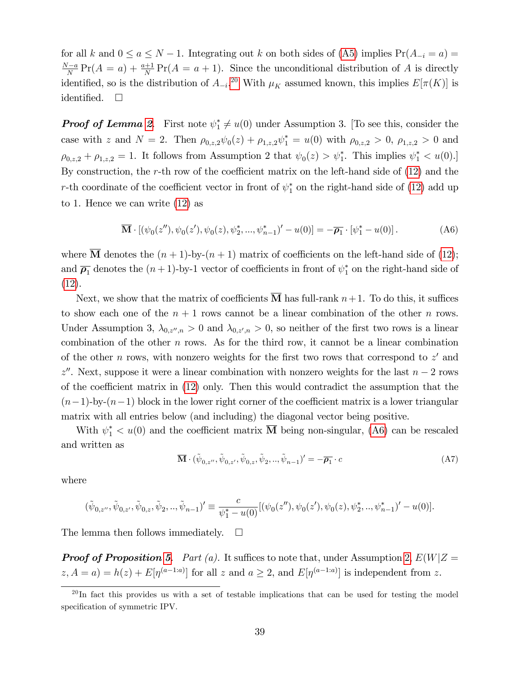for all k and  $0 \le a \le N - 1$ . Integrating out k on both sides of [\(A5\)](#page-39-0) implies  $Pr(A_{-i} = a)$  $\frac{N-a}{N} \Pr(A = a) + \frac{a+1}{N} \Pr(A = a+1)$ . Since the unconditional distribution of A is directly identified, so is the distribution of  $A_{-i}$ <sup>[20](#page-40-0)</sup> With  $\mu_K$  assumed known, this implies  $E[\pi(K)]$  is identified.  $\square$ 

**Proof of Lemma [2](#page-24-0).** First note  $\psi_1^* \neq u(0)$  under Assumption 3. [To see this, consider the case with z and  $N = 2$ . Then  $\rho_{0,z,2} \psi_0(z) + \rho_{1,z,2} \psi_1^* = u(0)$  with  $\rho_{0,z,2} > 0$ ,  $\rho_{1,z,2} > 0$  and  $\rho_{0,z,2} + \rho_{1,z,2} = 1$ . It follows from Assumption 2 that  $\psi_0(z) > \psi_1^*$ . This implies  $\psi_1^* < u(0)$ . By construction, the r-th row of the coefficient matrix on the left-hand side of  $(12)$  and the r-th coordinate of the coefficient vector in front of  $\psi_1^*$  on the right-hand side of [\(12\)](#page-24-4) add up to 1. Hence we can write [\(12\)](#page-24-4) as

<span id="page-40-1"></span>
$$
\overline{\mathbf{M}} \cdot \left[ (\psi_0(z''), \psi_0(z'), \psi_0(z), \psi_2^*, ..., \psi_{n-1}^*)' - u(0) \right] = -\overline{\rho_1} \cdot \left[ \psi_1^* - u(0) \right]. \tag{A6}
$$

where  $\overline{M}$  denotes the  $(n + 1)$ -by- $(n + 1)$  matrix of coefficients on the left-hand side of [\(12\)](#page-24-4); and  $\overline{\rho_1}$  denotes the  $(n+1)$ -by-1 vector of coefficients in front of  $\psi_1^*$  on the right-hand side of [\(12\)](#page-24-4).

Next, we show that the matrix of coefficients **M** has full-rank  $n+1$ . To do this, it suffices to show each one of the  $n+1$  rows cannot be a linear combination of the other n rows. Under Assumption 3,  $\lambda_{0,z'',n} > 0$  and  $\lambda_{0,z',n} > 0$ , so neither of the first two rows is a linear combination of the other  $n$  rows. As for the third row, it cannot be a linear combination of the other n rows, with nonzero weights for the first two rows that correspond to  $z'$  and  $z''$ . Next, suppose it were a linear combination with nonzero weights for the last  $n-2$  rows of the coefficient matrix in  $(12)$  only. Then this would contradict the assumption that the  $(n-1)$ -by- $(n-1)$  block in the lower right corner of the coefficient matrix is a lower triangular matrix with all entries below (and including) the diagonal vector being positive.

With  $\psi_1^* < u(0)$  and the coefficient matrix **M** being non-singular, [\(A6\)](#page-40-1) can be rescaled and written as

$$
\overline{\mathbf{M}} \cdot (\tilde{\psi}_{0,z''}, \tilde{\psi}_{0,z'}, \tilde{\psi}_{0,z}, \tilde{\psi}_2, ..., \tilde{\psi}_{n-1})' = -\overline{\rho_1} \cdot c \tag{A7}
$$

where

$$
(\tilde{\psi}_{0,z''},\tilde{\psi}_{0,z'},\tilde{\psi}_{0,z},\tilde{\psi}_2,..,\tilde{\psi}_{n-1})'\equiv \frac{c}{\psi_1^*-u(0)}[(\psi_0(z''),\psi_0(z'),\psi_0(z),\psi_2^*,..,\psi_{n-1}^*)'-u(0)].
$$

The lemma then follows immediately.  $\square$ 

**Proof of Proposition [5](#page-25-1).** Part (a). It suffices to note that, under Assumption [2,](#page-22-1)  $E(W|Z =$  $(z, A = a) = h(z) + E[\eta^{(a-1:a)}]$  for all z and  $a \geq 2$ , and  $E[\eta^{(a-1:a)}]$  is independent from z.

<span id="page-40-0"></span> $^{20}$ In fact this provides us with a set of testable implications that can be used for testing the model specification of symmetric IPV.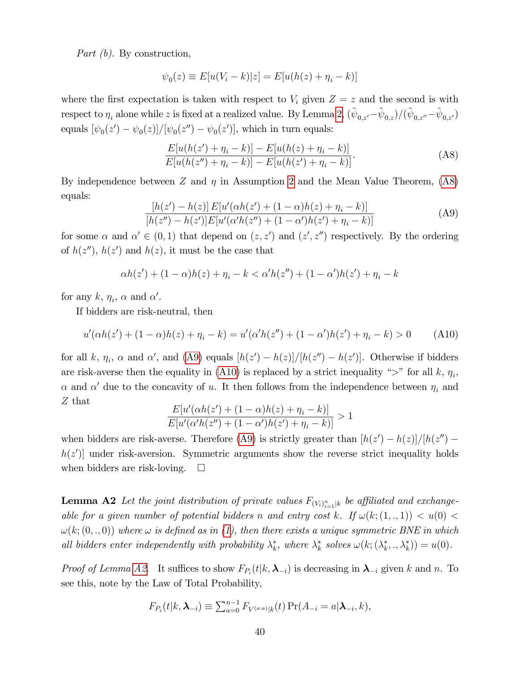Part (b). By construction,

$$
\psi_0(z) \equiv E[u(V_i - k)|z] = E[u(h(z) + \eta_i - k)]
$$

where the first expectation is taken with respect to  $V_i$  given  $Z = z$  and the second is with respect to  $\eta_i$  alone while z is fixed at a realized value. By Lemma [2,](#page-24-0)  $(\tilde{\psi}_{0,z'}-\tilde{\psi}_{0,z})/(\tilde{\psi}_{0,z''}-\tilde{\psi}_{0,z'})$ equals  $[\psi_0(z') - \psi_0(z)]/[\psi_0(z'') - \psi_0(z')]$ , which in turn equals:

<span id="page-41-0"></span>
$$
\frac{E[u(h(z') + \eta_i - k)] - E[u(h(z) + \eta_i - k)]}{E[u(h(z'') + \eta_i - k)] - E[u(h(z') + \eta_i - k)]}.
$$
\n(A8)

By independence between Z and  $\eta$  in Assumption [2](#page-22-1) and the Mean Value Theorem, [\(A8\)](#page-41-0) equals:

<span id="page-41-1"></span>
$$
\frac{[h(z') - h(z)] E[u'(\alpha h(z') + (1 - \alpha)h(z) + \eta_i - k)]}{[h(z'') - h(z')] E[u'(\alpha' h(z'') + (1 - \alpha')h(z') + \eta_i - k)]}
$$
(A9)

for some  $\alpha$  and  $\alpha' \in (0,1)$  that depend on  $(z, z')$  and  $(z', z'')$  respectively. By the ordering of  $h(z'')$ ,  $h(z')$  and  $h(z)$ , it must be the case that

$$
\alpha h(z') + (1 - \alpha)h(z) + \eta_i - k < \alpha'h(z'') + (1 - \alpha')h(z') + \eta_i - k
$$

for any  $k, \eta_i, \alpha$  and  $\alpha'$ .

If bidders are risk-neutral, then

<span id="page-41-2"></span>
$$
u'(\alpha h(z') + (1 - \alpha)h(z) + \eta_i - k) = u'(\alpha' h(z'') + (1 - \alpha')h(z') + \eta_i - k) > 0
$$
 (A10)

for all k,  $\eta_i$ ,  $\alpha$  and  $\alpha'$ , and [\(A9\)](#page-41-1) equals  $[h(z') - h(z)]/[h(z'') - h(z')]$ . Otherwise if bidders are risk-averse then the equality in [\(A10\)](#page-41-2) is replaced by a strict inequality " $>$ " for all k,  $\eta_i$ ,  $\alpha$  and  $\alpha'$  due to the concavity of u. It then follows from the independence between  $\eta_i$  and Z that

$$
\frac{E[u'(\alpha h(z') + (1 - \alpha)h(z) + \eta_i - k)]}{E[u'(\alpha' h(z'') + (1 - \alpha')h(z') + \eta_i - k)]} > 1
$$

when bidders are risk-averse. Therefore [\(A9\)](#page-41-1) is strictly greater than  $[h(z') - h(z)]/[h(z'')$  $h(z')$  under risk-aversion. Symmetric arguments show the reverse strict inequality holds when bidders are risk-loving.  $\square$ 

**Lemma A2** Let the joint distribution of private values  $F_{(V_i)_{i=1}^n|k}$  be affiliated and exchangeable for a given number of potential bidders n and entry cost k. If  $\omega(k; (1, ., 1)) < u(0)$  $\omega(k; (0, ., 0))$  where  $\omega$  is defined as in [\(1\)](#page-7-1), then there exists a unique symmetric BNE in which all bidders enter independently with probability  $\lambda_k^*$ , where  $\lambda_k^*$  solves  $\omega(k; (\lambda_k^*, \cdot, \lambda_k^*)) = u(0)$ .

*Proof of Lemma [A2.](#page-24-0)* It suffices to show  $F_{P_i}(t|k,\lambda_{-i})$  is decreasing in  $\lambda_{-i}$  given k and n. To see this, note by the Law of Total Probability,

$$
F_{P_i}(t|k,\boldsymbol{\lambda}_{-i}) \equiv \sum_{a=0}^{n-1} F_{V^{(a:a)}|k}(t) \Pr(A_{-i} = a|\boldsymbol{\lambda}_{-i},k),
$$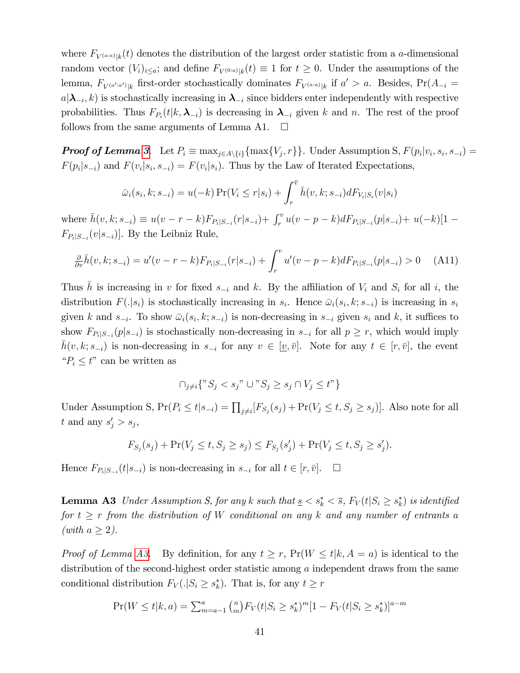where  $F_{V^{(a;a)}|k}(t)$  denotes the distribution of the largest order statistic from a *a*-dimensional random vector  $(V_i)_{i \leq a}$ ; and define  $F_{V^{(0:a)}|k}(t) \equiv 1$  for  $t \geq 0$ . Under the assumptions of the lemma,  $F_{V^{(a':a')}|k}$  first-order stochastically dominates  $F_{V^{(a:a)}|k}$  if  $a' > a$ . Besides,  $Pr(A_{-i} =$  $a|\lambda_{-i}, k)$  is stochastically increasing in  $\lambda_{-i}$  since bidders enter independently with respective probabilities. Thus  $F_{P_i}(t|k,\lambda_{-i})$  is decreasing in  $\lambda_{-i}$  given k and n. The rest of the proof follows from the same arguments of Lemma A1.  $\square$ 

**Proof of Lemma [3](#page-35-0).** Let  $P_i \equiv \max_{j \in A \setminus \{i\}} \{\max\{V_j, r\}\}\.$  Under Assumption S,  $F(p_i|v_i, s_i, s_{-i}) =$  $F(p_i|s_{-i})$  and  $F(v_i|s_i, s_{-i}) = F(v_i|s_i)$ . Thus by the Law of Iterated Expectations,

$$
\bar{\omega}_i(s_i, k; s_{-i}) = u(-k) \Pr(V_i \le r | s_i) + \int_r^{\bar{v}} \bar{h}(v, k; s_{-i}) dF_{V_i|S_i}(v | s_i)
$$

where  $\bar{h}(v, k; s_{-i}) \equiv u(v - r - k) F_{P_i|S_{-i}}(r|s_{-i}) + \int_r^v u(v - p - k) dF_{P_i|S_{-i}}(p|s_{-i}) + u(-k)[1 F_{P_i|S_{-i}}(v|s_{-i})]$ . By the Leibniz Rule,

$$
\frac{\partial}{\partial v}\bar{h}(v,k;s_{-i}) = u'(v-r-k)F_{P_i|S_{-i}}(r|s_{-i}) + \int_r^v u'(v-p-k)dF_{P_i|S_{-i}}(p|s_{-i}) > 0 \quad \text{(A11)}
$$

Thus h is increasing in v for fixed  $s_{-i}$  and k. By the affiliation of  $V_i$  and  $S_i$  for all i, the distribution  $F(.|s_i)$  is stochastically increasing in  $s_i$ . Hence  $\bar{\omega}_i(s_i, k; s_{-i})$  is increasing in  $s_i$ given k and  $s_{-i}$ . To show  $\bar{\omega}_i(s_i, k; s_{-i})$  is non-decreasing in  $s_{-i}$  given  $s_i$  and k, it suffices to show  $F_{P_i|S_{-i}}(p|s_{-i})$  is stochastically non-decreasing in  $s_{-i}$  for all  $p \geq r$ , which would imply  $\bar{h}(v, k; s_{-i})$  is non-decreasing in  $s_{-i}$  for any  $v \in [\underline{v}, \overline{v}]$ . Note for any  $t \in [r, \overline{v}]$ , the event " $P_i \leq t$ " can be written as

$$
\cap_{j \neq i} \{ "S_j < s_j" \cup "S_j \ge s_j \cap V_j \le t"\}
$$

Under Assumption S,  $Pr(P_i \le t | s_{-i}) = \prod_{j \neq i} [F_{S_j}(s_j) + Pr(V_j \le t, S_j \ge s_j)].$  Also note for all t and any  $s'_j > s_j$ ,

$$
F_{S_j}(s_j) + \Pr(V_j \le t, S_j \ge s_j) \le F_{S_j}(s'_j) + \Pr(V_j \le t, S_j \ge s'_j).
$$

Hence  $F_{P_i|S_{-i}}(t|s_{-i})$  is non-decreasing in  $s_{-i}$  for all  $t \in [r, \bar{v}]$ .  $\Box$ 

**Lemma A3** Under Assumption S, for any k such that  $\underline{s} < s_k^* < \overline{s}$ ,  $F_V(t|S_i \geq s_k^*)$  is identified for  $t \geq r$  from the distribution of W conditional on any k and any number of entrants a (with  $a \geq 2$ ).

*Proof of Lemma [A3.](#page-35-0)* By definition, for any  $t \geq r$ ,  $Pr(W \leq t | k, A = a)$  is identical to the distribution of the second-highest order statistic among a independent draws from the same conditional distribution  $F_V(.|S_i \geq s_k^*)$ . That is, for any  $t \geq r$ 

$$
\Pr(W \le t | k, a) = \sum_{m=a-1}^{a} {n \choose m} F_V(t | S_i \ge s_k^*)^m [1 - F_V(t | S_i \ge s_k^*)]^{a-m}
$$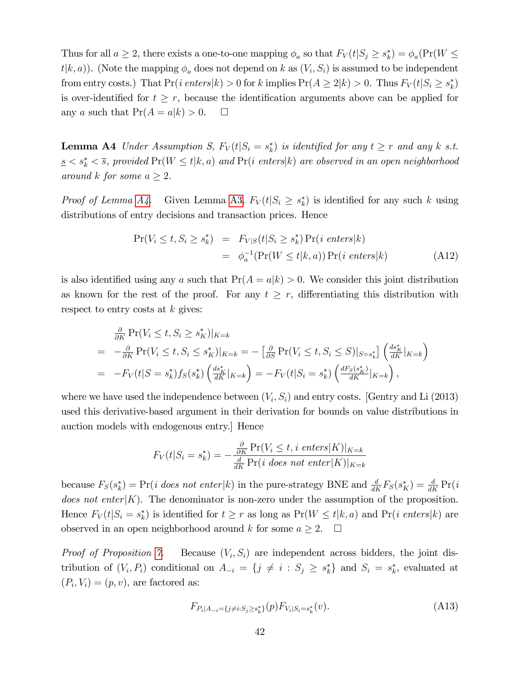Thus for all  $a \ge 2$ , there exists a one-to-one mapping  $\phi_a$  so that  $F_V(t|S_j \ge s_k^*) = \phi_a(\Pr(W \le$  $t(k, a)$ ). (Note the mapping  $\phi_a$  does not depend on k as  $(V_i, S_i)$  is assumed to be independent from entry costs.) That  $Pr(i \text{ enters } | k) > 0$  for k implies  $Pr(A \ge 2|k) > 0$ . Thus  $F_V(t|S_i \ge s_k^*)$ is over-identified for  $t \geq r$ , because the identification arguments above can be applied for any a such that  $Pr(A = a|k) > 0$ .  $\Box$ 

<span id="page-43-0"></span>**Lemma A4** Under Assumption S,  $F_V(t|S_i = s_k^*)$  is identified for any  $t \ge r$  and any k s.t.  $s \leq s^*_k \leq \overline{s}$ , provided  $Pr(W \leq t | k, a)$  and  $Pr(i \text{ enters} | k)$  are observed in an open neighborhood around k for some  $a \geq 2$ .

*Proof of Lemma [A4.](#page-43-0)* Given Lemma [A3,](#page-35-0)  $F_V(t|S_i \geq s_k^*)$  is identified for any such k using distributions of entry decisions and transaction prices. Hence

$$
Pr(V_i \le t, S_i \ge s_k^*) = F_{V|S}(t|S_i \ge s_k^*) Pr(i \text{ enters}|k)
$$
  
=  $\phi_a^{-1}(Pr(W \le t|k, a)) Pr(i \text{ enters}|k)$  (A12)

is also identified using any a such that  $Pr(A = a|k) > 0$ . We consider this joint distribution as known for the rest of the proof. For any  $t \geq r$ , differentiating this distribution with respect to entry costs at  $k$  gives:

$$
\frac{\partial}{\partial K} \Pr(V_i \le t, S_i \ge s_K^*)|_{K=k}
$$
\n
$$
= -\frac{\partial}{\partial K} \Pr(V_i \le t, S_i \le s_K^*)|_{K=k} = -\left[\frac{\partial}{\partial S} \Pr(V_i \le t, S_i \le S)|_{S=s_k^*}\right] \left(\frac{ds_K^*}{dK}|_{K=k}\right)
$$
\n
$$
= -F_V(t|S=s_k^*)f_S(s_k^*) \left(\frac{ds_K^*}{dK}|_{K=k}\right) = -F_V(t|S_i=s_k^*) \left(\frac{dF_S(s_K^*)}{dK}|_{K=k}\right),
$$

where we have used the independence between  $(V_i, S_i)$  and entry costs. [Gentry and Li (2013) used this derivative-based argument in their derivation for bounds on value distributions in auction models with endogenous entry.] Hence

$$
F_V(t|S_i = s_k^*) = -\frac{\frac{\partial}{\partial K} \Pr(V_i \le t, i \text{ enters} | K)|_{K=k}}{\frac{d}{dK} \Pr(i \text{ does not enter} | K)|_{K=k}}
$$

because  $F_S(s_k^*) = Pr(i \text{ does not enter } |k)$  in the pure-strategy BNE and  $\frac{d}{dK}F_S(s_K^*) = \frac{d}{dK}Pr(i \text{ and } k \text{ is not not not.})$ does not enter $|K|$ . The denominator is non-zero under the assumption of the proposition. Hence  $F_V(t|S_i = s_k^*)$  is identified for  $t \ge r$  as long as  $Pr(W \le t|k, a)$  and  $Pr(i \text{ enters } |k)$  are observed in an open neighborhood around k for some  $a \geq 2$ .  $\Box$ 

*Proof of Proposition [7.](#page-36-1)* Because  $(V_i, S_i)$  are independent across bidders, the joint distribution of  $(V_i, P_i)$  conditional on  $A_{-i} = \{j \neq i : S_j \geq s_k^*\}\$  and  $S_i = s_k^*$ , evaluated at  $(P_i, V_i) = (p, v)$ , are factored as:

<span id="page-43-1"></span>
$$
F_{P_i|A_{-i}=\{j\neq i:S_j\geq s_k^*\}}(p)F_{V_i|S_i=s_k^*}(v). \tag{A13}
$$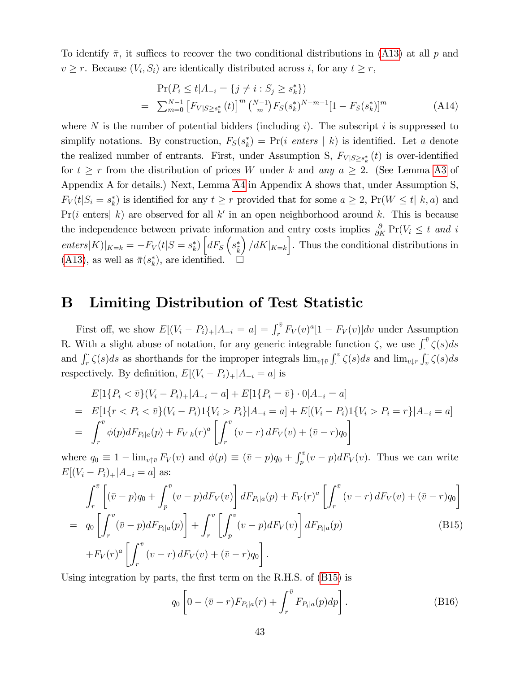To identify  $\bar{\pi}$ , it suffices to recover the two conditional distributions in [\(A13\)](#page-43-1) at all p and  $v \ge r$ . Because  $(V_i, S_i)$  are identically distributed across i, for any  $t \ge r$ ,

$$
\Pr(P_i \le t | A_{-i} = \{ j \ne i : S_j \ge s_k^* \})
$$
\n
$$
= \sum_{m=0}^{N-1} \left[ F_{V|S \ge s_k^*} (t) \right]^m \binom{N-1}{m} F_S(s_k^*)^{N-m-1} [1 - F_S(s_k^*)]^m \tag{A14}
$$

where N is the number of potential bidders (including i). The subscript i is suppressed to simplify notations. By construction,  $F_S(s_k^*) = Pr(i \text{ enters } | k)$  is identified. Let a denote the realized number of entrants. First, under Assumption S,  $F_{V|S\geq s_k^*}(t)$  is over-identified for  $t \geq r$  from the distribution of prices W under k and any  $a \geq 2$ . (See Lemma [A3](#page-35-0) of Appendix A for details.) Next, Lemma [A4](#page-43-0) in Appendix A shows that, under Assumption S,  $F_V(t|S_i = s_k^*)$  is identified for any  $t \ge r$  provided that for some  $a \ge 2$ ,  $Pr(W \le t | k, a)$  and  $Pr(i \text{ enters} | k)$  are observed for all k' in an open neighborhood around k. This is because the independence between private information and entry costs implies  $\frac{\partial}{\partial K} Pr(V_i \leq t \text{ and } i$  $enters|K)|_{K=k} = -F_V(t|S=s_k^*)\left[dF_S\left(s_k^*\right)\right]$  $\int dK$ <sub> $K=k$ </sub>. Thus the conditional distributions in  $(A13)$ , as well as  $\bar{\pi}(s_k^*)$ , are identified.  $\square$ 

## B Limiting Distribution of Test Statistic

First off, we show  $E[(V_i - P_i)_+]A_{-i} = a] = \int_r^{\bar{v}} F_V(v)^{a}[1 - F_V(v)]dv$  under Assumption R. With a slight abuse of notation, for any generic integrable function  $\zeta$ , we use  $\int_{\cdot}^{\bar{v}} \zeta(s) ds$ and  $\int_r^{\cdot} \zeta(s)ds$  as shorthands for the improper integrals  $\lim_{v \uparrow \bar{v}} \int_r^v \zeta(s)ds$  and  $\lim_{v \downarrow r} \int_r^{\cdot} \zeta(s)ds$  $\int_{c}^{v} \zeta(s)ds$  and  $\lim_{v \downarrow r} \int_{v} \zeta(s)ds$ respectively. By definition,  $E[(V_i - P_i)_+|A_{-i} = a]$  is

$$
E[1\{P_i < \bar{v}\}(V_i - P_i)_+ | A_{-i} = a] + E[1\{P_i = \bar{v}\} \cdot 0 | A_{-i} = a]
$$
\n
$$
= E[1\{r < P_i < \bar{v}\}(V_i - P_i)1\{V_i > P_i\}| A_{-i} = a] + E[(V_i - P_i)1\{V_i > P_i = r\}| A_{-i} = a]
$$
\n
$$
= \int_r^{\bar{v}} \phi(p) dF_{P_i|a}(p) + F_{V|k}(r)^a \left[ \int_r^{\bar{v}} (v - r) dF_V(v) + (\bar{v} - r)q_0 \right]
$$

where  $q_0 \equiv 1 - \lim_{v \uparrow \bar{v}} F_V(v)$  and  $\phi(p) \equiv (\bar{v} - p)q_0 + \int_p^{\bar{v}} (v - p) dF_V(v)$ . Thus we can write  $E[(V_i - P_i)_+|A_{-i} = a]$  as:

<span id="page-44-0"></span>
$$
\int_{r}^{\bar{v}} \left[ (\bar{v} - p)q_0 + \int_{p}^{\bar{v}} (v - p) dF_V(v) \right] dF_{P_i|a}(p) + F_V(r)^a \left[ \int_{r}^{\bar{v}} (v - r) dF_V(v) + (\bar{v} - r)q_0 \right]
$$
  
=  $q_0 \left[ \int_{r}^{\bar{v}} (\bar{v} - p) dF_{P_i|a}(p) \right] + \int_{r}^{\bar{v}} \left[ \int_{p}^{\bar{v}} (v - p) dF_V(v) \right] dF_{P_i|a}(p)$  (B15)  
+ $F_V(r)^a \left[ \int_{r}^{\bar{v}} (v - r) dF_V(v) + (\bar{v} - r)q_0 \right].$ 

Using integration by parts, the first term on the R.H.S. of [\(B15\)](#page-44-0) is

<span id="page-44-1"></span>
$$
q_0 \left[ 0 - (\bar{v} - r) F_{P_i|a}(r) + \int_r^{\bar{v}} F_{P_i|a}(p) dp \right]. \tag{B16}
$$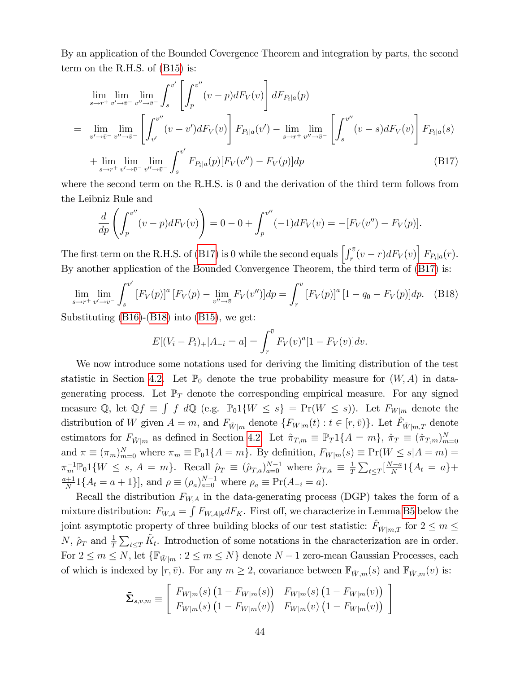By an application of the Bounded Covergence Theorem and integration by parts, the second term on the R.H.S. of [\(B15\)](#page-44-0) is:

<span id="page-45-0"></span>
$$
\lim_{s \to r^{+}} \lim_{v' \to \bar{v}^{-}} \lim_{v'' \to \bar{v}^{-}} \int_{s}^{v'} \left[ \int_{p}^{v''} (v - p) dF_{V}(v) \right] dF_{P_{i}|a}(p)
$$
\n
$$
= \lim_{v' \to \bar{v}^{-}} \lim_{v'' \to \bar{v}^{-}} \left[ \int_{v'}^{v''} (v - v') dF_{V}(v) \right] F_{P_{i}|a}(v') - \lim_{s \to r^{+}} \lim_{v'' \to \bar{v}^{-}} \left[ \int_{s}^{v''} (v - s) dF_{V}(v) \right] F_{P_{i}|a}(s)
$$
\n
$$
+ \lim_{s \to r^{+}} \lim_{v' \to \bar{v}^{-}} \lim_{v'' \to \bar{v}^{-}} \int_{s}^{v'} F_{P_{i}|a}(p) [F_{V}(v'') - F_{V}(p)] dp \tag{B17}
$$

where the second term on the R.H.S. is 0 and the derivation of the third term follows from the Leibniz Rule and

$$
\frac{d}{dp}\left(\int_{p}^{v''}(v-p)dF_V(v)\right) = 0 - 0 + \int_{p}^{v''}(-1)dF_V(v) = -[F_V(v'') - F_V(p)].
$$

The first term on the R.H.S. of [\(B17\)](#page-45-0) is 0 while the second equals  $\left[\int_r^{\bar{v}}(v-r)dF_V(v)\right]F_{P_i|a}(r)$ . By another application of the Bounded Convergence Theorem, the third term of [\(B17\)](#page-45-0) is:

<span id="page-45-1"></span>
$$
\lim_{s \to r^+} \lim_{v' \to \bar{v}^-} \int_s^{v'} [F_V(p)]^a [F_V(p) - \lim_{v'' \to \bar{v}} F_V(v'')] dp = \int_r^{\bar{v}} [F_V(p)]^a [1 - q_0 - F_V(p)] dp. \tag{B18}
$$

Substituting [\(B16\)](#page-44-1)-[\(B18\)](#page-45-1) into [\(B15\)](#page-44-0), we get:

$$
E[(V_i - P_i)_+ | A_{-i} = a] = \int_r^{\bar{v}} F_V(v)^a [1 - F_V(v)] dv.
$$

We now introduce some notations used for deriving the limiting distribution of the test statistic in Section [4.2.](#page-12-1) Let  $\mathbb{P}_0$  denote the true probability measure for  $(W, A)$  in datagenerating process. Let  $\mathbb{P}_T$  denote the corresponding empirical measure. For any signed measure Q, let  $\mathbb{Q}f \equiv \int f \ d\mathbb{Q}$  (e.g.  $\mathbb{P}_0 1\{W \leq s\} = \Pr(W \leq s)$ ). Let  $F_{W|m}$  denote the distribution of W given  $A = m$ , and  $F_{\tilde{W}|m}$  denote  $\{F_{W|m}(t) : t \in [r, \bar{v})\}$ . Let  $\hat{F}_{\tilde{W}|m,T}$  denote estimators for  $F_{\tilde{W}|m}$  as defined in Section [4.2.](#page-12-1) Let  $\hat{\pi}_{T,m} \equiv \mathbb{P}_T 1\{A = m\}$ ,  $\hat{\pi}_T \equiv (\hat{\pi}_{T,m})_{m=0}^N$ and  $\pi \equiv (\pi_m)_{m=0}^N$  where  $\pi_m \equiv \mathbb{P}_0 1\{A = m\}$ . By definition,  $F_{W|m}(s) \equiv \Pr(W \le s | A = m)$  $\pi_m^{-1} \mathbb{P}_0 1 \{ W \leq s, A = m \}.$  Recall  $\hat{\rho}_T \equiv (\hat{\rho}_{T,a})_{a=0}^{N-1}$  where  $\hat{\rho}_{T,a} \equiv \frac{1}{T}$  $\frac{1}{T} \sum_{t \leq T} \left[ \frac{N-a}{N} 1\{A_t = a\} +$ a+1  $\frac{+1}{N}1\{A_t = a + 1\}$ , and  $\rho \equiv (\rho_a)_{a=0}^{N-1}$  where  $\rho_a \equiv \Pr(A_{-i} = a)$ .

Recall the distribution  $F_{WA}$  in the data-generating process (DGP) takes the form of a mixture distribution:  $F_{W,A} = \int F_{W,A|k} dF_K$ . First off, we characterize in Lemma [B5](#page-46-0) below the joint asymptotic property of three building blocks of our test statistic:  $\hat{F}_{\tilde{W}|m,T}$  for  $2 \le m \le$ N,  $\rho_T$  and  $\frac{1}{T} \sum_{t \leq T} \tilde{K}_t$ . Introduction of some notations in the characterization are in order. For  $2 \leq m \leq N$ , let  $\{\mathbb{F}_{\tilde{W}|m} : 2 \leq m \leq N\}$  denote  $N-1$  zero-mean Gaussian Processes, each of which is indexed by  $[r, \bar{v})$ . For any  $m \geq 2$ , covariance between  $\mathbb{F}_{\tilde{W},m}(s)$  and  $\mathbb{F}_{\tilde{W},m}(v)$  is:

$$
\tilde{\Sigma}_{s,v,m} \equiv \begin{bmatrix} F_{W|m}(s) \left(1 - F_{W|m}(s)\right) & F_{W|m}(s) \left(1 - F_{W|m}(v)\right) \\ F_{W|m}(s) \left(1 - F_{W|m}(v)\right) & F_{W|m}(v) \left(1 - F_{W|m}(v)\right) \end{bmatrix}
$$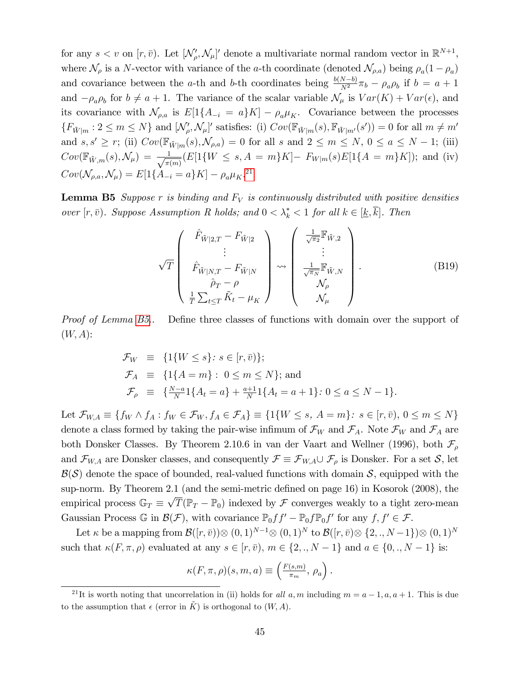for any  $s < v$  on  $[r, \bar{v})$ . Let  $[\mathcal{N}'_{\rho}, \mathcal{N}_{\mu}]'$  denote a multivariate normal random vector in  $\mathbb{R}^{N+1}$ , where  $\mathcal{N}_{\rho}$  is a N-vector with variance of the a-th coordinate (denoted  $\mathcal{N}_{\rho,a}$ ) being  $\rho_a(1-\rho_a)$ and covariance between the a-th and b-th coordinates being  $\frac{b(N-b)}{N^2}\pi_b - \rho_a \rho_b$  if  $b = a + 1$ and  $-\rho_a \rho_b$  for  $b \neq a + 1$ . The variance of the scalar variable  $\mathcal{N}_{\mu}$  is  $Var(K) + Var(\epsilon)$ , and its covariance with  $\mathcal{N}_{\rho,a}$  is  $E[1\{A_{-i} = a\}K] - \rho_a\mu_K$ . Covariance between the processes  $\{F_{\tilde{W}|m} : 2 \leq m \leq N\}$  and  $[\mathcal{N}'_{\rho}, \mathcal{N}_{\mu}]'$  satisfies: (i)  $Cov(\mathbb{F}_{\tilde{W}|m}(s), \mathbb{F}_{\tilde{W}|m'}(s')) = 0$  for all  $m \neq m'$ and  $s, s' \geq r$ ; (ii)  $Cov(\mathbb{F}_{\tilde{W}|m}(s), \mathcal{N}_{\rho,a}) = 0$  for all s and  $2 \leq m \leq N$ ,  $0 \leq a \leq N - 1$ ; (iii)  $Cov(\mathbb{F}_{\tilde{W},m}(s), \mathcal{N}_{\mu}) \, = \, \frac{1}{\sqrt{\pi n}}$  $\frac{1}{\pi(m)}(E[1\{W \le s, A = m\}K] - F_{W|m}(s)E[1\{A = m\}K]);$  and (iv)  $Cov(\mathcal{N}_{\rho,a}, \mathcal{N}_{\mu}) = E[1\{A_{-i} = a\}K] - \rho_a \mu_K^{21}$  $Cov(\mathcal{N}_{\rho,a}, \mathcal{N}_{\mu}) = E[1\{A_{-i} = a\}K] - \rho_a \mu_K^{21}$  $Cov(\mathcal{N}_{\rho,a}, \mathcal{N}_{\mu}) = E[1\{A_{-i} = a\}K] - \rho_a \mu_K^{21}$ 

<span id="page-46-0"></span>**Lemma B5** Suppose r is binding and  $F_V$  is continuously distributed with positive densities over  $[r, \bar{v})$ . Suppose Assumption R holds; and  $0 < \lambda_k^* < 1$  for all  $k \in [\underline{k}, k]$ . Then

<span id="page-46-2"></span>
$$
\sqrt{T} \begin{pmatrix} \hat{F}_{\tilde{W}|2,T} - F_{\tilde{W}|2} \\ \vdots \\ \hat{F}_{\tilde{W}|N,T} - F_{\tilde{W}|N} \\ \hat{\rho}_T - \rho \\ \frac{1}{T} \sum_{t \le T} \tilde{K}_t - \mu_K \end{pmatrix} \rightsquigarrow \begin{pmatrix} \frac{1}{\sqrt{\pi_2}} \mathbb{F}_{\tilde{W},2} \\ \vdots \\ \frac{1}{\sqrt{\pi_N}} \mathbb{F}_{\tilde{W},N} \\ \mathcal{N}_{\rho} \\ \mathcal{N}_{\mu} \end{pmatrix} .
$$
 (B19)

Proof of Lemma [B5.](#page-46-0). Define three classes of functions with domain over the support of  $(W, A)$ :

$$
\mathcal{F}_W \equiv \{1\{W \le s\} : s \in [r, \bar{v})\};
$$
  
\n
$$
\mathcal{F}_A \equiv \{1\{A = m\} : 0 \le m \le N\}; \text{ and}
$$
  
\n
$$
\mathcal{F}_\rho \equiv \{\frac{N-a}{N}1\{A_t = a\} + \frac{a+1}{N}1\{A_t = a+1\} : 0 \le a \le N-1\}.
$$

Let  $\mathcal{F}_{W,A} \equiv \{f_W \wedge f_A : f_W \in \mathcal{F}_W, f_A \in \mathcal{F}_A\} \equiv \{1\{W \leq s, A = m\}: s \in [r, \bar{v}), 0 \leq m \leq N\}$ denote a class formed by taking the pair-wise infimum of  $\mathcal{F}_W$  and  $\mathcal{F}_A$ . Note  $\mathcal{F}_W$  and  $\mathcal{F}_A$  are both Donsker Classes. By Theorem 2.10.6 in van der Vaart and Wellner (1996), both  $\mathcal{F}_{\rho}$ and  $\mathcal{F}_{W,A}$  are Donsker classes, and consequently  $\mathcal{F} \equiv \mathcal{F}_{W,A} \cup \mathcal{F}_{\rho}$  is Donsker. For a set  $\mathcal{S}$ , let  $\mathcal{B}(\mathcal{S})$  denote the space of bounded, real-valued functions with domain  $\mathcal{S}$ , equipped with the sup-norm. By Theorem 2.1 (and the semi-metric defined on page  $16$ ) in Kosorok (2008), the empirical process  $\mathbb{G}_T \equiv \sqrt{T}(\mathbb{P}_T - \mathbb{P}_0)$  indexed by  $\mathcal F$  converges weakly to a tight zero-mean Gaussian Process  $\mathbb{G}$  in  $\mathcal{B}(\mathcal{F})$ , with covariance  $\mathbb{P}_0 ff' - \mathbb{P}_0 f \mathbb{P}_0 f'$  for any  $f, f' \in \mathcal{F}$ .

Let  $\kappa$  be a mapping from  $\mathcal{B}([r,\bar{v}))\otimes(0,1)^{N-1}\otimes(0,1)^N$  to  $\mathcal{B}([r,\bar{v})\otimes\{2,.,N-1\})\otimes(0,1)^N$ such that  $\kappa(F, \pi, \rho)$  evaluated at any  $s \in [r, \bar{v}), m \in \{2, \ldots N-1\}$  and  $a \in \{0, \ldots N-1\}$  is:

$$
\kappa(F,\pi,\rho)(s,m,a) \equiv \left(\frac{F(s,m)}{\pi_m},\,\rho_a\right).
$$

<span id="page-46-1"></span><sup>&</sup>lt;sup>21</sup>It is worth noting that uncorrelation in (ii) holds for all a, m including  $m = a - 1, a, a + 1$ . This is due to the assumption that  $\epsilon$  (error in  $\tilde{K}$ ) is orthogonal to  $(W, A)$ .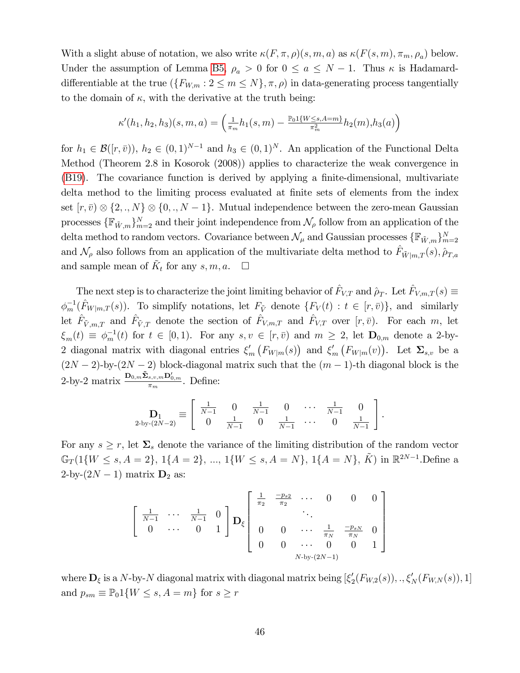With a slight abuse of notation, we also write  $\kappa(F, \pi, \rho)(s, m, a)$  as  $\kappa(F(s, m), \pi_m, \rho_a)$  below. Under the assumption of Lemma [B5,](#page-46-0)  $\rho_a > 0$  for  $0 \le a \le N - 1$ . Thus  $\kappa$  is Hadamarddifferentiable at the true  $(\{F_{W,m} : 2 \leq m \leq N\}, \pi, \rho)$  in data-generating process tangentially to the domain of  $\kappa$ , with the derivative at the truth being:

$$
\kappa'(h_1, h_2, h_3)(s, m, a) = \left(\frac{1}{\pi_m}h_1(s, m) - \frac{\mathbb{P}_0 \mathbf{1}\{W \le s, A = m\}}{\pi_m^2}h_2(m), h_3(a)\right)
$$

for  $h_1 \in \mathcal{B}([r, \bar{v})), h_2 \in (0, 1)^{N-1}$  and  $h_3 \in (0, 1)^N$ . An application of the Functional Delta Method (Theorem 2.8 in Kosorok (2008)) applies to characterize the weak convergence in [\(B19\)](#page-46-2). The covariance function is derived by applying a finite-dimensional, multivariate delta method to the limiting process evaluated at finite sets of elements from the index set  $[r, \bar{v}) \otimes \{2, \ldots N\} \otimes \{0, \ldots N-1\}$ . Mutual independence between the zero-mean Gaussian processes  $\{\mathbb{F}_{\tilde{W},m}\}_{m=2}^N$  and their joint independence from  $\mathcal{N}_{\rho}$  follow from an application of the delta method to random vectors. Covariance between  $\mathcal{N}_{\mu}$  and Gaussian processes  $\{\mathbb{F}_{\tilde{W},m}\}_{m=2}^{N}$ and  $\mathcal{N}_{\rho}$  also follows from an application of the multivariate delta method to  $\hat{F}_{\tilde{W}|m,T}(s), \hat{\rho}_{T,a}$ and sample mean of  $\tilde{K}_t$  for any  $s, m, a$ .  $\Box$ 

The next step is to characterize the joint limiting behavior of  $\hat{F}_{V,T}$  and  $\hat{\rho}_T$ . Let  $\hat{F}_{V,m,T} (s) \equiv$  $\phi_m^{-1}(\hat{F}_{W|m,T}(s))$ . To simplify notations, let  $F_{\tilde{V}}$  denote  $\{F_V(t): t \in [r, \bar{v}]\}$ , and similarly let  $\hat{F}_{\tilde{V},m,T}$  and  $\hat{F}_{\tilde{V},T}$  denote the section of  $\hat{F}_{V,m,T}$  and  $\hat{F}_{V,T}$  over  $[r,\bar{v})$ . For each m, let  $\xi_m(t) \equiv \phi_m^{-1}(t)$  for  $t \in [0,1)$ . For any  $s, v \in [r, \bar{v})$  and  $m \geq 2$ , let  $\mathbf{D}_{0,m}$  denote a 2-by-2 diagonal matrix with diagonal entries  $\xi'_m(F_{W|m}(s))$  and  $\xi'_m(F_{W|m}(v))$ . Let  $\Sigma_{s,v}$  be a  $(2N-2)$ -by- $(2N-2)$  block-diagonal matrix such that the  $(m-1)$ -th diagonal block is the 2-by-2 matrix  $\frac{\mathbf{D}_{0,m}\tilde{\mathbf{\Sigma}}_{s,v,m}\mathbf{D}_{0,m}'}{\pi_m}$ . Define:

$$
\mathbf{D}_1 = \begin{bmatrix} \frac{1}{N-1} & 0 & \frac{1}{N-1} & 0 & \cdots & \frac{1}{N-1} & 0 \\ 0 & \frac{1}{N-1} & 0 & \frac{1}{N-1} & \cdots & 0 & \frac{1}{N-1} \end{bmatrix}.
$$

For any  $s \geq r$ , let  $\Sigma_s$  denote the variance of the limiting distribution of the random vector  $\mathbb{G}_T(1\{W \le s, A = 2\}, 1\{A = 2\}, ..., 1\{W \le s, A = N\}, 1\{A = N\}, \tilde{K})$  in  $\mathbb{R}^{2N-1}$ . Define a 2-by- $(2N - 1)$  matrix  $D_2$  as:

$$
\begin{bmatrix}\n\frac{1}{N-1} & \cdots & \frac{1}{N-1} & 0 \\
0 & \cdots & 0 & 1\n\end{bmatrix}\mathbf{D}_{\xi}\n\begin{bmatrix}\n\frac{1}{\pi_2} & \frac{-p_{s2}}{\pi_2} & \cdots & 0 & 0 & 0 \\
& & \ddots & & \\
0 & 0 & \cdots & \frac{1}{\pi_N} & \frac{-p_{sN}}{\pi_N} & 0 \\
0 & 0 & \cdots & 0 & 0 & 1\n\end{bmatrix}
$$
\nN-by-(2N-1)

<span id="page-47-0"></span>where  $\mathbf{D}_{\xi}$  is a N-by-N diagonal matrix with diagonal matrix being  $[\xi_2'(F_{W,2}(s)),.,\xi_N'(F_{W,N}(s)),1]$ and  $p_{sm} \equiv \mathbb{P}_0 1\{W \leq s, A = m\}$  for  $s \geq r$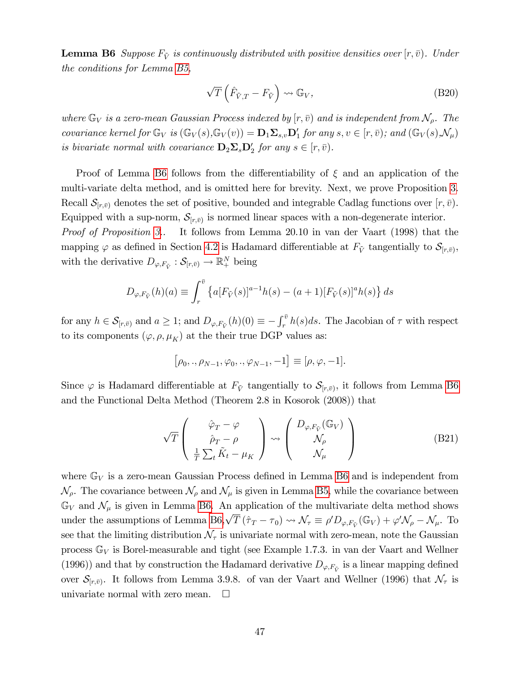**Lemma B6** Suppose  $F_{\tilde{V}}$  is continuously distributed with positive densities over  $[r, \bar{v})$ . Under the conditions for Lemma [B5,](#page-46-0)

$$
\sqrt{T}\left(\hat{F}_{\tilde{V},T} - F_{\tilde{V}}\right) \rightsquigarrow \mathbb{G}_V,\tag{B20}
$$

where  $\mathbb{G}_V$  is a zero-mean Gaussian Process indexed by  $[r, \bar{v})$  and is independent from  $\mathcal{N}_{\rho}$ . The covariance kernel for  $\mathbb{G}_V$  is  $(\mathbb{G}_V(s), \mathbb{G}_V(v)) = \mathbf{D}_1 \mathbf{\Sigma}_{s,v} \mathbf{D}'_1$  for any  $s, v \in [r, \bar{v})$ ; and  $(\mathbb{G}_V(s), \mathcal{N}_\mu)$ is bivariate normal with covariance  $\mathbf{D}_2 \mathbf{\Sigma}_s \mathbf{D}'_2$  for any  $s \in [r, \bar{v})$ .

Proof of Lemma [B6](#page-47-0) follows from the differentiability of  $\xi$  and an application of the multi-variate delta method, and is omitted here for brevity. Next, we prove Proposition [3.](#page-14-2) Recall  $\mathcal{S}_{[r,\bar{v})}$  denotes the set of positive, bounded and integrable Cadlag functions over  $[r,\bar{v})$ . Equipped with a sup-norm,  $S_{[r,\bar{v})}$  is normed linear spaces with a non-degenerate interior. Proof of Proposition [3.](#page-14-2). It follows from Lemma 20.10 in van der Vaart (1998) that the mapping  $\varphi$  as defined in Section [4.2](#page-12-1) is Hadamard differentiable at  $F_{\tilde{V}}$  tangentially to  $\mathcal{S}_{[r,\bar{v})}$ , with the derivative  $D_{\varphi,F_{\tilde{V}}} : \mathcal{S}_{[r,\bar{v})} \to \mathbb{R}^N_+$  being

$$
D_{\varphi, F_{\tilde{V}}}(h)(a) \equiv \int_r^{\bar{v}} \left\{ a [F_{\tilde{V}}(s)]^{a-1} h(s) - (a+1) [F_{\tilde{V}}(s)]^a h(s) \right\} ds
$$

for any  $h \in \mathcal{S}_{[r,\bar{v})}$  and  $a \geq 1$ ; and  $D_{\varphi,F_{\tilde{V}}}(h)(0) \equiv -\int_r^{\bar{v}} h(s)ds$ . The Jacobian of  $\tau$  with respect to its components  $(\varphi, \rho, \mu_K)$  at the their true DGP values as:

$$
\left[\rho_0,.,\rho_{N-1},\varphi_0,.,\varphi_{N-1},-1\right]\equiv [\rho,\varphi,-1].
$$

Since  $\varphi$  is Hadamard differentiable at  $F_{\tilde{V}}$  tangentially to  $\mathcal{S}_{[r,\bar{v})}$ , it follows from Lemma [B6](#page-47-0) and the Functional Delta Method (Theorem 2.8 in Kosorok (2008)) that

$$
\sqrt{T}\left(\begin{array}{c}\n\hat{\varphi}_T - \varphi \\
\hat{\rho}_T - \rho \\
\frac{1}{T} \sum_t \tilde{K}_t - \mu_K\n\end{array}\right) \rightsquigarrow \left(\begin{array}{c} D_{\varphi, F_{\tilde{V}}}(\mathbb{G}_V) \\
\mathcal{N}_{\rho} \\
\mathcal{N}_{\mu}\n\end{array}\right) \tag{B21}
$$

where  $\mathbb{G}_V$  is a zero-mean Gaussian Process defined in Lemma [B6](#page-47-0) and is independent from  $\mathcal{N}_{\rho}$ . The covariance between  $\mathcal{N}_{\rho}$  and  $\mathcal{N}_{\mu}$  is given in Lemma [B5,](#page-46-0) while the covariance between  $\mathbb{G}_V$  and  $\mathcal{N}_{\mu}$  is given in Lemma [B6.](#page-47-0) An application of the multivariate delta method shows under the assumptions of Lemma [B6,](#page-47-0)  $\sqrt{T} (\hat{\tau}_T - \tau_0) \rightsquigarrow \mathcal{N}_{\tau} \equiv \rho' D_{\varphi, F_{\tilde{V}}}(\mathbb{G}_V) + \varphi' \mathcal{N}_{\rho} - \mathcal{N}_{\mu}$ . To see that the limiting distribution  $\mathcal{N}_{\tau}$  is univariate normal with zero-mean, note the Gaussian process  $\mathbb{G}_V$  is Borel-measurable and tight (see Example 1.7.3. in van der Vaart and Wellner (1996)) and that by construction the Hadamard derivative  $D_{\varphi, F_{\tilde{V}}}$  is a linear mapping defined over  $\mathcal{S}_{[r,\bar{v})}$ . It follows from Lemma 3.9.8. of van der Vaart and Wellner (1996) that  $\mathcal{N}_{\tau}$  is univariate normal with zero mean.  $\square$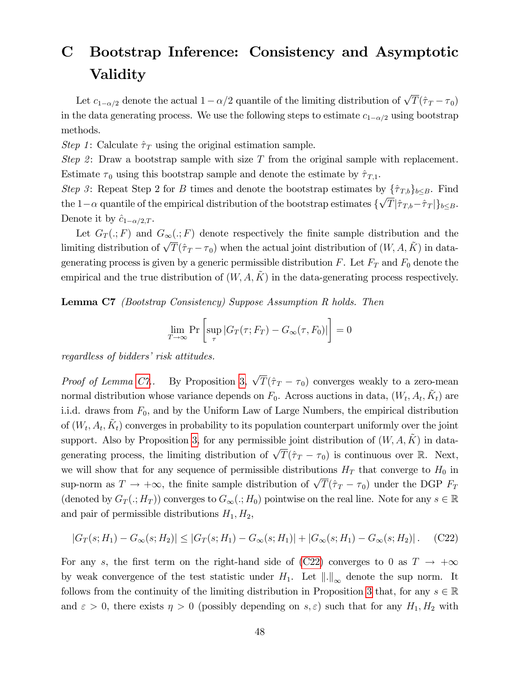## C Bootstrap Inference: Consistency and Asymptotic Validity

Let  $c_{1-\alpha/2}$  denote the actual  $1-\alpha/2$  quantile of the limiting distribution of  $\sqrt{T}(\hat{\tau}_T - \tau_0)$ in the data generating process. We use the following steps to estimate  $c_{1-\alpha/2}$  using bootstrap methods.

Step 1: Calculate  $\hat{\tau}_T$  using the original estimation sample.

Step 2: Draw a bootstrap sample with size  $T$  from the original sample with replacement. Estimate  $\tau_0$  using this bootstrap sample and denote the estimate by  $\hat{\tau}_{T,1}$ .

Step 3: Repeat Step 2 for B times and denote the bootstrap estimates by  $\{\hat{\tau}_{T,b}\}_{b\leq B}$ . Find the  $1-\alpha$  quantile of the empirical distribution of the bootstrap estimates  $\{\sqrt{T}|\hat{\tau}_{T,b}-\hat{\tau}_T|\}_{b\leq B}$ . Denote it by  $\hat{c}_{1-\alpha/2,T}$ .

Let  $G_T(.; F)$  and  $G_{\infty}(.; F)$  denote respectively the finite sample distribution and the limiting distribution of  $\sqrt{T}(\hat{\tau}_T - \tau_0)$  when the actual joint distribution of  $(W, A, \tilde{K})$  in datagenerating process is given by a generic permissible distribution  $F$ . Let  $F_T$  and  $F_0$  denote the empirical and the true distribution of  $(W, A, \tilde{K})$  in the data-generating process respectively.

<span id="page-49-0"></span>Lemma C7 (Bootstrap Consistency) Suppose Assumption R holds. Then

$$
\lim_{T \to \infty} \Pr \left[ \sup_{\tau} |G_T(\tau; F_T) - G_{\infty}(\tau, F_0)| \right] = 0
$$

regardless of bidders' risk attitudes.

*Proof of Lemma [C7.](#page-49-0)* By Proposition [3,](#page-14-2)  $\sqrt{T}(\hat{\tau}_T - \tau_0)$  converges weakly to a zero-mean normal distribution whose variance depends on  $F_0$ . Across auctions in data,  $(W_t, A_t, \tilde{K}_t)$  are i.i.d. draws from  $F_0$ , and by the Uniform Law of Large Numbers, the empirical distribution of  $(W_t, A_t, \tilde{K}_t)$  converges in probability to its population counterpart uniformly over the joint support. Also by Proposition [3,](#page-14-2) for any permissible joint distribution of  $(W, A, \tilde{K})$  in datagenerating process, the limiting distribution of  $\sqrt{T}(\hat{\tau}_T - \tau_0)$  is continuous over R. Next, we will show that for any sequence of permissible distributions  $H_T$  that converge to  $H_0$  in sup-norm as  $T \to +\infty$ , the finite sample distribution of  $\sqrt{T}(\hat{\tau}_T - \tau_0)$  under the DGP  $F_T$ (denoted by  $G_T(:, H_T)$ ) converges to  $G_\infty(:, H_0)$  pointwise on the real line. Note for any  $s \in \mathbb{R}$ and pair of permissible distributions  $H_1, H_2$ ,

<span id="page-49-1"></span>
$$
|G_T(s; H_1) - G_{\infty}(s; H_2)| \leq |G_T(s; H_1) - G_{\infty}(s; H_1)| + |G_{\infty}(s; H_1) - G_{\infty}(s; H_2)|. \tag{C22}
$$

For any s, the first term on the right-hand side of [\(C22\)](#page-49-1) converges to 0 as  $T \to +\infty$ by weak convergence of the test statistic under  $H_1$ . Let  $\|.\|_{\infty}$  denote the sup norm. It follows from the continuity of the limiting distribution in Proposition [3](#page-14-2) that, for any  $s \in \mathbb{R}$ and  $\varepsilon > 0$ , there exists  $\eta > 0$  (possibly depending on  $s, \varepsilon$ ) such that for any  $H_1, H_2$  with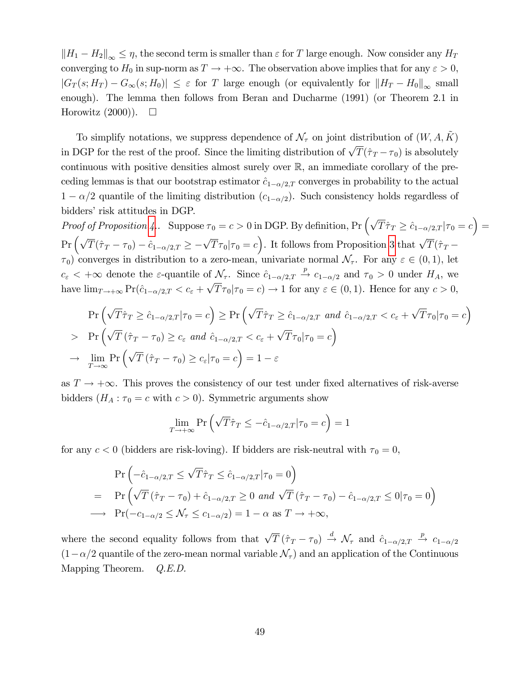$\|H_1 - H_2\|_{\infty} \leq \eta$ , the second term is smaller than  $\varepsilon$  for T large enough. Now consider any  $H_T$ converging to  $H_0$  in sup-norm as  $T \to +\infty$ . The observation above implies that for any  $\varepsilon > 0$ ,  $|G_T(s; H_T) - G_\infty(s; H_0)| \leq \varepsilon$  for T large enough (or equivalently for  $||H_T - H_0||_\infty$  small enough). The lemma then follows from Beran and Ducharme (1991) (or Theorem 2.1 in Horowitz  $(2000)$ .  $\Box$ 

To simplify notations, we suppress dependence of  $\mathcal{N}_{\tau}$  on joint distribution of  $(W, A, \tilde{K})$ in DGP for the rest of the proof. Since the limiting distribution of  $\sqrt{T}(\hat{\tau}_T - \tau_0)$  is absolutely continuous with positive densities almost surely over R, an immediate corollary of the preceding lemmas is that our bootstrap estimator  $\hat{c}_{1-\alpha/2,T}$  converges in probability to the actual  $1 - \alpha/2$  quantile of the limiting distribution  $(c_{1-\alpha/2})$ . Such consistency holds regardless of bidders' risk attitudes in DGP.

Proof of Proposition [4.](#page-14-3). Suppose  $\tau_0 = c > 0$  in DGP. By definition,  $Pr\left(\sqrt{T}\hat{\tau}_T \geq \hat{c}_{1-\alpha/2,T} | \tau_0 = c\right) =$  $\Pr\left(\sqrt{T}(\hat{\tau}_T-\tau_0)-\hat{c}_{1-\alpha/2,T}\geq -\sqrt{T}\tau_0|\tau_0=c\right)$ . It follows from Proposition [3](#page-14-2) that  $\sqrt{T}(\hat{\tau}_T-\tau_0)$  $(\tau_0)$  converges in distribution to a zero-mean, univariate normal  $\mathcal{N}_{\tau}$ . For any  $\varepsilon \in (0,1)$ , let  $c_{\varepsilon} < +\infty$  denote the  $\varepsilon$ -quantile of  $\mathcal{N}_{\tau}$ . Since  $\hat{c}_{1-\alpha/2,T} \stackrel{p}{\to} c_{1-\alpha/2}$  and  $\tau_0 > 0$  under  $H_A$ , we have  $\lim_{T \to +\infty} \Pr(\hat{c}_{1-\alpha/2,T} < c_{\varepsilon} + \sqrt{T} \tau_0 | \tau_0 = c) \to 1$  for any  $\varepsilon \in (0,1)$ . Hence for any  $c > 0$ ,

$$
\Pr\left(\sqrt{T}\hat{\tau}_T \geq \hat{c}_{1-\alpha/2,T} | \tau_0 = c\right) \geq \Pr\left(\sqrt{T}\hat{\tau}_T \geq \hat{c}_{1-\alpha/2,T} \text{ and } \hat{c}_{1-\alpha/2,T} < c_\varepsilon + \sqrt{T}\tau_0 | \tau_0 = c\right)
$$
\n
$$
\Pr\left(\sqrt{T}\left(\hat{\tau}_T - \tau_0\right) \geq c_\varepsilon \text{ and } \hat{c}_{1-\alpha/2,T} < c_\varepsilon + \sqrt{T}\tau_0 | \tau_0 = c\right)
$$
\n
$$
\to \lim_{T \to \infty} \Pr\left(\sqrt{T}\left(\hat{\tau}_T - \tau_0\right) \geq c_\varepsilon | \tau_0 = c\right) = 1 - \varepsilon
$$

as  $T \to +\infty$ . This proves the consistency of our test under fixed alternatives of risk-averse bidders  $(H_A : \tau_0 = c$  with  $c > 0)$ . Symmetric arguments show

$$
\lim_{T \to +\infty} \Pr\left(\sqrt{T}\hat{\tau}_T \le -\hat{c}_{1-\alpha/2,T}|\tau_0 = c\right) = 1
$$

for any  $c < 0$  (bidders are risk-loving). If bidders are risk-neutral with  $\tau_0 = 0$ ,

$$
\Pr\left(-\hat{c}_{1-\alpha/2,T} \le \sqrt{T}\hat{\tau}_T \le \hat{c}_{1-\alpha/2,T}|\tau_0 = 0\right)
$$
\n
$$
= \Pr\left(\sqrt{T}\left(\hat{\tau}_T - \tau_0\right) + \hat{c}_{1-\alpha/2,T} \ge 0 \text{ and } \sqrt{T}\left(\hat{\tau}_T - \tau_0\right) - \hat{c}_{1-\alpha/2,T} \le 0|\tau_0 = 0\right)
$$
\n
$$
\longrightarrow \Pr(-c_{1-\alpha/2} \le \mathcal{N}_\tau \le c_{1-\alpha/2}) = 1 - \alpha \text{ as } T \to +\infty,
$$

where the second equality follows from that  $\sqrt{T}(\hat{\tau}_T - \tau_0) \stackrel{d}{\rightarrow} \mathcal{N}_{\tau}$  and  $\hat{c}_{1-\alpha/2,T} \stackrel{p}{\rightarrow} c_{1-\alpha/2}$  $(1-\alpha/2)$  quantile of the zero-mean normal variable  $\mathcal{N}_{\tau}$  and an application of the Continuous Mapping Theorem. Q.E.D.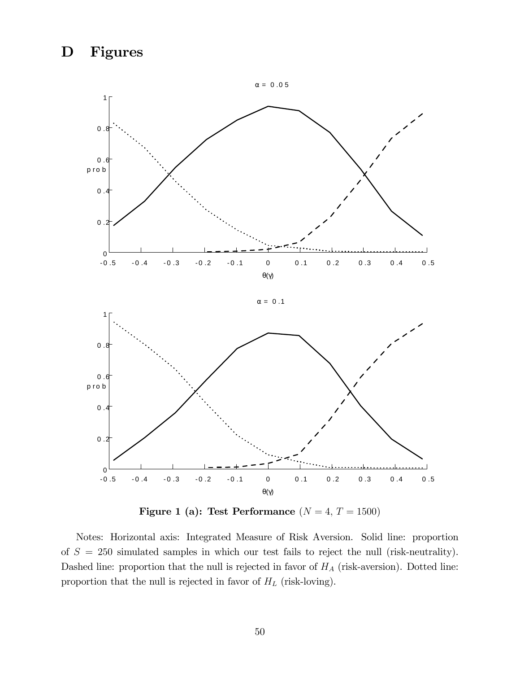## D Figures



 $\alpha = 0.1$ 





Notes: Horizontal axis: Integrated Measure of Risk Aversion. Solid line: proportion of  $S = 250$  simulated samples in which our test fails to reject the null (risk-neutrality). Dashed line: proportion that the null is rejected in favor of  $H_A$  (risk-aversion). Dotted line: proportion that the null is rejected in favor of  $H_L$  (risk-loving).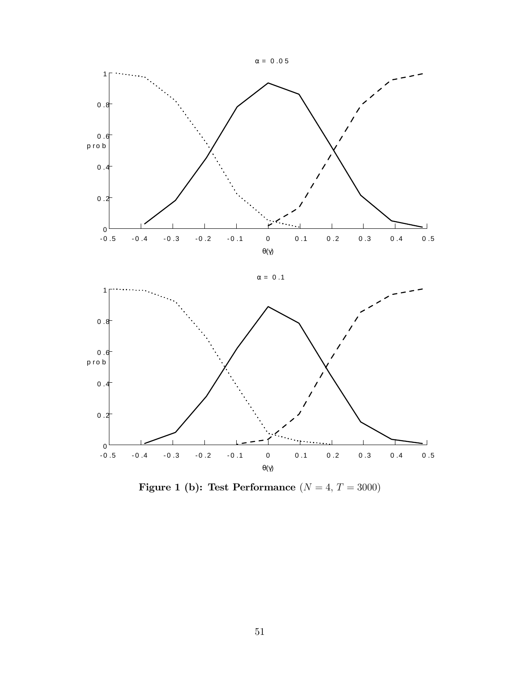

Figure 1 (b): Test Performance  $(N = 4, T = 3000)$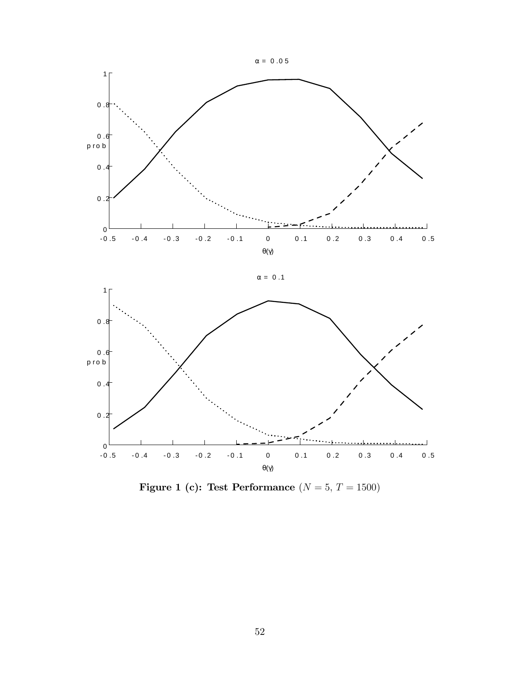

 $\alpha = 0.1$ 

1



Figure 1 (c): Test Performance  $(N = 5, T = 1500)$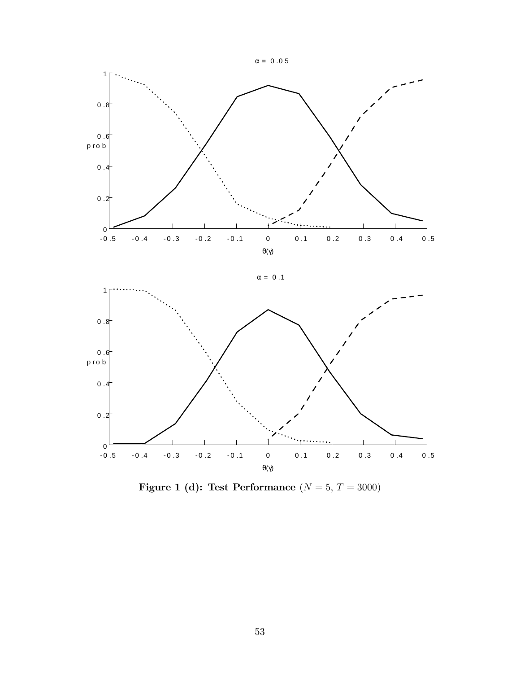



Figure 1 (d): Test Performance  $(N = 5, T = 3000)$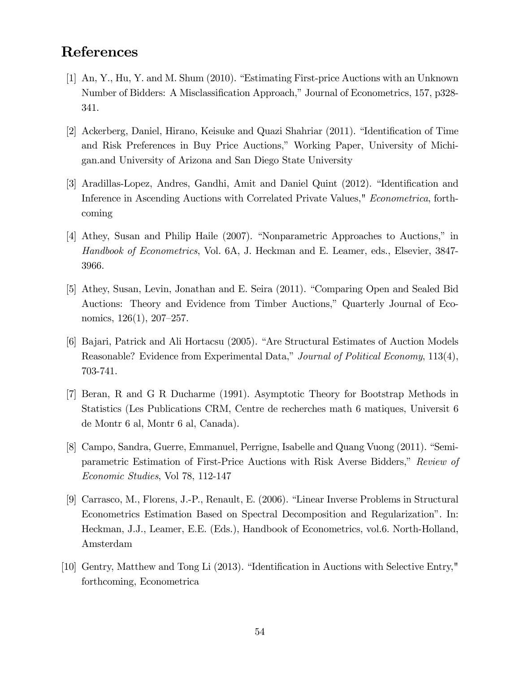## References

- [1] An, Y., Hu, Y. and M. Shum (2010). "Estimating First-price Auctions with an Unknown Number of Bidders: A Misclassification Approach," Journal of Econometrics, 157, p328-341.
- [2] Ackerberg, Daniel, Hirano, Keisuke and Quazi Shahriar (2011). "Identification of Time and Risk Preferences in Buy Price Auctions," Working Paper, University of Michigan.and University of Arizona and San Diego State University
- [3] Aradillas-Lopez, Andres, Gandhi, Amit and Daniel Quint (2012). "Identification and Inference in Ascending Auctions with Correlated Private Values," Econometrica, forthcoming
- [4] Athey, Susan and Philip Haile (2007). "Nonparametric Approaches to Auctions," in Handbook of Econometrics, Vol. 6A, J. Heckman and E. Leamer, eds., Elsevier, 3847- 3966.
- [5] Athey, Susan, Levin, Jonathan and E. Seira (2011). "Comparing Open and Sealed Bid Auctions: Theory and Evidence from Timber Auctions," Quarterly Journal of Economics,  $126(1)$ ,  $207-257$ .
- [6] Bajari, Patrick and Ali Hortacsu (2005). "Are Structural Estimates of Auction Models Reasonable? Evidence from Experimental Data," Journal of Political Economy, 113(4), 703-741.
- [7] Beran, R and G R Ducharme (1991). Asymptotic Theory for Bootstrap Methods in Statistics (Les Publications CRM, Centre de recherches math 6 matiques, Universit 6 de Montr 6 al, Montr 6 al, Canada).
- [8] Campo, Sandra, Guerre, Emmanuel, Perrigne, Isabelle and Quang Vuong (2011). "Semiparametric Estimation of First-Price Auctions with Risk Averse Bidders," Review of Economic Studies, Vol 78, 112-147
- [9] Carrasco, M., Florens, J.-P., Renault, E. (2006). "Linear Inverse Problems in Structural Econometrics Estimation Based on Spectral Decomposition and Regularizationî. In: Heckman, J.J., Leamer, E.E. (Eds.), Handbook of Econometrics, vol.6. North-Holland, Amsterdam
- [10] Gentry, Matthew and Tong Li  $(2013)$ . "Identification in Auctions with Selective Entry," forthcoming, Econometrica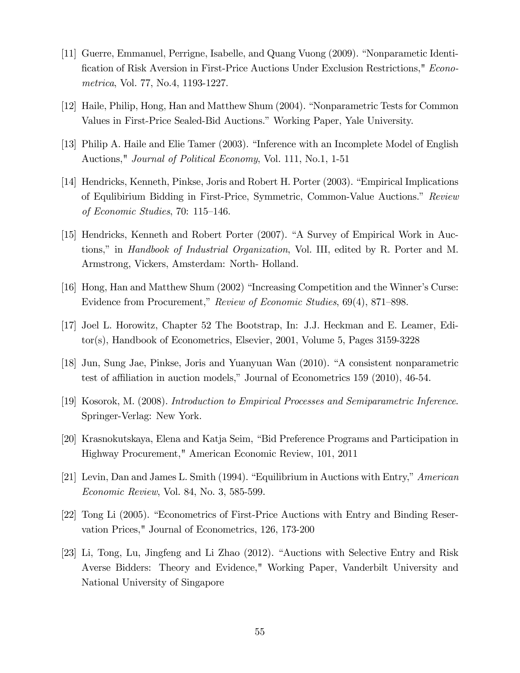- [11] Guerre, Emmanuel, Perrigne, Isabelle, and Quang Vuong (2009). "Nonparametic Identification of Risk Aversion in First-Price Auctions Under Exclusion Restrictions," Econometrica, Vol. 77, No.4, 1193-1227.
- [12] Haile, Philip, Hong, Han and Matthew Shum (2004). "Nonparametric Tests for Common Values in First-Price Sealed-Bid Auctions." Working Paper, Yale University.
- [13] Philip A. Haile and Elie Tamer (2003). "Inference with an Incomplete Model of English Auctions," Journal of Political Economy, Vol. 111, No.1, 1-51
- [14] Hendricks, Kenneth, Pinkse, Joris and Robert H. Porter (2003). "Empirical Implications of Equlibirium Bidding in First-Price, Symmetric, Common-Value Auctions.î Review of Economic Studies, 70:  $115-146$ .
- [15] Hendricks, Kenneth and Robert Porter (2007). "A Survey of Empirical Work in Auctions," in *Handbook of Industrial Organization*, Vol. III, edited by R. Porter and M. Armstrong, Vickers, Amsterdam: North- Holland.
- [16] Hong, Han and Matthew Shum (2002) "Increasing Competition and the Winner's Curse: Evidence from Procurement," Review of Economic Studies, 69(4), 871–898.
- [17] Joel L. Horowitz, Chapter 52 The Bootstrap, In: J.J. Heckman and E. Leamer, Editor(s), Handbook of Econometrics, Elsevier, 2001, Volume 5, Pages 3159-3228
- [18] Jun, Sung Jae, Pinkse, Joris and Yuanyuan Wan (2010). "A consistent nonparametric test of affiliation in auction models," Journal of Econometrics  $159$  (2010), 46-54.
- [19] Kosorok, M. (2008). Introduction to Empirical Processes and Semiparametric Inference. Springer-Verlag: New York.
- [20] Krasnokutskaya, Elena and Katja Seim, "Bid Preference Programs and Participation in Highway Procurement," American Economic Review, 101, 2011
- [21] Levin, Dan and James L. Smith (1994). "Equilibrium in Auctions with Entry,"  $American$ Economic Review, Vol. 84, No. 3, 585-599.
- [22] Tong Li (2005). "Econometrics of First-Price Auctions with Entry and Binding Reservation Prices," Journal of Econometrics, 126, 173-200
- [23] Li, Tong, Lu, Jingfeng and Li Zhao (2012). "Auctions with Selective Entry and Risk Averse Bidders: Theory and Evidence," Working Paper, Vanderbilt University and National University of Singapore